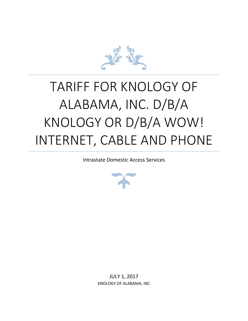

# TARIFF FOR KNOLOGY OF ALABAMA, INC. D/B/A KNOLOGY OR D/B/A WOW! INTERNET, CABLE AND PHONE

Intrastate Domestic Access Services



JULY 1, 2017 KNOLOGY OF ALABAMA, INC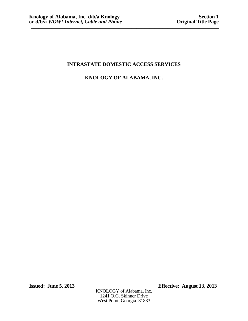# **KNOLOGY OF ALABAMA, INC.**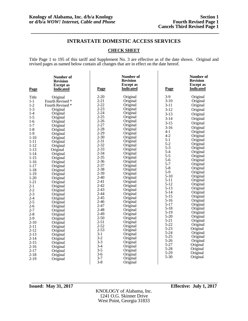### **CHECK SHEET**

Title Page 1 to 195 of this tariff and Supplement No. 3 are effective as of the date shown. Original and revised pages as named below contain all changes that are in effect on the date hereof.

| Page                 | Number of<br><b>Revision</b><br><b>Except</b> as<br><b>Indicated</b> | Page                 | Number of<br><b>Revision</b><br><b>Except</b> as<br><b>Indicated</b> | Page                 | Number of<br><b>Revision</b><br><b>Except</b> as<br><b>Indicated</b> |
|----------------------|----------------------------------------------------------------------|----------------------|----------------------------------------------------------------------|----------------------|----------------------------------------------------------------------|
| Title                | Original                                                             | $2 - 20$             | Original                                                             | $3-9$                | Original                                                             |
| $1 - 1$              | Fourth Revised *                                                     | $2 - 21$             | Original                                                             | $3-10$               | Original                                                             |
| $1-2$                | Fourth Revised *                                                     | $2 - 22$             | Original                                                             | $3-11$               | Original                                                             |
| $1-3$                | Original                                                             | $2 - 23$             | Original                                                             | $3-12$               | Original                                                             |
| $1-4$                | Original                                                             | $2 - 24$             | Original                                                             | $3-13$               | Original                                                             |
| $1 - 5$              | Original                                                             | $2 - 25$             | Original                                                             | $3 - 14$             | Original                                                             |
| $1-6$                | Original                                                             | $2 - 26$             | Original                                                             | $3 - 15$             | Original                                                             |
| $1 - 7$              | Original                                                             | $2 - 27$             | Original                                                             | $3-16$               | Original                                                             |
| $1-8$                | Original                                                             | $2 - 28$             | Original                                                             | $4 - 1$              | Original                                                             |
| $1-9$                | Original                                                             | $2 - 29$             | Original                                                             | $4 - 2$              | Original                                                             |
| $1-10$               | Original                                                             | $2 - 30$             | Original                                                             | $5-1$                | Original                                                             |
| $1 - 11$             | Original                                                             | $2 - 31$             | Original                                                             | $5 - 2$              | Original                                                             |
| $1 - 12$             | Original                                                             | $2 - 32$<br>$2 - 33$ | Original                                                             | $5-3$                | Original                                                             |
| $1 - 13$             | Original                                                             | $2 - 34$             | Original                                                             | $5-4$                | Original                                                             |
| $1 - 14$             | Original                                                             | $2 - 35$             | Original<br>Original                                                 | $5 - 5$              | Original                                                             |
| $1 - 15$<br>$1 - 16$ | Original                                                             | $2 - 36$             | Original                                                             | $5 - 6$              | Original                                                             |
| $1 - 17$             | Original<br>Original                                                 | $2 - 37$             | Original                                                             | $5 - 7$              | Original                                                             |
| $1 - 18$             | Original                                                             | $2 - 38$             | Original                                                             | $5 - 8$              | Original                                                             |
| $1 - 19$             | Original                                                             | $2 - 39$             | Original                                                             | $5-9$                | Original                                                             |
| $1 - 20$             | Original                                                             | $2 - 40$             | Original                                                             | $5-10$               | Original                                                             |
| $1 - 21$             | Original                                                             | $2 - 41$             | Original                                                             | $5 - 11$             | Original                                                             |
| $2 - 1$              | Original                                                             | $2 - 42$             | Original                                                             | $5 - 12$             | Original                                                             |
| $2 - 2$              | Original                                                             | $2 - 43$             | Original                                                             | $5 - 13$             | Original                                                             |
| $2 - 3$              | Original                                                             | $2 - 44$             | Original                                                             | $5 - 14$             | Original                                                             |
| $2 - 4$              | Original                                                             | $2 - 45$             | Original                                                             | $5 - 15$             | Original                                                             |
| $2 - 5$              | Original                                                             | $2 - 46$             | Original                                                             | $5-16$               | Original                                                             |
| $2 - 6$              | Original                                                             | $2 - 47$             | Original                                                             | 5-17                 | Original                                                             |
| $2 - 7$              | Original                                                             | $2 - 48$             | Original                                                             | 5-18                 | Original                                                             |
| $2 - 8$              | Original                                                             | $2 - 49$             | Original                                                             | $5-19$               | Original                                                             |
| $2-9$                | Original                                                             | $2 - 50$             | Original                                                             | $5 - 20$<br>$5 - 21$ | Original                                                             |
| $2 - 10$             | Original                                                             | $2 - 51$             | Original                                                             | $5 - 22$             | Original<br>Original                                                 |
| $2 - 11$             | Original                                                             | $2 - 52$             | Original                                                             | $5 - 23$             | Original                                                             |
| $2 - 12$             | Original                                                             | $2 - 53$             | Original                                                             | $5 - 24$             | Original                                                             |
| $2 - 13$             | Original                                                             | $3-1$                | Original                                                             | $5 - 25$             | Original                                                             |
| $2 - 14$             | Original                                                             | $3-2$                | Original                                                             | $5 - 26$             | Original                                                             |
| $2 - 15$             | Original                                                             | $3 - 3$              | Original                                                             | $5 - 27$             | Original                                                             |
| $2-16$               | Original                                                             | $3-4$                | Original                                                             | $5 - 28$             | Original                                                             |
| $2 - 17$             | Original                                                             | $3 - 5$              | Original                                                             | $5-29$               | Original                                                             |
| $2 - 18$             | Original                                                             | $3-6$                | Original                                                             | $5 - 30$             | Original                                                             |
| $2 - 19$             | Original                                                             | $3 - 7$              | Original                                                             |                      |                                                                      |
|                      |                                                                      | $3 - 8$              | Original                                                             |                      |                                                                      |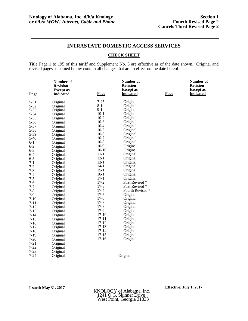**\_\_\_\_\_\_\_\_\_\_\_\_\_\_\_\_\_\_\_\_\_\_\_\_\_\_\_\_\_\_\_\_\_\_\_\_\_\_\_\_\_\_\_\_\_\_\_\_\_\_\_\_\_\_\_\_\_\_\_\_\_\_\_\_\_\_\_\_\_\_\_\_\_**

### **CHECK SHEET**

Title Page 1 to 195 of this tariff and Supplement No. 3 are effective as of the date shown. Original and revised pages as named below contain all changes that are in effect on the date hereof.

| Page                                                                                                                                                                                                                                                                                                                                                                                                                                       | Number of<br><b>Revision</b><br><b>Except</b> as<br><b>Indicated</b>                                                                                                                                                                                                                                                                                                                                                                                                             | Page                                                                                                                                                                                                                                                                                                                                                                                         | Number of<br><b>Revision</b><br><b>Except</b> as<br><b>Indicated</b>                                                                                                                                                                                                                                                                                                                                                                                               | Page                    | Number of<br><b>Revision</b><br><b>Except as</b><br><b>Indicated</b> |
|--------------------------------------------------------------------------------------------------------------------------------------------------------------------------------------------------------------------------------------------------------------------------------------------------------------------------------------------------------------------------------------------------------------------------------------------|----------------------------------------------------------------------------------------------------------------------------------------------------------------------------------------------------------------------------------------------------------------------------------------------------------------------------------------------------------------------------------------------------------------------------------------------------------------------------------|----------------------------------------------------------------------------------------------------------------------------------------------------------------------------------------------------------------------------------------------------------------------------------------------------------------------------------------------------------------------------------------------|--------------------------------------------------------------------------------------------------------------------------------------------------------------------------------------------------------------------------------------------------------------------------------------------------------------------------------------------------------------------------------------------------------------------------------------------------------------------|-------------------------|----------------------------------------------------------------------|
| $5 - 31$<br>$5 - 32$<br>$5 - 33$<br>$5 - 34$<br>$5 - 35$<br>$5 - 36$<br>$5 - 37$<br>5-38<br>5-39<br>$5-40$<br>$6 - 1$<br>$6 - 2$<br>$6 - 3$<br>$6 - 4$<br>$6 - 5$<br>$7-1$<br>$7 - 2$<br>$7 - 3$<br>$7 - 4$<br>$7 - 5$<br>$7-6$<br>$7 - 7$<br>$7 - 8$<br>$7-9$<br>$7-10$<br>$7 - 11$<br>$7 - 12$<br>$7-13$<br>$7 - 14$<br>$7 - 15$<br>$7 - 16$<br>$7 - 17$<br>$7-18$<br>$7-19$<br>$7 - 20$<br>$7 - 21$<br>$7 - 22$<br>$7 - 23$<br>$7 - 24$ | Original<br>Original<br>Original<br>Original<br>Original<br>Original<br>Original<br>Original<br>Original<br>Original<br>Original<br>Original<br>Original<br>Original<br>Original<br>Original<br>Original<br>Original<br>Original<br>Original<br>Original<br>Original<br>Original<br>Original<br>Original<br>Original<br>Original<br>Original<br>Original<br>Original<br>Original<br>Original<br>Original<br>Original<br>Original<br>Original<br>Original<br>Original<br>Original | $7 - 25$<br>$8-1$<br>$9-1$<br>$10-1$<br>$10-2$<br>$10-3$<br>$10 - 4$<br>$10-5$<br>$10-6$<br>$10-7$<br>$10 - 8$<br>$10-9$<br>$10 - 10$<br>$11 - 1$<br>$12 - 1$<br>$13-1$<br>$14-1$<br>$15-1$<br>$16-1$<br>$17-1$<br>$17 - 2$<br>$17-3$<br>$17 - 4$<br>$17-5$<br>$17-6$<br>$17 - 7$<br>$17-8$<br>17-9<br>$17 - 10$<br>$17 - 11$<br>$17 - 12$<br>$17-13$<br>$17 - 14$<br>$17 - 15$<br>$17 - 16$ | Original<br>Original<br>Original<br>Original<br>Original<br>Original<br>Original<br>Original<br>Original<br>Original<br>Original<br>Original<br>Original<br>Original<br>Original<br>Original<br>Original<br>Original<br>Original<br>Original<br>First Revised *<br>First Revised *<br>Fourth Revised *<br>Original<br>Original<br>Original<br>Original<br>Original<br>Original<br>Original<br>Original<br>Original<br>Original<br>Original<br>Original<br>Original |                         |                                                                      |
| <b>Issued: May 31, 2017</b>                                                                                                                                                                                                                                                                                                                                                                                                                |                                                                                                                                                                                                                                                                                                                                                                                                                                                                                  |                                                                                                                                                                                                                                                                                                                                                                                              | KNOLOGY of Alabama, Inc.<br>1241 O.G. Skinner Drive<br>West Point, Georgia 31833                                                                                                                                                                                                                                                                                                                                                                                   | Effective: July 1, 2017 |                                                                      |

West Point, Georgia 31833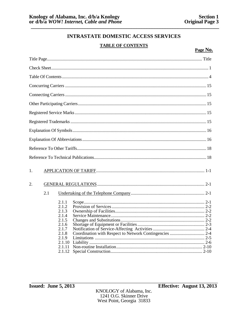### **TABLE OF CONTENTS**

| 1.  |                                                                                         |                                                         |
|-----|-----------------------------------------------------------------------------------------|---------------------------------------------------------|
| 2.  |                                                                                         |                                                         |
| 2.1 |                                                                                         |                                                         |
|     | 2.1.1<br>2.1.2<br>2.1.3<br>2.1.4<br>2.1.5<br>2.1.6<br>2.1.7<br>2.1.8<br>2.1.9<br>2.1.10 | Coordination with Respect to Network Contingencies  2-4 |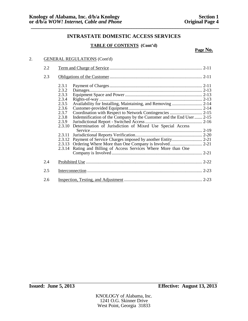### **TABLE OF CONTENTS (Cont'd)**

**Page No.**

### 2. GENERAL REGULATIONS (Cont'd)

| 2.2 |                |                                                                      |  |
|-----|----------------|----------------------------------------------------------------------|--|
| 2.3 |                |                                                                      |  |
|     | 2.3.1<br>2.3.2 |                                                                      |  |
|     | 2.3.3          |                                                                      |  |
|     | 2.3.4          |                                                                      |  |
|     | 2.3.5          | Availability for Installing, Maintaining, and Removing  2-14         |  |
|     | 2.3.6          |                                                                      |  |
|     | 2.3.7          |                                                                      |  |
|     | 2.3.8          | Indemnification of the Company by the Customer and the End User 2-15 |  |
|     | 2.3.9          |                                                                      |  |
|     | 2.3.10         | Determination of Jurisdiction of Mixed Use Special Access            |  |
|     | 2.3.11         |                                                                      |  |
|     |                |                                                                      |  |
|     |                |                                                                      |  |
|     |                | 2.3.14 Rating and Billing of Access Services Where More than One     |  |
|     |                |                                                                      |  |
| 2.4 |                |                                                                      |  |
| 2.5 |                |                                                                      |  |
| 2.6 |                |                                                                      |  |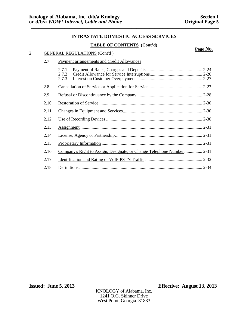### **TABLE OF CONTENTS (Cont'd)**

|    |      |                                                                        | Page No. |  |
|----|------|------------------------------------------------------------------------|----------|--|
| 2. |      | <b>GENERAL REGULATIONS (Cont'd)</b>                                    |          |  |
|    | 2.7  | Payment arrangements and Credit Allowances                             |          |  |
|    |      | 2.7.1<br>2.7.2<br>2.7.3                                                |          |  |
|    | 2.8  |                                                                        |          |  |
|    | 2.9  |                                                                        |          |  |
|    | 2.10 |                                                                        |          |  |
|    | 2.11 |                                                                        |          |  |
|    | 2.12 |                                                                        |          |  |
|    | 2.13 |                                                                        |          |  |
|    | 2.14 |                                                                        |          |  |
|    | 2.15 |                                                                        |          |  |
|    | 2.16 | Company's Right to Assign, Designate, or Change Telephone Number  2-31 |          |  |
|    | 2.17 |                                                                        |          |  |
|    | 2.18 |                                                                        |          |  |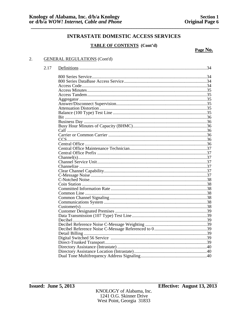### **TABLE OF CONTENTS** (Cont'd)

Page No.

### 2. **GENERAL REGULATIONS (Cont'd)**

2.17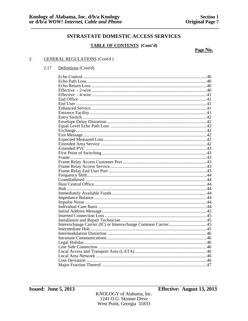### **TABLE OF CONTENTS** (Cont'd)

Page No.

#### 2. **GENERAL REGULATIONS (Cont'd)**

#### 2.17 Definitions (Cont'd)

KNOLOGY of Alabama, Inc. 1241 O.G. Skinner Drive West Point, Georgia 31833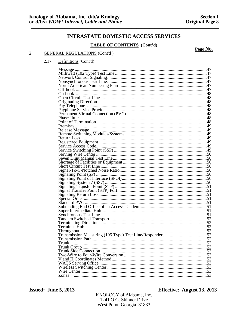### **TABLE OF CONTENTS** (Cont'd)

Page No.

### $2.$ **GENERAL REGULATIONS (Cont'd)**

| Definitions (Cont'd) |
|----------------------|
|                      |

| Zones |  |
|-------|--|
|       |  |

**Issued: June 5, 2013** 

KNOLOGY of Alabama, Inc. 1241 O.G. Skinner Drive West Point, Georgia 31833

**Effective: August 13, 2013**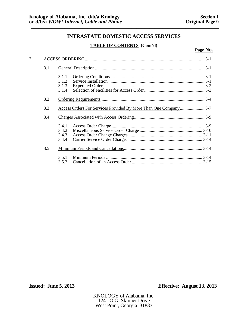### **TABLE OF CONTENTS (Cont'd)**

| 3. |     |                                                                  |  |  |
|----|-----|------------------------------------------------------------------|--|--|
|    | 3.1 |                                                                  |  |  |
|    |     | 3.1.1<br>3.1.2<br>3.1.3<br>3.1.4                                 |  |  |
|    | 3.2 |                                                                  |  |  |
|    | 3.3 | Access Orders For Services Provided By More Than One Company 3-7 |  |  |
|    | 3.4 |                                                                  |  |  |
|    |     | 3.4.1<br>3.4.2<br>3.4.3<br>3.4.4                                 |  |  |
|    | 3.5 |                                                                  |  |  |
|    |     | 3.5.1<br>3.5.2                                                   |  |  |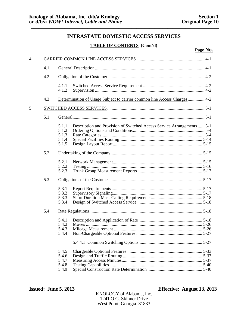**Page No.**

### **INTRASTATE DOMESTIC ACCESS SERVICES**

### **TABLE OF CONTENTS (Cont'd)**

| $\overline{4}$ . |     |                                                                                                                     |  |  |
|------------------|-----|---------------------------------------------------------------------------------------------------------------------|--|--|
|                  | 4.1 |                                                                                                                     |  |  |
|                  | 4.2 |                                                                                                                     |  |  |
|                  |     | 4.1.1<br>4.1.2                                                                                                      |  |  |
|                  | 4.3 | Determination of Usage Subject to carrier common line Access Charges 4-2                                            |  |  |
| 5.               |     |                                                                                                                     |  |  |
|                  | 5.1 |                                                                                                                     |  |  |
|                  |     | Description and Provision of Switched Access Service Arrangements  5-1<br>5.1.1<br>5.1.2<br>5.1.3<br>5.1.4<br>5.1.5 |  |  |
|                  | 5.2 |                                                                                                                     |  |  |
|                  |     | 5.2.1<br>5.2.2<br>5.2.3                                                                                             |  |  |
|                  | 5.3 |                                                                                                                     |  |  |
|                  |     | 5.3.1<br>5.3.2<br>5.3.3<br>5.3.4                                                                                    |  |  |
|                  | 5.4 |                                                                                                                     |  |  |
|                  |     | 5.4.1<br>5.4.2<br>5.4.3<br>5.4.4                                                                                    |  |  |
|                  |     |                                                                                                                     |  |  |
|                  |     | 5.4.5<br>5.4.6<br>5.4.7<br>5.4.8<br>5.4.9                                                                           |  |  |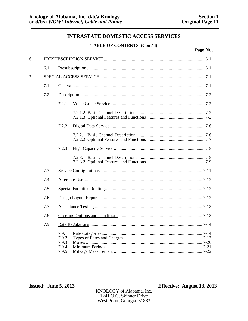### **TABLE OF CONTENTS** (Cont'd)

| 6          |     |                                           |  |  |
|------------|-----|-------------------------------------------|--|--|
|            | 6.1 |                                           |  |  |
| 7.         |     |                                           |  |  |
|            | 7.1 |                                           |  |  |
|            | 7.2 |                                           |  |  |
|            |     | 7.2.1                                     |  |  |
|            |     |                                           |  |  |
|            |     | 7.2.2                                     |  |  |
|            |     |                                           |  |  |
|            |     | 7.2.3                                     |  |  |
|            |     |                                           |  |  |
| 7.3<br>7.4 |     |                                           |  |  |
|            |     |                                           |  |  |
|            | 7.5 |                                           |  |  |
|            | 7.6 |                                           |  |  |
|            | 7.7 |                                           |  |  |
|            | 7.8 |                                           |  |  |
|            | 7.9 |                                           |  |  |
|            |     | 7.9.1<br>7.9.2<br>7.9.3<br>7.9.4<br>7.9.5 |  |  |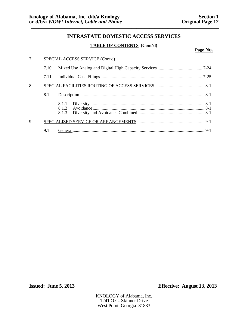### **TABLE OF CONTENTS (Cont'd)**

| 7. | SPECIAL ACCESS SERVICE (Cont'd) |              |  |
|----|---------------------------------|--------------|--|
|    | 7.10                            |              |  |
|    | 7.11                            |              |  |
| 8. |                                 |              |  |
|    | 8.1                             |              |  |
|    |                                 | 8.1.1<br>812 |  |
| 9. |                                 |              |  |
|    | 9.1                             |              |  |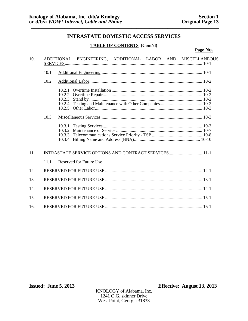### **TABLE OF CONTENTS (Cont'd)**

| 10. |      |                                                                    |                                                       |  | ADDITIONAL ENGINEERING, ADDITIONAL LABOR AND MISCELLANEOUS |
|-----|------|--------------------------------------------------------------------|-------------------------------------------------------|--|------------------------------------------------------------|
|     |      |                                                                    |                                                       |  |                                                            |
|     | 10.1 |                                                                    |                                                       |  |                                                            |
|     | 10.2 |                                                                    |                                                       |  |                                                            |
|     | 10.3 | 10.2.1<br>10.2.2<br>10.2.3<br>10.2.4<br>10.2.5<br>10.3.3<br>10.3.4 |                                                       |  |                                                            |
| 11. |      |                                                                    | INTRASTATE SERVICE OPTIONS AND CONTRACT SERVICES 11-1 |  |                                                            |
|     | 11.1 |                                                                    | <b>Reserved for Future Use</b>                        |  |                                                            |
| 12. |      |                                                                    |                                                       |  |                                                            |
| 13. |      |                                                                    |                                                       |  |                                                            |
| 14. |      |                                                                    |                                                       |  |                                                            |
| 15. |      |                                                                    |                                                       |  |                                                            |
| 16. |      |                                                                    |                                                       |  |                                                            |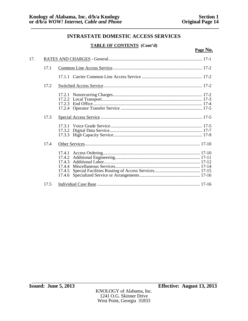**Page No.**

### **INTRASTATE DOMESTIC ACCESS SERVICES**

### **TABLE OF CONTENTS (Cont'd)**

| 17. |      |                                      |
|-----|------|--------------------------------------|
|     | 17.1 |                                      |
|     |      |                                      |
|     | 17.2 |                                      |
|     |      | 17.2.3                               |
|     | 17.3 |                                      |
|     |      | 17.3.2                               |
|     | 17.4 |                                      |
|     |      | 17.4.3<br>17.4.4<br>17.4.5<br>17.4.6 |
|     | 17.5 |                                      |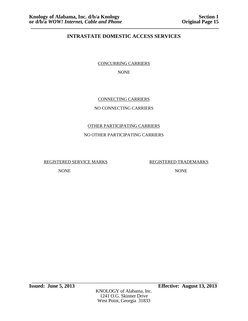CONCURRING CARRIERS

NONE

### CONNECTING CARRIERS

### NO CONNECTING CARRIERS

# OTHER PARTICIPATING CARRIERS

### NO OTHER PARTICIPATING CARRIERS

REGISTERED SERVICE MARKS REGISTERED TRADEMARKS

NONE NONE

\_\_\_\_\_\_\_\_\_\_\_\_\_\_\_\_\_\_\_\_\_\_\_\_\_\_\_\_\_\_\_\_\_\_\_\_\_\_\_\_\_\_\_\_\_\_\_\_\_\_\_\_\_\_\_\_\_\_\_\_\_\_\_\_\_\_\_\_\_\_\_ **Issued: June 5, 2013 Effective: August 13, 2013**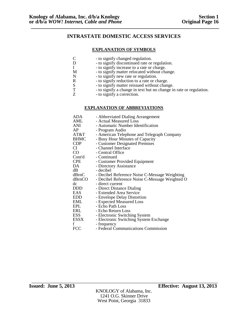### **EXPLANATION OF SYMBOLS**

- C to signify changed regulation.<br>D to signify discontinued rate or
- D to signify discontinued rate or regulation.<br>I to signify increase to a rate or charge.
- I to signify increase to a rate or charge.<br>M to signify matter relocated without cha
- M to signify matter relocated without change.<br>N to signify new rate or regulation.
	-
- N to signify new rate or regulation.<br>R to signify reduction to a rate or cl
	- to signify matter reissued without change.
- R to signify reduction to a rate or charge.<br>S to signify matter reissued without change T to signify a change in text but no change T - to signify a change in text but no change in rate or regulation.<br>Z - to signify a correction.
	- to signify a correction.

### **EXPLANATION OF ABBREVIATIONS**

| ADA         | - Abbreviated Dialing Arrangement              |
|-------------|------------------------------------------------|
| AML         | - Actual Measured Loss                         |
| ANI         | - Automatic Number Identification              |
| AP          | - Program Audio                                |
| AT&T        | - American Telephone and Telegraph Company     |
| <b>BHMC</b> | - Busy Hour Minutes of Capacity                |
| <b>CDP</b>  | - Customer Designated Premises                 |
| CI          | - Channel Interface                            |
| CO          | - Central Office                               |
| Cont'd      | - Continued                                    |
| <b>CPE</b>  | - Customer Provided Equipment                  |
| DA          | - Directory Assistance                         |
| dВ          | - decibel                                      |
| dBrnC       | - Decibel Reference Noise C-Message Weighting  |
| dBrnCO      | - Decibel Reference Noise C-Message Weighted O |
| dc          | - direct current                               |
| <b>DDD</b>  | - Direct Distance Dialing                      |
| <b>EAS</b>  | - Extended Area Service                        |
| <b>EDD</b>  | - Envelope Delay Distortion                    |
| <b>EML</b>  | - Expected Measured Loss                       |
| EPL         | - Echo Path Loss                               |
| ERL         | - Echo Return Loss                             |
| ESS         | - Electronic Switching System                  |
| ESSX        | - Electronic Switching System Exchange         |
| f           | - frequency                                    |
| <b>FCC</b>  | - Federal Communications Commission            |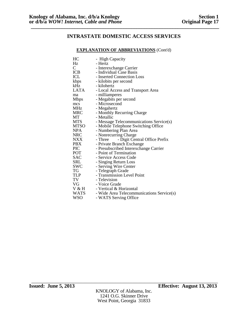### **EXPLANATION OF ABBREVIATIONS** (Cont'd)

| HC            | - High Capacity                           |
|---------------|-------------------------------------------|
| Hz            | - Hertz                                   |
| $\mathcal{C}$ | - Interexchange Carrier                   |
| ICB           | - Individual Case Basis                   |
| ICL           | - Inserted Connection Loss                |
| kbps          | - kilobits per second                     |
| kHz           | - kilohertz                               |
| LATA          | - Local Access and Transport Area         |
| ma            | - milliamperes                            |
| Mbps          | - Megabits per second                     |
| mcs           | - Microsecond                             |
| MHz           | - Megahertz                               |
| <b>MRC</b>    | - Monthly Recurring Charge                |
| МT            | - Metallic                                |
| <b>MTS</b>    | - Message Telecommunications Service(s)   |
| <b>MTSO</b>   | - Mobile Telephone Switching Office       |
| <b>NPA</b>    | - Numbering Plan Area                     |
| <b>NRC</b>    | - Nonrecurring Charge                     |
| NXX V         | - Digit Central Office Prefix<br>- Three  |
| PBX.          | - Private Branch Exchange                 |
| <b>PIC</b>    | - Presubscribed Interexchange Carrier     |
| POT           | - Point of Termination                    |
| <b>SAC</b>    | - Service Access Code                     |
| <b>SRL</b>    | - Singing Return Loss                     |
| SWC           | - Serving Wire Center                     |
| TG            | - Telegraph Grade                         |
| TLP           | - Transmission Level Point                |
| TV            | - Television                              |
| VG            | - Voice Grade                             |
| V & H         | - Vertical & Horizontal                   |
| <b>WATS</b>   | - Wide Area Telecommunications Service(s) |
| <b>WSO</b>    | - WATS Serving Office                     |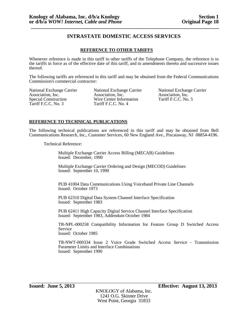### **REFERENCE TO OTHER TARIFFS**

Whenever reference is made in this tariff to other tariffs of the Telephone Company, the reference is to the tariffs in force as of the effective date of this tariff, and to amendments thereto and successive issues thereof.

The following tariffs are referenced in this tariff and may be obtained from the Federal Communications Commission's commercial contractor:

Tariff F.C.C. No. 3

National Exchange Carrier Mational Exchange Carrier National Exchange Carrier Association, Inc.<br>Association, Inc. Association, Inc. Association, Inc. (association, Inc. (Association, Inc. (Association, Inc. (Association, Inc. (Association, Inc. (Association, Inc. (Association, Inc. (Association, Inc. (Association, Inc. (Association, Inc. (Association, Wire Center Information<br>Tariff F.C.C. No. 4

### **REFERENCE TO TECHNICAL PUBLICATIONS**

The following technical publications are referenced in this tariff and may be obtained from Bell Communications Research, Inc., Customer Services, 60 New England Ave., Piscataway, NJ 08854-4196.

Technical Reference:

Multiple Exchange Carrier Access Billing (MECAB) Guidelines Issued: December, 1990

Multiple Exchange Carrier Ordering and Design (MECOD) Guidelines Issued: September 10, 1990

PUB 41004 Data Communications Using Voiceband Private Line Channels Issued: October 1973

PUB 62310 Digital Data System Channel Interface Specification Issued: September 1983

PUB 62411 High Capacity Digital Service Channel Interface Specification Issued: September 1983, Addendum October 1984

TR-NPL-000258 Compatibility Information for Feature Group D Switched Access Service Issued: October 1985

TR-NWT-000334 Issue 2 Voice Grade Switched Access Service - Transmission Parameter Limits and Interface Combinations Issued: September 1990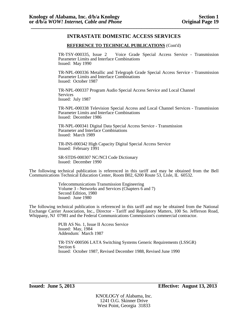### **REFERENCE TO TECHNICAL PUBLICATIONS** (Cont'd)

TR-TSY-000335, Issue 2 Voice Grade Special Access Service - Transmission Parameter Limits and Interface Combinations Issued: May 1990

TR-NPL-000336 Metallic and Telegraph Grade Special Access Service - Transmission Parameter Limits and Interface Combinations Issued: October 1987

TR-NPL-000337 Program Audio Special Access Service and Local Channel **Services** Issued: July 1987

TR-NPL-000338 Television Special Access and Local Channel Services - Transmission Parameter Limits and Interface Combinations Issued: December 1986

TR-NPL-000341 Digital Data Special Access Service - Transmission Parameter and Interface Combinations Issued: March 1989

TR-INS-000342 High Capacity Digital Special Access Service Issued: February 1991

SR-STDS-000307 NC/NCI Code Dictionary Issued: December 1990

The following technical publication is referenced in this tariff and may be obtained from the Bell Communications Technical Education Center, Room B02, 6200 Route 53, Lisle, IL 60532.

> Telecommunications Transmission Engineering Volume 3 - Networks and Services (Chapters 6 and 7) Second Edition, 1980 Issued: June 1980

The following technical publication is referenced in this tariff and may be obtained from the National Exchange Carrier Association, Inc., Director - Tariff and Regulatory Matters, 100 So. Jefferson Road, Whippany, NJ 07981 and the Federal Communications Commission's commercial contractor.

> PUB AS No. 1, Issue II Access Service Issued: May, 1984 Addendum: March 1987

TR-TSY-000506 LATA Switching Systems Generic Requirements (LSSGR) Section 6 Issued: October 1987, Revised December 1988, Revised June 1990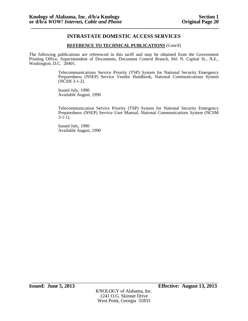### **REFERENCE TO TECHNICAL PUBLICATIONS** (Cont'd)

The following publications are referenced in this tariff and may be obtained from the Government Printing Office, Superintendent of Documents, Document Control Branch, 941 N. Capital St., N.E., Washington, D.C. 20401.

> Telecommunications Service Priority (TSP) System for National Security Emergency Preparedness (NSEP) Service Vendor Handbook, National Communications System (NCSH 3-1-2).

Issued July, 1990 Available August, 1990

Telecommunication Service Priority (TSP) System for National Security Emergency Preparedness (NSEP) Service User Manual, National Communications System (NCSM  $3-1-1$ ).

Issued July, 1990 Available August, 1990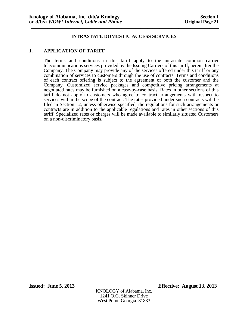### **1. APPLICATION OF TARIFF**

The terms and conditions in this tariff apply to the intrastate common carrier telecommunications services provided by the Issuing Carriers of this tariff, hereinafter the Company. The Company may provide any of the services offered under this tariff or any combination of services to customers through the use of contracts. Terms and conditions of each contract offering is subject to the agreement of both the customer and the Company. Customized service packages and competitive pricing arrangements at negotiated rates may be furnished on a case-by-case basis. Rates in other sections of this tariff do not apply to customers who agree to contract arrangements with respect to services within the scope of the contract. The rates provided under such contracts will be filed in Section 12, unless otherwise specified, the regulations for such arrangements or contracts are in addition to the applicable regulations and rates in other sections of this tariff. Specialized rates or charges will be made available to similarly situated Customers on a non-discriminatory basis.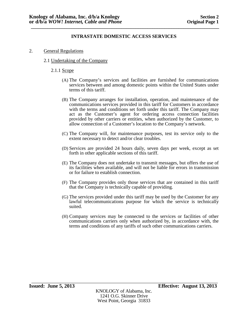- 2. General Regulations
	- 2.1 Undertaking of the Company
		- 2.1.1 Scope
			- (A) The Company's services and facilities are furnished for communications services between and among domestic points within the United States under terms of this tariff.
			- (B) The Company arranges for installation, operation, and maintenance of the communications services provided in this tariff for Customers in accordance with the terms and conditions set forth under this tariff. The Company may act as the Customer's agent for ordering access connection facilities provided by other carriers or entities, when authorized by the Customer, to allow connection of a Customer's location to the Company's network.
			- (C) The Company will, for maintenance purposes, test its service only to the extent necessary to detect and/or clear troubles.
			- (D) Services are provided 24 hours daily, seven days per week, except as set forth in other applicable sections of this tariff.
			- (E) The Company does not undertake to transmit messages, but offers the use of its facilities when available, and will not be liable for errors in transmission or for failure to establish connection.
			- (F) The Company provides only those services that are contained in this tariff that the Company is technically capable of providing.
			- (G) The services provided under this tariff may be used by the Customer for any lawful telecommunications purpose for which the service is technically suited.
			- (H) Company services may be connected to the services or facilities of other communications carriers only when authorized by, in accordance with, the terms and conditions of any tariffs of such other communications carriers.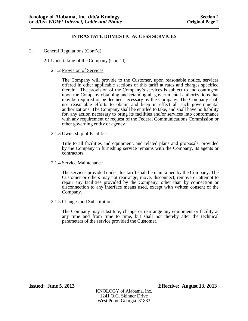- 2. General Regulations (Cont'd)
	- 2.1 Undertaking of the Company (Cont'd)

### 2.1.2 Provision of Services

The Company will provide to the Customer, upon reasonable notice, services offered in other applicable sections of this tariff at rates and charges specified therein. The provision of the Company's services is subject to and contingent upon the Company obtaining and retaining all governmental authorizations that may be required or be deemed necessary by the Company. The Company shall use reasonable efforts to obtain and keep in effect all such governmental authorizations. The Company shall be entitled to take, and shall have no liability for, any action necessary to bring its facilities and/or services into conformance with any requirement or request of the Federal Communications Commission or other governing entity or agency

### 2.1.3 Ownership of Facilities

Title to all facilities and equipment, and related plans and proposals, provided by the Company in furnishing service remains with the Company, its agents or contractors.

### 2.1.4 Service Maintenance

The services provided under this tariff shall be maintained by the Company. The Customer or others may not rearrange, move, disconnect, remove or attempt to repair any facilities provided by the Company, other than by connection or disconnection to any interface means used, except with written consent of the Company.

### 2.1.5 Changes and Substitutions

The Company may substitute, change or rearrange any equipment or facility at any time and from time to time, but shall not thereby alter the technical parameters of the service provided the Customer.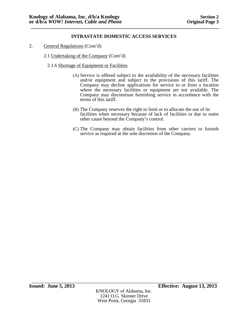- 2. General Regulations (Cont'd)
	- 2.1 Undertaking of the Company (Cont'd)
		- 2.1.6 Shortage of Equipment or Facilities
			- (A) Service is offered subject to the availability of the necessary facilities and/or equipment and subject to the provisions of this tariff. The Company may decline applications for service to or from a location where the necessary facilities or equipment are not available. The Company may discontinue furnishing service in accordance with the terms of this tariff.
			- (B) The Company reserves the right to limit or to allocate the use of its facilities when necessary because of lack of facilities or due to some other cause beyond the Company's control.
			- (C) The Company may obtain facilities from other carriers to furnish service as required at the sole discretion of the Company.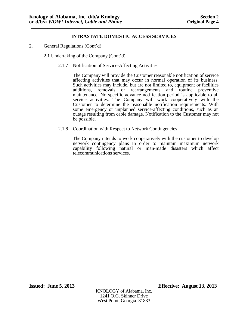- 2. General Regulations (Cont'd)
	- 2.1 Undertaking of the Company (Cont'd)
		- 2.1.7 Notification of Service-Affecting Activities

The Company will provide the Customer reasonable notification of service affecting activities that may occur in normal operation of its business. Such activities may include, but are not limited to, equipment or facilities additions, removals or rearrangements and routine preventive maintenance. No specific advance notification period is applicable to all service activities. The Company will work cooperatively with the Customer to determine the reasonable notification requirements. With some emergency or unplanned service-affecting conditions, such as an outage resulting from cable damage. Notification to the Customer may not be possible.

2.1.8 Coordination with Respect to Network Contingencies

The Company intends to work cooperatively with the customer to develop network contingency plans in order to maintain maximum network capability following natural or man-made disasters which affect telecommunications services.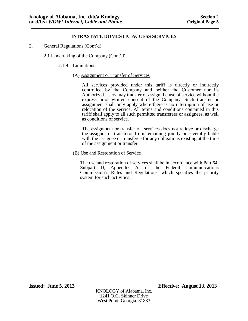- 2. General Regulations (Cont'd)
	- 2.1 Undertaking of the Company (Cont'd)
		- 2.1.9 Limitations
			- (A) Assignment or Transfer of Services

All services provided under this tariff is directly or indirectly controlled by the Company and neither the Customer nor its Authorized Users may transfer or assign the use of service without the express prior written consent of the Company. Such transfer or assignment shall only apply where there is no interruption of use or relocation of the service. All terms and conditions contained in this tariff shall apply to all such permitted transferees or assignees, as well as conditions of service.

The assignment or transfer of services does not relieve or discharge the assignor or transferor from remaining jointly or severally liable with the assignee or transferee for any obligations existing at the time of the assignment or transfer.

(B) Use and Restoration of Service

The use and restoration of services shall be in accordance with Part 64, Subpart D, Appendix A, of the Federal Communications Commission's Rules and Regulations, which specifies the priority system for such activities.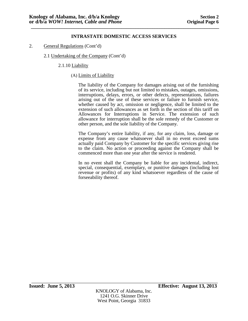- 2. General Regulations (Cont'd)
	- 2.1 Undertaking of the Company (Cont'd)
		- 2.1.10 Liability
			- (A) Limits of Liability

The liability of the Company for damages arising out of the furnishing of its service, including but not limited to mistakes, outages, omissions, interruptions, delays, errors, or other defects, representations, failures arising out of the use of these services or failure to furnish service, whether caused by act, omission or negligence, shall be limited to the extension of such allowances as set forth in the section of this tariff on Allowances for Interruptions in Service. The extension of such allowance for interruption shall be the sole remedy of the Customer or other person, and the sole liability of the Company.

The Company's entire liability, if any, for any claim, loss, damage or expense from any cause whatsoever shall in no event exceed sums actually paid Company by Customer for the specific services giving rise to the claim. No action or proceeding against the Company shall be commenced more than one year after the service is rendered.

In no event shall the Company be liable for any incidental, indirect, special, consequential, exemplary, or punitive damages (including lost revenue or profits) of any kind whatsoever regardless of the cause of forseeability thereof.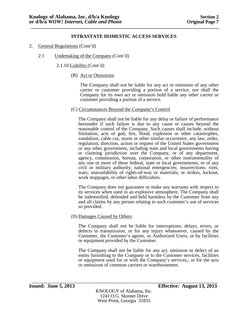- 2. General Regulations (Cont'd)
	- 2.1 Undertaking of the Company (Cont'd)

2.1.10 Liability (Cont'd)

(B) Act or Omissions

The Company shall not be liable for any act or omission of any other carrier or customer providing a portion of a service, nor shall the Company for its own act or omission hold liable any other carrier or customer providing a portion of a service.

(C) Circumstances Beyond the Company's Control

The Company shall not be liable for any delay or failure of performance hereunder if such failure is due to any cause or causes beyond the reasonable control of the Company. Such causes shall include, without limitation, acts of god, fire, flood, explosion or other catastrophes, vandalism, cable cut, storm or other similar occurrence, any law, order, regulation, direction, action or request of the United States government or any other government, including state and local governments having or claiming jurisdiction over the Company, or of any department, agency, commission, bureau, corporation, or other instrumentality of any one or more of these federal, state or local governments, or of any civil or military authority; national emergencies; insurrections; riots; wars; unavailability of rights-of-way or materials; or strikes, lockout, work stoppages, or other labor difficulties.

The Company does not guarantee or make any warranty with respect to its services when used in an explosive atmosphere. The Company shall be indemnified, defended and held harmless by the Customer from any and all claims by any person relating to such customer's use of services so provided.

(D) Damages Caused by Others

The Company shall not be liable for interruptions, delays, errors, or defects in transmission, or for any injury whatsoever, caused by the Customer, the Customer's agents, or Authorized Users, or by facilities or equipment provided by the Customer.

The Company shall not be liable for any act, omission or defect of an entity furnishing to the Company or to the Customer services, facilities or equipment used for or with the Company's services,; or for the acts or omissions of common carriers or warehousemen.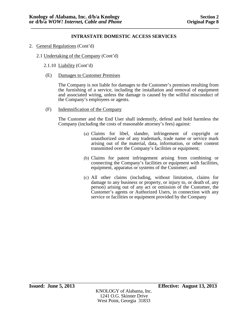- 2. General Regulations (Cont'd)
	- 2.1 Undertaking of the Company (Cont'd)
		- 2.1.10 Liability (Cont'd)
		- (E) Damages to Customer Premises

The Company is not liable for damages to the Customer's premises resulting from the furnishing of a service, including the installation and removal of equipment and associated wiring, unless the damage is caused by the willful misconduct of the Company's employees or agents.

(F) Indemnification of the Company

The Customer and the End User shall indemnify, defend and hold harmless the Company (including the costs of reasonable attorney's fees) against:

- (a) Claims for libel, slander, infringement of copyright or unauthorized use of any trademark, trade name or service mark arising out of the material, data, information, or other content transmitted over the Company's facilities or equipment;
- (b) Claims for patent infringement arising from combining or connecting the Company's facilities or equipment with facilities, equipment, apparatus or systems of the Customer; and
- (c) All other claims (including, without limitation, claims for damage to any business or property, or injury to, or death of, any person) arising out of any act or omission of the Customer, the Customer's agents or Authorized Users, in connection with any service or facilities or equipment provided by the Company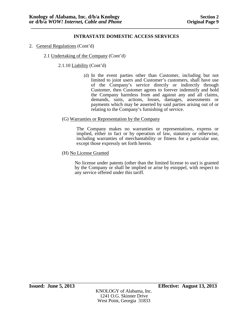- 2. General Regulations (Cont'd)
	- 2.1 Undertaking of the Company (Cont'd)

2.1.10 Liability (Cont'd)

- (d) In the event parties other than Customer, including but not limited to joint users and Customer's customers, shall have use of the Company's service directly or indirectly through Customer, then Customer agrees to forever indemnify and hold the Company harmless from and against any and all claims, demands, suits, actions, losses, damages, assessments or payments which may be asserted by said parties arising out of or relating to the Company's furnishing of service.
- (G) Warranties or Representation by the Company

The Company makes no warranties or representations, express or implied, either in fact or by operation of law, statutory or otherwise, including warranties of merchantability or fitness for a particular use, except those expressly set forth herein.

(H) No License Granted

No license under patents (other than the limited license to use) is granted by the Company or shall be implied or arise by estoppel, with respect to any service offered under this tariff.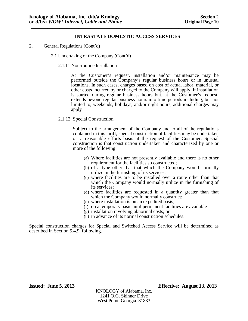- 2. General Regulations (Cont'd**)**
	- 2.1 Undertaking of the Company (Cont'd**)**
		- 2.1.11 Non-routine Installation

At the Customer's request, installation and/or maintenance may be performed outside the Company's regular business hours or in unusual locations. In such cases, charges based on cost of actual labor, material, or other costs incurred by or charged to the Company will apply. If installation is started during regular business hours but, at the Customer's request, extends beyond regular business hours into time periods including, but not limited to, weekends, holidays, and/or night hours, additional charges may apply

### 2.1.12 Special Construction

Subject to the arrangement of the Company and to all of the regulations contained in this tariff, special construction of facilities may be undertaken on a reasonable efforts basis at the request of the Customer. Special construction is that construction undertaken and characterized by one or more of the following:

- (a) Where facilities are not presently available and there is no other requirement for the facilities so constructed;
- (b) of a type other that that which the Company would normally utilize in the furnishing of its services;
- (c) where facilities are to be installed over a route other than that which the Company would normally utilize in the furnishing of its services;
- (d) where facilities are requested in a quantity greater than that which the Company would normally construct;
- (e) where installation is on an expedited basis;
- (f) on a temporary basis until permanent facilities are available
- (g) installation involving abnormal costs; or
- (h) in advance of its normal construction schedules.

Special construction charges for Special and Switched Access Service will be determined as described in Section 5.4.9, following.

West Point, Georgia 31833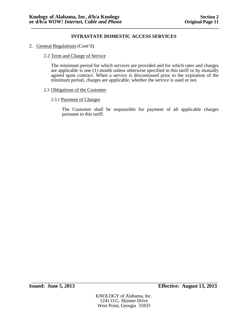2. General Regulations (Cont'd)

### 2.2 Term and Charge of Service

The minimum period for which services are provided and for which rates and charges are applicable is one (1) month unless otherwise specified in this tariff or by mutually agreed upon contract. When a service is discontinued prior to the expiration of the minimum period, charges are applicable, whether the service is used or not.

### 2.3 Obligations of the Customer

### 2.3.1 Payment of Charges

The Customer shall be responsible for payment of all applicable charges pursuant to this tariff.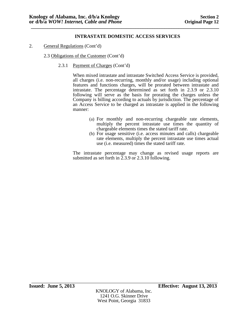2. General Regulations (Cont'd)

2.3 Obligations of the Customer (Cont'd)

2.3.1 Payment of Charges (Cont'd)

When mixed intrastate and intrastate Switched Access Service is provided, all charges (i.e. non-recurring, monthly and/or usage) including optional features and functions charges, will be prorated between intrastate and intrastate. The percentage determined as set forth in 2.3.9 or 2.3.10 following will serve as the basis for prorating the charges unless the Company is billing according to actuals by jurisdiction. The percentage of an Access Service to be charged as intrastate is applied in the following manner:

- (a) For monthly and non-recurring chargeable rate elements, multiply the percent intrastate use times the quantity of chargeable elements times the stated tariff rate.
- (b) For usage sensitive (i.e. access minutes and calls) chargeable rate elements, multiply the percent intrastate use times actual use (i.e. measured) times the stated tariff rate.

The intrastate percentage may change as revised usage reports are submitted as set forth in 2.3.9 or 2.3.10 following.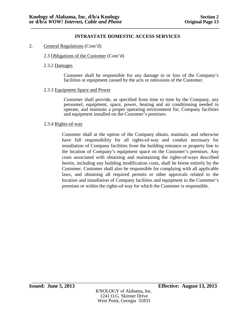- 2. General Regulations (Cont'd)
	- 2.3 Obligations of the Customer (Cont'd)
	- 2.3.2 Damages

Customer shall be responsible for any damage to or loss of the Company's facilities or equipment caused by the acts or omissions of the Customer.

2.3.3 Equipment Space and Power

Customer shall provide, as specified from time to time by the Company, any personnel, equipment, space, power, heating and air conditioning needed to operate, and maintain a proper operating environment for, Company facilities and equipment installed on the Customer's premises.

2.3.4 Rights-of-way

Customer shall at the option of the Company obtain, maintain, and otherwise have full responsibility for all rights-of-way and conduit necessary for installation of Company facilities from the building entrance or property line to the location of Company's equipment space on the Customer's premises. Any costs associated with obtaining and maintaining the rights-of-ways described herein, including any building modification costs, shall be borne entirely by the Customer. Customer shall also be responsible for complying with all applicable laws, and obtaining all required permits or other approvals related to the location and installation of Company facilities and equipment in the Customer's premises or within the rights-of-way for which the Customer is responsible.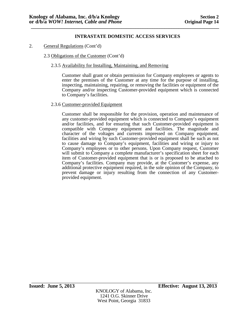2. General Regulations (Cont'd)

# 2.3 Obligations of the Customer (Cont'd)

# 2.3.5 Availability for Installing, Maintaining, and Removing

Customer shall grant or obtain permission for Company employees or agents to enter the premises of the Customer at any time for the purpose of installing, inspecting, maintaining, repairing, or removing the facilities or equipment of the Company and/or inspecting Customer-provided equipment which is connected to Company's facilities.

## 2.3.6 Customer-provided Equipment

Customer shall be responsible for the provision, operation and maintenance of any customer-provided equipment which is connected to Company's equipment and/or facilities, and for ensuring that such Customer-provided equipment is compatible with Company equipment and facilities. The magnitude and character of the voltages and currents impressed on Company equipment, facilities and wiring by such Customer-provided equipment shall be such as not to cause damage to Company's equipment, facilities and wiring or injury to Company's employees or to other persons. Upon Company request, Customer will submit to Company a complete manufacturer's specification sheet for each item of Customer-provided equipment that is or is proposed to be attached to Company's facilities. Company may provide, at the Customer's expense, any additional protective equipment required, in the sole opinion of the Company, to prevent damage or injury resulting from the connection of any Customerprovided equipment.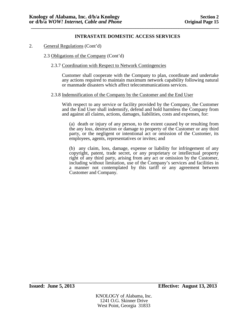- 2. General Regulations (Cont'd)
	- 2.3 Obligations of the Company (Cont'd)
		- 2.3.7 Coordination with Respect to Network Contingencies

Customer shall cooperate with the Company to plan, coordinate and undertake any actions required to maintain maximum network capability following natural or manmade disasters which affect telecommunications services.

### 2.3.8 Indemnification of the Company by the Customer and the End User

With respect to any service or facility provided by the Company, the Customer and the End User shall indemnify, defend and hold harmless the Company from and against all claims, actions, damages, liabilities, costs and expenses, for:

(a) death or injury of any person, to the extent caused by or resulting from the any loss, destruction or damage to property of the Customer or any third party, or the negligent or intentional act or omission of the Customer, its employees, agents, representatives or invites; and

(b) any claim, loss, damage, expense or liability for infringement of any copyright, patent, trade secret, or any proprietary or intellectual property right of any third party, arising from any act or omission by the Customer, including without limitation, use of the Company's services and facilities in a manner not contemplated by this tariff or any agreement between Customer and Company.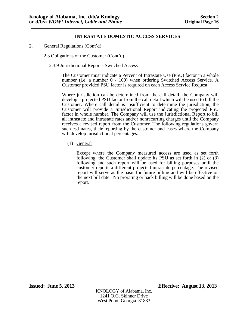2. General Regulations (Cont'd)

2.3 Obligations of the Customer (Cont'd)

2.3.9 Jurisdictional Report - Switched Access

The Customer must indicate a Percent of Intrastate Use (PSU) factor in a whole number (i.e. a number 0 - 100) when ordering Switched Access Service. A Customer provided PSU factor is required on each Access Service Request.

Where jurisdiction can be determined from the call detail, the Company will develop a projected PSU factor from the call detail which will be used to bill the Customer. Where call detail is insufficient to determine the jurisdiction, the Customer will provide a Jurisdictional Report indicating the projected PSU factor in whole number. The Company will use the Jurisdictional Report to bill all intrastate and intrastate rates and/or nonrecurring charges until the Company receives a revised report from the Customer. The following regulations govern such estimates, their reporting by the customer and cases where the Company will develop jurisdictional percentages.

(1) General

Except where the Company measured access are used as set forth following, the Customer shall update its PSU as set forth in (2) or (3) following and such report will be used for billing purposes until the customer reports a different projected intrastate percentage. The revised report will serve as the basis for future billing and will be effective on the next bill date. No prorating or back billing will be done based on the report.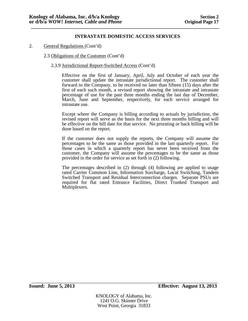- 2. General Regulations (Cont'd)
	- 2.3 Obligations of the Customer (Cont'd)
		- 2.3.9 Jurisdictional Report-Switched Access (Cont'd)

Effective on the first of January, April, July and October of each year the customer shall update the intrastate jurisdictional report. The customer shall forward to the Company, to be received no later than fifteen (15) days after the first of each such month, a revised report showing the intrastate and intrastate percentage of use for the past three months ending the last day of December, March, June and September, respectively, for each service arranged for intrastate use.

Except where the Company is billing according to actuals by jurisdiction, the revised report will serve as the basis for the next three months billing and will be effective on the bill date for that service. No prorating or back billing will be done based on the report.

If the customer does not supply the reports, the Company will assume the percentages to be the same as those provided in the last quarterly report. For those cases in which a quarterly report has never been received from the customer, the Company will assume the percentages to be the same as those provided in the order for service as set forth in (2) following.

The percentages described in (2) through (4) following are applied to usage rated Carrier Common Line, Information Surcharge, Local Switching, Tandem Switched Transport and Residual Interconnection charges. Separate PSUs are required for flat rated Entrance Facilities, Direct Trunked Transport and Multiplexers.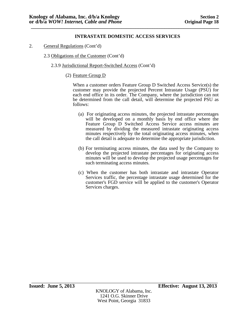- 2. General Regulations (Cont'd)
	- 2.3 Obligations of the Customer (Cont'd)
		- 2.3.9 Jurisdictional Report-Switched Access (Cont'd)
			- (2) Feature Group D

When a customer orders Feature Group D Switched Access Service(s) the customer may provide the projected Percent Intrastate Usage (PSU) for each end office in its order. The Company, where the jurisdiction can not be determined from the call detail, will determine the projected PSU as follows:

- (a) For originating access minutes, the projected intrastate percentages will be developed on a monthly basis by end office where the Feature Group D Switched Access Service access minutes are measured by dividing the measured intrastate originating access minutes respectively by the total originating access minutes, when the call detail is adequate to determine the appropriate jurisdiction.
- (b) For terminating access minutes, the data used by the Company to develop the projected intrastate percentages for originating access minutes will be used to develop the projected usage percentages for such terminating access minutes.
- (c) When the customer has both intrastate and intrastate Operator Services traffic, the percentage intrastate usage determined for the customer's FGD service will be applied to the customer's Operator Services charges.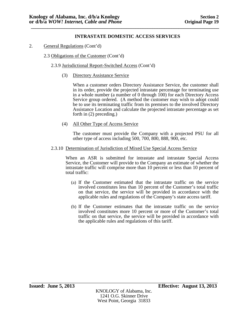- 2. General Regulations (Cont'd)
	- 2.3 Obligations of the Customer (Cont'd)

# 2.3.9 Jurisdictional Report-Switched Access (Cont'd)

(3) Directory Assistance Service

When a customer orders Directory Assistance Service, the customer shall in its order, provide the projected intrastate percentage for terminating use in a whole number (a number of 0 through 100) for each Directory Access Service group ordered. (A method the customer may wish to adopt could be to use its terminating traffic from its premises to the involved Directory Assistance Location and calculate the projected intrastate percentage as set forth in (2) preceding.)

(4) All Other Type of Access Service

The customer must provide the Company with a projected PSU for all other type of access including 500, 700, 800, 888, 900, etc.

2.3.10 Determination of Jurisdiction of Mixed Use Special Access Service

When an ASR is submitted for intrastate and intrastate Special Access Service, the Customer will provide to the Company an estimate of whether the intrastate traffic will comprise more than 10 percent or less than 10 percent of total traffic:

- (a) If the Customer estimated that the intrastate traffic on the service involved constitutes less than 10 percent of the Customer's total traffic on that service, the service will be provided in accordance with the applicable rules and regulations of the Company's state access tariff.
- (b) If the Customer estimates that the intrastate traffic on the service involved constitutes more 10 percent or more of the Customer's total traffic on that service, the service will be provided in accordance with the applicable rules and regulations of this tariff.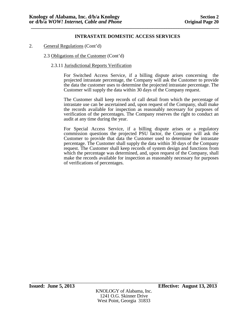# 2. General Regulations (Cont'd)

# 2.3 Obligations of the Customer (Cont'd)

# 2.3.11 Jurisdictional Reports Verification

For Switched Access Service, if a billing dispute arises concerning the projected intrastate percentage, the Company will ask the Customer to provide the data the customer uses to determine the projected intrastate percentage. The Customer will supply the data within 30 days of the Company request.

The Customer shall keep records of call detail from which the percentage of intrastate use can be ascertained and, upon request of the Company, shall make the records available for inspection as reasonably necessary for purposes of verification of the percentages. The Company reserves the right to conduct an audit at any time during the year.

For Special Access Service, if a billing dispute arises or a regulatory commission questions the projected PSU factor, the Company will ask the Customer to provide that data the Customer used to determine the intrastate percentage. The Customer shall supply the data within 30 days of the Company request. The Customer shall keep records of system design and functions from which the percentage was determined, and, upon request of the Company, shall make the records available for inspection as reasonably necessary for purposes of verifications of percentages.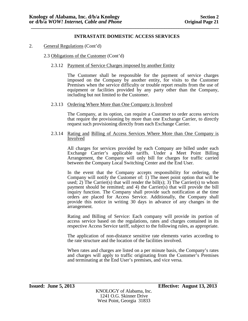2. General Regulations (Cont'd)

# 2.3 Obligations of the Customer (Cont'd)

2.3.12 Payment of Service Charges imposed by another Entity

The Customer shall be responsible for the payment of service charges imposed on the Company by another entity, for visits to the Customer Premises when the service difficulty or trouble report results from the use of equipment or facilities provided by any party other than the Company, including but not limited to the Customer.

## 2.3.13 Ordering Where More than One Company is Involved

The Company, at its option, can require a Customer to order access services that require the provisioning by more than one Exchange Carrier, to directly request such provisioning directly from each Exchange Carrier.

### 2.3.14 Rating and Billing of Access Services Where More than One Company is Involved

All charges for services provided by each Company are billed under each Exchange Carrier's applicable tariffs. Under a Meet Point Billing Arrangement, the Company will only bill for charges for traffic carried between the Company Local Switching Center and the End User.

In the event that the Company accepts responsibility for ordering, the Company will notify the Customer of: 1) The meet point option that will be used; 2) The Carrier(s) that will render the bill(s); 3) The Carrier(s) to whom payment should be remitted; and 4) the Carrier(s) that will provide the bill inquiry function. The Company shall provide such notification at the time orders are placed for Access Service. Additionally, the Company shall provide this notice in writing 30 days in advance of any changes in the arrangement.

Rating and Billing of Service: Each company will provide its portion of access service based on the regulations, rates and charges contained in its respective Access Service tariff, subject to the following rules, as appropriate.

The application of non-distance sensitive rate elements varies according to the rate structure and the location of the facilities involved.

When rates and charges are listed on a per minute basis, the Company's rates and charges will apply to traffic originating from the Customer's Premises and terminating at the End User's premises, and vice versa.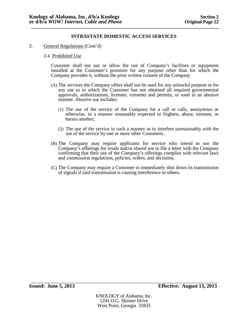2. General Regulations (Cont'd)

### 2.4 Prohibited Use

Customer shall not use or allow the use of Company's facilities or equipment installed at the Customer's premises for any purpose other than for which the Company provides it, without the prior written consent of the Company

- (A) The services the Company offers shall not be used for any unlawful purpose or for any use as to which the Customer has not obtained all required governmental approvals, authorizations, licenses, consents and permits, or used in an abusive manner. Abusive use includes:
	- (1) The use of the service of the Company for a call or calls, anonymous or otherwise, in a manner reasonably expected to frighten, abuse, torment, or harass another;
	- (2) The use of the service in such a manner as to interfere unreasonably with the use of the service by one or more other Customers.
- (B) The Company may require applicants for service who intend to use the Company's offerings for resale and/or shared use to file a letter with the Company confirming that their use of the Company's offerings complies with relevant laws and commission regulations, policies, orders, and decisions.
- (C) The Company may require a Customer to immediately shut down its transmission of signals if said transmission is causing interference to others.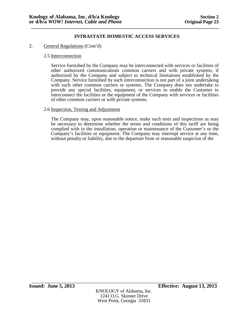# 2. General Regulations (Cont'd)

# 2.5 Interconnection

Service furnished by the Company may be interconnected with services or facilities of other authorized communications common carriers and with private systems, if authorized by the Company and subject to technical limitations established by the Company. Service furnished by such interconnection is not part of a joint undertaking with such other common carriers or systems. The Company does not undertake to provide any special facilities, equipment, or services to enable the Customer to interconnect the facilities or the equipment of the Company with services or facilities of other common carriers or with private systems.

# 2.6 Inspection, Testing and Adjustment

The Company may, upon reasonable notice, make such tests and inspections as may be necessary to determine whether the terms and conditions of this tariff are being complied with in the installation, operation or maintenance of the Customer's or the Company's facilities or equipment. The Company may interrupt service at any time, without penalty or liability, due to the departure from or reasonable suspicion of the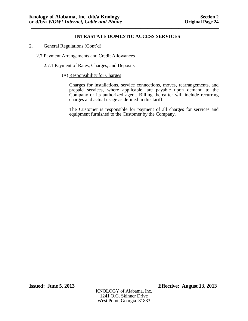- 2. General Regulations (Cont'd)
	- 2.7 Payment Arrangements and Credit Allowances
		- 2.7.1 Payment of Rates, Charges, and Deposits
			- (A) Responsibility for Charges

Charges for installations, service connections, moves, rearrangements, and prepaid services, where applicable, are payable upon demand to the Company or its authorized agent. Billing thereafter will include recurring charges and actual usage as defined in this tariff.

The Customer is responsible for payment of all charges for services and equipment furnished to the Customer by the Company.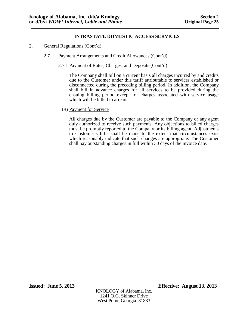- 2. General Regulations (Cont'd)
	- 2.7 Payment Arrangements and Credit Allowances (Cont'd)
		- 2.7.1 Payment of Rates, Charges, and Deposits (Cont'd)

The Company shall bill on a current basis all charges incurred by and credits due to the Customer under this tariff attributable to services established or disconnected during the preceding billing period. In addition, the Company shall bill in advance charges for all services to be provided during the ensuing billing period except for charges associated with service usage which will be billed in arrears.

(B) Payment for Service

All charges due by the Customer are payable to the Company or any agent duly authorized to receive such payments. Any objections to billed charges must be promptly reported to the Company or its billing agent. Adjustments to Customer's bills shall be made to the extent that circumstances exist which reasonably indicate that such changes are appropriate. The Customer shall pay outstanding charges in full within 30 days of the invoice date.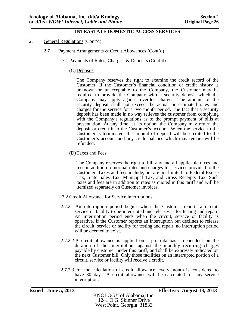### **\_\_\_\_\_\_\_\_\_\_\_\_\_\_\_\_\_\_\_\_\_\_\_\_\_\_\_\_\_\_\_\_\_\_\_\_\_\_\_\_\_\_\_\_\_\_\_\_\_\_\_\_\_\_\_\_\_\_\_\_\_\_\_\_\_\_\_\_\_\_\_\_\_\_\_\_\_\_\_ INTRASTATE DOMESTIC ACCESS SERVICES**

- 2. General Regulations (Cont'd)
	- 2.7 Payment Arrangements & Credit Allowances (Cont'd)
		- 2.7.1 Payments of Rates, Charges, & Deposits (Cont'd)

# (C) Deposits

The Company reserves the right to examine the credit record of the Customer. If the Customer's financial condition or credit history is unknown or unacceptable to the Company, the Customer may be required to provide the Company with a security deposit which the Company may apply against overdue charges. The amount of the security deposit shall not exceed the actual or estimated rates and charges for the service for a two month period. The fact that a security deposit has been made in no way relieves the customer from complying with the Company's regulations as to the prompt payment of bills at presentation. At any time, at its option, the Company may return the deposit or credit it to the Customer's account. When the service to the Customer is terminated, the amount of deposit will be credited to the Customer's account and any credit balance which may remain will be refunded.

(D)Taxes and Fees

The Company reserves the right to bill any and all applicable taxes and fees in addition to normal rates and charges for services provided to the Customer. Taxes and fees include, but are not limited to: Federal Excise Tax, State Sales Tax, Municipal Tax, and Gross Receipts Tax. Such taxes and fees are in addition to rates as quoted in this tariff and will be itemized separately on Customer invoices.

- 2.7.2 Credit Allowance for Service Interruptions
- 2.7.2.1 An interruption period begins when the Customer reports a circuit, service or facility to be interrupted and releases it for testing and repair. An interruption period ends when the circuit, service or facility is operative. If the Customer reports an interruption but declines to release the circuit, service or facility for testing and repair, no interruption period will be deemed to exist.
- 2.7.2.2 A credit allowance is applied on a pro rata basis, dependent on the duration of the interruption, against the monthly recurring charges payable by customer under this tariff, and shall be expressly indicated on the next Customer bill. Only those facilities on an interrupted portion of a circuit, service or facility will receive a credit.
- 2.7.2.3 For the calculation of credit allowance, every month is considered to have 30 days. A credit allowance will be calculated for any service interruption.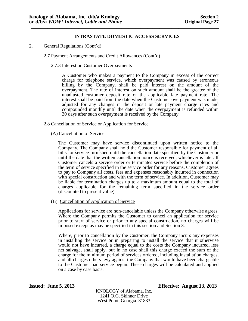- 2. General Regulations (Cont'd)
	- 2.7 Payment Arrangements and Credit Allowances (Cont'd)
		- 2.7.3 Interest on Customer Overpayments

A Customer who makes a payment to the Company in excess of the correct charge for telephone service, which overpayment was caused by erroneous billing by the Company, shall be paid interest on the amount of the overpayment. The rate of interest on such amount shall be the greater of the unadjusted customer deposit rate or the applicable late payment rate. The interest shall be paid from the date when the Customer overpayment was made, adjusted for any changes in the deposit or late payment charge rates and compounded monthly until the date when the overpayment is refunded within 30 days after such overpayment is received by the Company.

## 2.8 Cancellation of Service or Application for Service

# (A) Cancellation of Service

The Customer may have service discontinued upon written notice to the Company. The Company shall hold the Customer responsible for payment of all bills for service furnished until the cancellation date specified by the Customer or until the date that the written cancellation notice is received, whichever is later. If Customer cancels a service order or terminates service before the completion of the term of service specified in the service order for any reasons, Customer agrees to pay to Company all costs, fees and expenses reasonably incurred in connection with special construction and with the term of service. In addition, Customer may be liable for termination charges up to a maximum amount equal to the total of charges applicable for the remaining term specified in the service order (discounted to present value).

(B) Cancellation of Application of Service

Applications for service are non-cancelable unless the Company otherwise agrees. Where the Company permits the Customer to cancel an application for service prior to start of service or prior to any special construction, no charges will be imposed except as may be specified in this section and Section 3.

Where, prior to cancellation by the Customer, the Company incurs any expenses in installing the service or in preparing to install the service that it otherwise would not have incurred, a charge equal to the costs the Company incurred, less net salvage, shall apply, but in no case shall this charge exceed the sum of the charge for the minimum period of services ordered, including installation charges, and all charges others levy against the Company that would have been chargeable to the Customer had service begun. These charges will be calculated and applied on a case by case basis.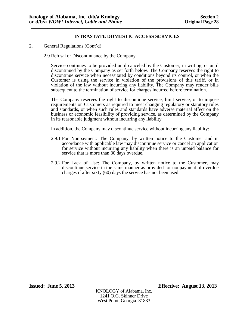# 2. General Regulations (Cont'd)

# 2.9 Refusal or Discontinuance by the Company

Service continues to be provided until canceled by the Customer, in writing, or until discontinued by the Company as set forth below. The Company reserves the right to discontinue service when necessitated by conditions beyond its control, or when the Customer is using the service in violation of the provisions of this tariff, or in violation of the law without incurring any liability. The Company may render bills subsequent to the termination of service for charges incurred before termination.

The Company reserves the right to discontinue service, limit service, or to impose requirements on Customers as required to meet changing regulatory or statutory rules and standards, or when such rules and standards have adverse material affect on the business or economic feasibility of providing service, as determined by the Company in its reasonable judgment without incurring any liability.

In addition, the Company may discontinue service without incurring any liability:

- 2.9.1 For Nonpayment: The Company, by written notice to the Customer and in accordance with applicable law may discontinue service or cancel an application for service without incurring any liability when there is an unpaid balance for service that is more than 30 days overdue.
- 2.9.2 For Lack of Use: The Company, by written notice to the Customer, may discontinue service in the same manner as provided for nonpayment of overdue charges if after sixty (60) days the service has not been used.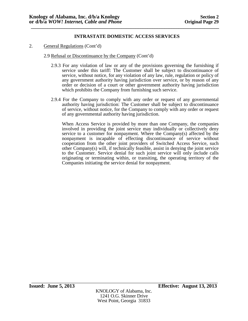- 2. General Regulations (Cont'd)
	- 2.9 Refusal or Discontinuance by the Company (Cont'd)
		- 2.9.3 For any violation of law or any of the provisions governing the furnishing if service under this tariff: The Customer shall be subject to discontinuance of service, without notice, for any violation of any law, rule, regulation or policy of any government authority having jurisdiction over service, or by reason of any order or decision of a court or other government authority having jurisdiction which prohibits the Company from furnishing such service.
		- 2.9.4 For the Company to comply with any order or request of any governmental authority having jurisdiction: The Customer shall be subject to discontinuance of service, without notice, for the Company to comply with any order or request of any governmental authority having jurisdiction.

When Access Service is provided by more than one Company, the companies involved in providing the joint service may individually or collectively deny service to a customer for nonpayment. Where the Company(s) affected by the nonpayment is incapable of effecting discontinuance of service without cooperation from the other joint providers of Switched Access Service, such other Company(s) will, if technically feasible, assist in denying the joint service to the Customer. Service denial for such joint service will only include calls originating or terminating within, or transiting, the operating territory of the Companies initiating the service denial for nonpayment.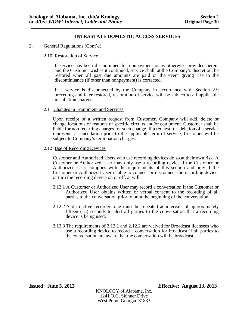# 2. General Regulations (Cont'd)

# 2.10 Restoration of Service

If service has been discontinued for nonpayment or as otherwise provided herein and the Customer wishes it continued, service shall, at the Company's discretion, be restored when all past due amounts are paid or the event giving rise to the discontinuance (if other than nonpayment) is corrected.

If a service is disconnected by the Company in accordance with Section 2.9 preceding and later restored, restoration of service will be subject to all applicable installation charges.

## 2.11 Changes in Equipment and Services

Upon receipt of a written request from Customer, Company will add, delete or change locations or features of specific circuits and/or equipment. Customer shall be liable for non recurring charges for such change. If a request for deletion of a service represents a cancellation prior to the applicable term of service, Customer will be subject to Company's termination charges.

### 2.12 Use of Recording Devices

Customer and Authorized Users who use recording devices do so at their own risk. A Customer or Authorized User may only use a recording device if the Customer or Authorized User complies with the requirements of this section and only if the Customer or Authorized User is able to connect or disconnect the recording device, or turn the recording device on or off, at will.

- 2.12.1 A Customer or Authorized User may record a conversation if the Customer or Authorized User obtains written or verbal consent to the recording of all parties to the conversation prior to or at the beginning of the conversation.
- 2.12.2 A distinctive recorder tone must be repeated at intervals of approximately fifteen (15) seconds to alert all parties to the conversation that a recording device is being used.
- 2.12.3 The requirements of 2.12.1 and 2.12.2 are waived for Broadcast licensees who use a recording device to record a conversation for broadcast if all parties to the conversation are aware that the conversation will be broadcast.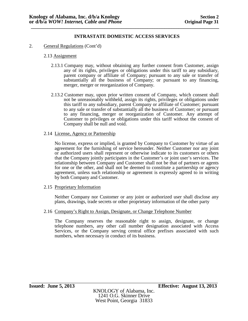2. General Regulations (Cont'd)

# 2.13 Assignment

- 2.13.1 Company may, without obtaining any further consent from Customer, assign any of its rights, privileges or obligations under this tariff to any subsidiary, parent company or affiliate of Company; pursuant to any sale or transfer of substantially all the business of Company; or pursuant to any financing, merger, merger or reorganization of Company.
- 2.13.2 Customer may, upon prior written consent of Company, which consent shall not be unreasonably withheld, assign its rights, privileges or obligations under this tariff to any subsidiary, parent Company or affiliate of Customer; pursuant to any sale or transfer of substantially all the business of Customer; or pursuant to any financing, merger or reorganization of Customer. Any attempt of Customer to privileges or obligations under this tariff without the consent of Company shall be null and void.

## 2.14 License, Agency or Partnership

No license, express or implied, is granted by Company to Customer by virtue of an agreement for the furnishing of service hereunder. Neither Customer nor any joint or authorized users shall represent or otherwise indicate to its customers or others that the Company jointly participates in the Customer's or joint user's services. The relationship between Company and Customer shall not be that of partners or agents for one or the other, and shall not be deemed to constitute a partnership or agency agreement, unless such relationship or agreement is expressly agreed to in writing by both Company and Customer.

## 2.15 Proprietary Information

Neither Company nor Customer or any joint or authorized user shall disclose any plans, drawings, trade secrets or other proprietary information of the other party

# 2.16 Company's Right to Assign, Designate, or Change Telephone Number

The Company reserves the reasonable right to assign, designate, or change telephone numbers, any other call number designation associated with Access Services, or the Company serving central office prefixes associated with such numbers, when necessary in conduct of its business.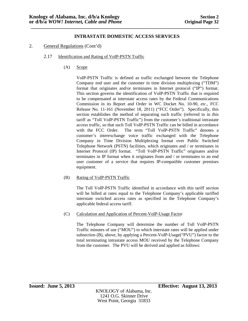2. General Regulations (Cont'd)

# 2.17 Identification and Rating of VoIP-PSTN Traffic

(A) Scope

VoIP-PSTN Traffic is defined as traffic exchanged between the Telephone Company end user and the customer in time division multiplexing ("TDM") format that originates and/or terminates in Internet protocol ("IP") format. This section governs the identification of VoIP-PSTN Traffic that is required to be compensated at interstate access rates by the Federal Communications Commission in its Report and Order in WC Docket No. 10-90, *etc.*, FCC Release No. 11-161 (November 18, 2011) ("FCC Order"). Specifically, this section establishes the method of separating such traffic (referred to in this tariff as "Toll VoIP-PSTN Traffic") from the customer's traditional intrastate access traffic, so that such Toll VoIP-PSTN Traffic can be billed in accordance with the FCC Order. The term "Toll VoIP-PSTN Traffic" denotes a customer's interexchange voice traffic exchanged with the Telephone Company in Time Division Multiplexing format over Public Switched Telephone Network (PSTN) facilities, which originates and / or terminates in Internet Protocol (IP) format. "Toll VoIP-PSTN Traffic" originates and/or terminates in IP format when it originates from and / or terminates to an end user customer of a service that requires IP-compatible customer premises equipment.

## (B) Rating of VoIP-PSTN Traffic

The Toll VoIP-PSTN Traffic identified in accordance with this tariff section will be billed at rates equal to the Telephone Company's applicable tariffed interstate switched access rates as specified in the Telephone Company's applicable federal access tariff.

(C) Calculation and Application of Percent-VoIP-Usage Factor

The Telephone Company will determine the number of Toll VoIP-PSTN Traffic minutes of use ("MOU") to which interstate rates will be applied under subsection (B), above, by applying a Percent-VoIP-Usage("PVU") factor to the total terminating intrastate access MOU received by the Telephone Company from the customer. The PVU will be derived and applied as follows: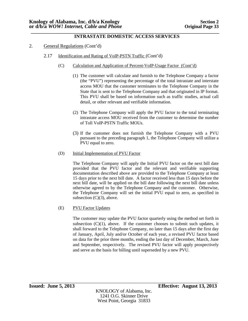### **\_\_\_\_\_\_\_\_\_\_\_\_\_\_\_\_\_\_\_\_\_\_\_\_\_\_\_\_\_\_\_\_\_\_\_\_\_\_\_\_\_\_\_\_\_\_\_\_\_\_\_\_\_\_\_\_\_\_\_\_\_\_\_\_\_\_\_\_\_\_\_\_\_\_\_\_\_\_\_ INTRASTATE DOMESTIC ACCESS SERVICES**

- 2. General Regulations (Cont'd)
	- 2.17 Identification and Rating of VoIP-PSTN Traffic (Cont'd)
		- (C) Calculation and Application of Percent-VoIP-Usage Factor (Cont'd)
			- (1) The customer will calculate and furnish to the Telephone Company a factor (the "PVU") representing the percentage of the total intrastate and interstate access MOU that the customer terminates to the Telephone Company in the State that is sent to the Telephone Company and that originated in IP format. This PVU shall be based on information such as traffic studies, actual call detail, or other relevant and verifiable information.
			- (2) The Telephone Company will apply the PVU factor to the total terminating intrastate access MOU received from the customer to determine the number of Toll VoIP-PSTN Traffic MOUs.
			- (3) If the customer does not furnish the Telephone Company with a PVU pursuant to the preceding paragraph 1, the Telephone Company will utilize a PVU equal to zero.
		- (D) Initial Implementation of PVU Factor

The Telephone Company will apply the Initial PVU factor on the next bill date provided that the PVU factor and the relevant and verifiable supporting documentation described above are provided to the Telephone Company at least 15 days prior to the next bill date. A factor received less than 15 days before the next bill date, will be applied on the bill date following the next bill date unless otherwise agreed to by the Telephone Company and the customer. Otherwise, the Telephone Company will set the initial PVU equal to zero, as specified in subsection  $(C)(3)$ , above.

## (E) PVU Factor Updates

The customer may update the PVU factor quarterly using the method set forth in subsection  $(C)(1)$ , above. If the customer chooses to submit such updates, it shall forward to the Telephone Company, no later than 15 days after the first day of January, April, July and/or October of each year, a revised PVU factor based on data for the prior three months, ending the last day of December, March, June and September, respectively. The revised PVU factor will apply prospectively and serve as the basis for billing until superseded by a new PVU.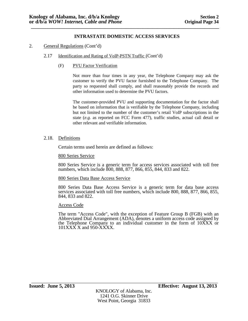# 2. General Regulations (Cont'd)

## 2.17 Identification and Rating of VoIP-PSTN Traffic (Cont'd)

(F) PVU Factor Verification

Not more than four times in any year, the Telephone Company may ask the customer to verify the PVU factor furnished to the Telephone Company. The party so requested shall comply, and shall reasonably provide the records and other information used to determine the PVU factors.

The customer-provided PVU and supporting documentation for the factor shall be based on information that is verifiable by the Telephone Company, including but not limited to the number of the customer's retail VoIP subscriptions in the state (*e.g.* as reported on FCC Form 477), traffic studies, actual call detail or other relevant and verifiable information.

## 2.18. Definitions

Certain terms used herein are defined as follows:

### 800 Series Service

800 Series Service is a generic term for access services associated with toll free numbers, which include 800, 888, 877, 866, 855, 844, 833 and 822.

## 800 Series Data Base Access Service

800 Series Data Base Access Service is a generic term for data base access services associated with toll free numbers, which include 800, 888, 877, 866, 855, 844, 833 and 822.

#### Access Code

The term "Access Code", with the exception of Feature Group B (FGB) with an Abbreviated Dial Arrangement (ADA), denotes a uniform access code assigned by the Telephone Company to an individual customer in the form of 10XXX or 101XXX X and 950-XXXX.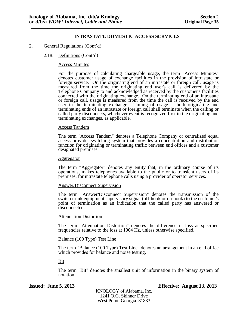## 2. General Regulations (Cont'd)

## 2.18. Definitions (Cont'd)

### Access Minutes

For the purpose of calculating chargeable usage, the term "Access Minutes" denotes customer usage of exchange facilities in the provision of intrastate or foreign service. On the originating end of an intrastate or foreign call, usage is measured from the time the originating end user's call is delivered by the Telephone Company to and acknowledged as received by the customer's facilities connected with the originating exchange. On the terminating end of an intrastate or foreign call, usage is measured from the time the call is received by the end user in the terminating exchange. Timing of usage at both originating and terminating ends of an intrastate or foreign call shall terminate when the calling or called party disconnects, whichever event is recognized first in the originating and terminating exchanges, as applicable.

### Access Tandem

The term "Access Tandem" denotes a Telephone Company or centralized equal access provider switching system that provides a concentration and distribution function for originating or terminating traffic between end offices and a customer designated premises.

#### Aggregator

The term "Aggregator" denotes any entity that, in the ordinary course of its operations, makes telephones available to the public or to transient users of its premises, for intrastate telephone calls using a provider of operator services.

#### Answer/Disconnect Supervision

The term "Answer/Disconnect Supervision" denotes the transmission of the switch trunk equipment supervisory signal (off-hook or on-hook) to the customer's point of termination as an indication that the called party has answered or disconnected.

### Attenuation Distortion

The term "Attenuation Distortion" denotes the difference in loss at specified frequencies relative to the loss at 1004 Hz, unless otherwise specified.

## Balance (100 Type) Test Line

The term "Balance (100 Type) Test Line" denotes an arrangement in an end office which provides for balance and noise testing.

## Bit

The term "Bit" denotes the smallest unit of information in the binary system of notation.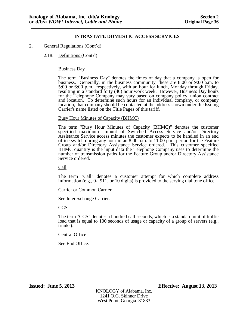## 2. General Regulations (Cont'd)

### 2.18. Definitions (Cont'd)

### Business Day

The term "Business Day" denotes the times of day that a company is open for business. Generally, in the business community, these are 8:00 or 9:00 a.m. to 5:00 or 6:00 p.m., respectively, with an hour for lunch, Monday through Friday, resulting in a standard forty (40) hour work week. However, Business Day hours for the Telephone Company may vary based on company policy, union contract and location. To determine such hours for an individual company, or company location, that company should be contacted at the address shown under the Issuing Carrier's name listed on the Title Pages of this tariff.

### Busy Hour Minutes of Capacity (BHMC)

The term "Busy Hour Minutes of Capacity (BHMC)" denotes the customer specified maximum amount of Switched Access Service and/or Directory Assistance Service access minutes the customer expects to be handled in an end office switch during any hour in an 8:00 a.m. to 11:00 p.m. period for the Feature Group and/or Directory Assistance Service ordered. This customer specified BHMC quantity is the input data the Telephone Company uses to determine the number of transmission paths for the Feature Group and/or Directory Assistance Service ordered.

Call

The term "Call" denotes a customer attempt for which complete address information (e.g., 0-, 911, or 10 digits) is provided to the serving dial tone office.

#### Carrier or Common Carrier

See Interexchange Carrier.

## CCS

The term "CCS" denotes a hundred call seconds, which is a standard unit of traffic load that is equal to 100 seconds of usage or capacity of a group of servers (e.g., trunks).

### Central Office

See End Office.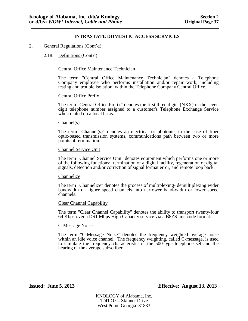# 2. General Regulations (Cont'd)

# 2.18. Definitions (Cont'd)

# Central Office Maintenance Technician

The term "Central Office Maintenance Technician" denotes a Telephone Company employee who performs installation and/or repair work, including testing and trouble isolation, within the Telephone Company Central Office.

# Central Office Prefix

The term "Central Office Prefix" denotes the first three digits (NXX) of the seven digit telephone number assigned to a customer's Telephone Exchange Service when dialed on a local basis.

#### Channel(s)

The term "Channel(s)" denotes an electrical or photonic, in the case of fiber optic-based transmission systems, communications path between two or more points of termination.

# Channel Service Unit

The term "Channel Service Unit" denotes equipment which performs one or more of the following functions: termination of a digital facility, regeneration of digital signals, detection and/or correction of signal format error, and remote loop back.

#### Channelize

The term "Channelize" denotes the process of multiplexing- demultiplexing wider bandwidth or higher speed channels into narrower band-width or lower speed channels.

#### Clear Channel Capability

The term "Clear Channel Capability" denotes the ability to transport twenty-four 64 Kbps over a DS1 Mbps High Capacity service via a B8ZS line code format.

### C-Message Noise

The term "C-Message Noise" denotes the frequency weighted average noise within an idle voice channel. The frequency weighting, called C-message, is used to simulate the frequency characteristic of the 500-type telephone set and the hearing of the average subscriber.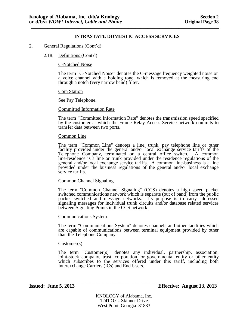## 2. General Regulations (Cont'd)

### 2.18. Definitions (Cont'd)

C-Notched Noise

The term "C-Notched Noise" denotes the C-message frequency weighted noise on a voice channel with a holding tone, which is removed at the measuring end through a notch (very narrow band) filter.

### Coin Station

See Pay Telephone.

### Committed Information Rate

The term "Committed Information Rate" denotes the transmission speed specified by the customer at which the Frame Relay Access Service network commits to transfer data between two ports.

### Common Line

The term "Common Line" denotes a line, trunk, pay telephone line or other facility provided under the general and/or local exchange service tariffs of the Telephone Company, terminated on a central office switch. A common line-residence is a line or trunk provided under the residence regulations of the general and/or local exchange service tariffs. A common line-business is a line provided under the business regulations of the general and/or local exchange service tariffs.

### Common Channel Signaling

The term "Common Channel Signaling" (CCS) denotes a high speed packet switched communications network which is separate (out of band) from the public packet switched and message networks. Its purpose is to carry addressed signaling messages for individual trunk circuits and/or database related services between Signaling Points in the CCS network.

### Communications System

The term "Communications System" denotes channels and other facilities which are capable of communications between terminal equipment provided by other than the Telephone Company.

#### Customer(s)

The term "Customer(s)" denotes any individual, partnership, association, joint-stock company, trust, corporation, or governmental entity or other entity which subscribes to the services offered under this tariff, including both Interexchange Carriers (ICs) and End Users.

KNOLOGY of Alabama, Inc. 1241 O.G. Skinner Drive West Point, Georgia 31833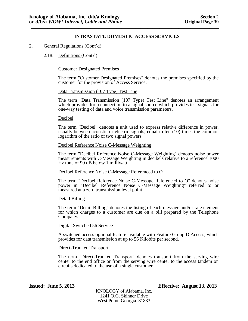# 2. General Regulations (Cont'd)

# 2.18. Definitions (Cont'd)

# Customer Designated Premises

The term "Customer Designated Premises" denotes the premises specified by the customer for the provision of Access Service.

## Data Transmission (107 Type) Test Line

The term "Data Transmission (107 Type) Test Line" denotes an arrangement which provides for a connection to a signal source which provides test signals for one-way testing of data and voice transmission parameters.

### Decibel

The term "Decibel" denotes a unit used to express relative difference in power, usually between acoustic or electric signals, equal to ten (10) times the common logarithm of the ratio of two signal powers.

### Decibel Reference Noise C-Message Weighting

The term "Decibel Reference Noise C-Message Weighting" denotes noise power measurements with C-Message Weighting in decibels relative to a reference 1000 Hz tone of 90 dB below 1 milliwatt.

## Decibel Reference Noise C-Message Referenced to O

The term "Decibel Reference Noise C-Message Referenced to O" denotes noise power in "Decibel Reference Noise C-Message Weighting" referred to or measured at a zero transmission level point.

#### Detail Billing

The term "Detail Billing" denotes the listing of each message and/or rate element for which charges to a customer are due on a bill prepared by the Telephone Company.

#### Digital Switched 56 Service

A switched access optional feature available with Feature Group D Access, which provides for data transmission at up to 56 Kilobits per second.

#### Direct-Trunked Transport

The term "Direct-Trunked Transport" denotes transport from the serving wire center to the end office or from the serving wire center to the access tandem on circuits dedicated to the use of a single customer.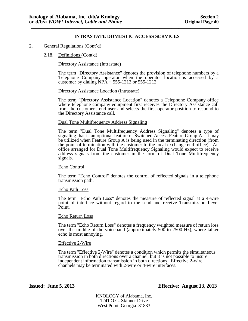2. General Regulations (Cont'd)

### 2.18. Definitions (Cont'd)

### Directory Assistance (Intrastate)

The term "Directory Assistance" denotes the provision of telephone numbers by a Telephone Company operator when the operator location is accessed by a customer by dialing  $NPA + 555-1212$  or 555-1212.

#### Directory Assistance Location (Intrastate)

The term "Directory Assistance Location" denotes a Telephone Company office where telephone company equipment first receives the Directory Assistance call from the customer's end user and selects the first operator position to respond to the Directory Assistance call.

#### Dual Tone Multifrequency Address Signaling

The term "Dual Tone Multifrequency Address Signaling" denotes a type of signaling that is an optional feature of Switched Access Feature Group A. It may be utilized when Feature Group A is being used in the terminating direction (from the point of termination with the customer to the local exchange end office). An office arranged for Dual Tone Multifrequency Signaling would expect to receive address signals from the customer in the form of Dual Tone Multifrequency signals.

#### Echo Control

The term "Echo Control" denotes the control of reflected signals in a telephone transmission path.

#### Echo Path Loss

The term "Echo Path Loss" denotes the measure of reflected signal at a 4-wire point of interface without regard to the send and receive Transmission Level Point.

#### Echo Return Loss

The term "Echo Return Loss" denotes a frequency weighted measure of return loss over the middle of the voiceband (approximately  $500$  to  $2500$  Hz), where talker echo is most annoying.

#### Effective 2-Wire

The term "Effective 2-Wire" denotes a condition which permits the simultaneous transmission in both directions over a channel, but it is not possible to insure independent information transmission in both directions. Effective 2-wire channels may be terminated with 2-wire or 4-wire interfaces.

KNOLOGY of Alabama, Inc. 1241 O.G. Skinner Drive West Point, Georgia 31833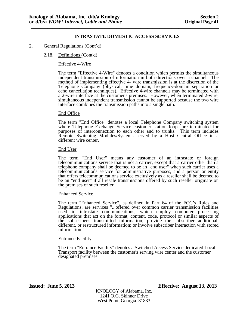## 2. General Regulations (Cont'd)

## 2.18. Definitions (Cont'd)

## Effective 4-Wire

The term "Effective 4-Wire" denotes a condition which permits the simultaneous independent transmission of information in both directions over a channel. The method of implementing effective 4- wire transmission is at the discretion of the Telephone Company (physical, time domain, frequency-domain separation or echo cancellation techniques). Effective 4-wire channels may be terminated with a 2-wire interface at the customer's premises. However, when terminated 2-wire, simultaneous independent transmission cannot be supported because the two wire interface combines the transmission paths into a single path.

### End Office

The term "End Office" denotes a local Telephone Company switching system where Telephone Exchange Service customer station loops are terminated for purposes of interconnection to each other and to trunks. This term includes Remote Switching Modules/Systems served by a Host Central Office in a different wire center.

#### End User

The term "End User" means any customer of an intrastate or foreign telecommunications service that is not a carrier, except that a carrier other than a telephone company shall be deemed to be an "end user" when such carrier uses a telecommunications service for administrative purposes, and a person or entity that offers telecommunications service exclusively as a reseller shall be deemed to be an "end user" if all resale transmissions offered by such reseller originate on the premises of such reseller.

## Enhanced Service

The term "Enhanced Service", as defined in Part 64 of the FCC's Rules and Regulations, are services "...offered over common carrier transmission facilities used in intrastate communications, which employ computer processing applications that act on the format, content, code, protocol or similar aspects of the subscriber's transmitted information; provide the subscriber additional, different, or restructured information; or involve subscriber interaction with stored information."

#### **Entrance Facility**

The term "Entrance Facility" denotes a Switched Access Service dedicated Local Transport facility between the customer's serving wire center and the customer designated premises.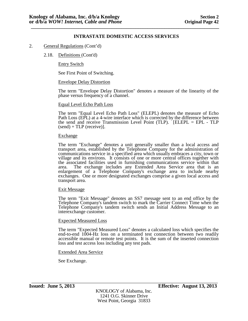# 2. General Regulations (Cont'd)

## 2.18. Definitions (Cont'd)

Entry Switch

See First Point of Switching.

## Envelope Delay Distortion

The term "Envelope Delay Distortion" denotes a measure of the linearity of the phase versus frequency of a channel.

### Equal Level Echo Path Loss

The term "Equal Level Echo Path Loss" (ELEPL) denotes the measure of Echo Path Loss (EPL) at a 4-wire interface which is corrected by the difference between the send and receive Transmission Level Point (TLP). [ELEPL = EPL - TLP  $(send) + TLP$  (receive)].

#### **Exchange**

The term "Exchange" denotes a unit generally smaller than a local access and transport area, established by the Telephone Company for the administration of communications service in a specified area which usually embraces a city, town or village and its environs. It consists of one or more central offices together with the associated facilities used in furnishing communications service within that area. The exchange includes any Extended Area Service area that is an enlargement of a Telephone Company's exchange area to include nearby exchanges. One or more designated exchanges comprise a given local access and transport area.

#### Exit Message

The term "Exit Message" denotes an SS7 message sent to an end office by the Telephone Company's tandem switch to mark the Carrier Connect Time when the Telephone Company's tandem switch sends an Initial Address Message to an interexchange customer.

## Expected Measured Loss

The term "Expected Measured Loss" denotes a calculated loss which specifies the end-to-end 1004-Hz loss on a terminated test connection between two readily accessible manual or remote test points. It is the sum of the inserted connection loss and test access loss including any test pads.

## Extended Area Service

See Exchange.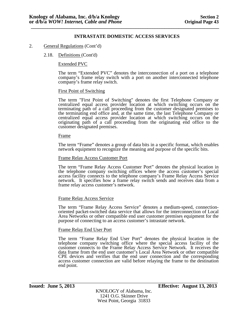## 2. General Regulations (Cont'd)

## 2.18. Definitions (Cont'd)

### Extended PVC

The term "Extended PVC" denotes the interconnection of a port on a telephone company's frame relay switch with a port on another interconnected telephone company's frame relay switch.

### First Point of Switching

The term "First Point of Switching" denotes the first Telephone Company or centralized equal access provider location at which switching occurs on the terminating path of a call proceeding from the customer designated premises to the terminating end office and, at the same time, the last Telephone Company or centralized equal access provider location at which switching occurs on the originating path of a call proceeding from the originating end office to the customer designated premises.

#### **Frame**

The term "Frame" denotes a group of data bits in a specific format, which enables network equipment to recognize the meaning and purpose of the specific bits.

### Frame Relay Access Customer Port

The term "Frame Relay Access Customer Port" denotes the physical location in the telephone company switching offices where the access customer's special access facility connects to the telephone company's Frame Relay Access Service network. It specifies how a frame relay switch sends and receives data from a frame relay access customer's network.

#### Frame Relay Access Service

The term "Frame Relay Access Service" denotes a medium-speed, connection- oriented packet-switched data service that allows for the interconnection of Local Area Networks or other compatible end user customer premises equipment for the purpose of connecting to an access customer's intrastate network.

#### Frame Relay End User Port

The term "Frame Relay End User Port" denotes the physical location in the telephone company switching office where the special access facility of the customer connects to the Frame Relay Access Service Network. It receives the data frame from the end user customer's Local Area Network or other compatible CPE devices and verifies that the end user connection and the corresponding access customer connection are valid before relaying the frame to the destination end point.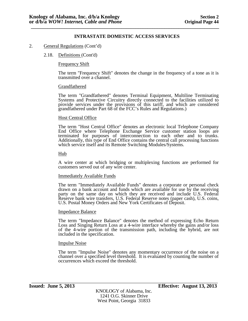## 2. General Regulations (Cont'd)

### 2.18. Definitions (Cont'd)

### Frequency Shift

The term "Frequency Shift" denotes the change in the frequency of a tone as it is transmitted over a channel.

#### Grandfathered

The term "Grandfathered" denotes Terminal Equipment, Multiline Terminating Systems and Protective Circuitry directly connected to the facilities utilized to provide services under the provisions of this tariff, and which are considered grandfathered under Part 68 of the FCC's Rules and Regulations.)

### Host Central Office

The term "Host Central Office" denotes an electronic local Telephone Company End Office where Telephone Exchange Service customer station loops are terminated for purposes of interconnection to each other and to trunks. Additionally, this type of End Office contains the central call processing functions which service itself and its Remote Switching Modules/Systems.

### Hub

A wire center at which bridging or multiplexing functions are performed for customers served out of any wire center.

#### Immediately Available Funds

The term "Immediately Available Funds" denotes a corporate or personal check drawn on a bank account and funds which are available for use by the receiving party on the same day on which they are received and include U.S. Federal Reserve bank wire transfers, U.S. Federal Reserve notes (paper cash), U.S. coins, U.S. Postal Money Orders and New York Certificates of Deposit.

#### Impedance Balance

The term "Impedance Balance" denotes the method of expressing Echo Return Loss and Singing Return Loss at a 4-wire interface whereby the gains and/or loss of the 4-wire portion of the transmission path, including the hybrid, are not included in the specification.

#### Impulse Noise

The term "Impulse Noise" denotes any momentary occurrence of the noise on a channel over a specified level threshold. It is evaluated by counting the number of occurrences which exceed the threshold.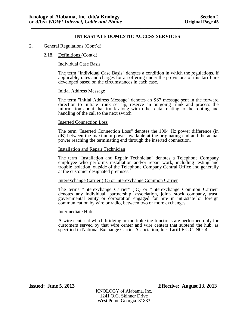## 2. General Regulations (Cont'd)

### 2.18. Definitions (Cont'd)

### Individual Case Basis

The term "Individual Case Basis" denotes a condition in which the regulations, if applicable, rates and charges for an offering under the provisions of this tariff are developed based on the circumstances in each case.

#### Initial Address Message

The term "Initial Address Message" denotes an SS7 message sent in the forward direction to initiate trunk set up, reserve an outgoing trunk and process the information about that trunk along with other data relating to the routing and handling of the call to the next switch.

#### Inserted Connection Loss

The term "Inserted Connection Loss" denotes the 1004 Hz power difference (in dB) between the maximum power available at the originating end and the actual power reaching the terminating end through the inserted connection.

### Installation and Repair Technician

The term "Installation and Repair Technician" denotes a Telephone Company employee who performs installation and/or repair work, including testing and trouble isolation, outside of the Telephone Company Central Office and generally at the customer designated premises.

### Interexchange Carrier (IC) or Interexchange Common Carrier

The terms "Interexchange Carrier" (IC) or "Interexchange Common Carrier" denotes any individual, partnership, association, joint- stock company, trust, governmental entity or corporation engaged for hire in intrastate or foreign communication by wire or radio, between two or more exchanges.

#### Intermediate Hub

A wire center at which bridging or multiplexing functions are performed only for customers served by that wire center and wire centers that subtend the hub, as specified in National Exchange Carrier Association, Inc. Tariff F.C.C. NO. 4.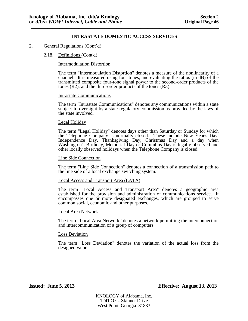## 2. General Regulations (Cont'd)

### 2.18. Definitions (Cont'd)

### Intermodulation Distortion

The term "Intermodulation Distortion" denotes a measure of the nonlinearity of a channel. It is measured using four tones, and evaluating the ratios (in dB) of the transmitted composite four-tone signal power to the second-order products of the tones (R2), and the third-order products of the tones (R3).

#### Intrastate Communications

The term "Intrastate Communications" denotes any communications within a state subject to oversight by a state regulatory commission as provided by the laws of the state involved.

#### Legal Holiday

The term "Legal Holiday" denotes days other than Saturday or Sunday for which the Telephone Company is normally closed. These include New Year's Day, Independence Day, Thanksgiving Day, Christmas Day and a day when Washington's Birthday, Memorial Day or Columbus Day is legally observed and other locally observed holidays when the Telephone Company is closed.

#### Line Side Connection

The term "Line Side Connection" denotes a connection of a transmission path to the line side of a local exchange switching system.

### Local Access and Transport Area (LATA)

The term "Local Access and Transport Area" denotes a geographic area established for the provision and administration of communications service. It encompasses one or more designated exchanges, which are grouped to serve common social, economic and other purposes.

#### Local Area Network

The term "Local Area Network" denotes a network permitting the interconnection and intercommunication of a group of computers.

### Loss Deviation

The term "Loss Deviation" denotes the variation of the actual loss from the designed value.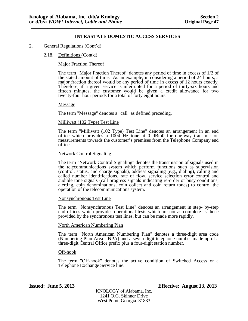## 2. General Regulations (Cont'd)

### 2.18. Definitions (Cont'd)

### Major Fraction Thereof

The term "Major Fraction Thereof" denotes any period of time in excess of 1/2 of the stated amount of time. As an example, in considering a period of 24 hours, a major fraction thereof would be any period of time in excess of 12 hours exactly. Therefore, if a given service is interrupted for a period of thirty-six hours and fifteen minutes, the customer would be given a credit allowance for two twenty-four hour periods for a total of forty eight hours.

#### Message

The term "Message" denotes a "call" as defined preceding.

### Milliwatt (102 Type) Test Line

The term "Milliwatt (102 Type) Test Line" denotes an arrangement in an end office which provides a 1004 Hz tone at 0 dBm0 for one-way transmission measurements towards the customer's premises from the Telephone Company end office.

### Network Control Signaling

The term "Network Control Signaling" denotes the transmission of signals used in the telecommunications system which perform functions such as supervision (control, status, and charge signals), address signaling (e.g., dialing), calling and called number identifications, rate of flow, service selection error control and audible tone signals (call progress signals indicating re-order or busy conditions, alerting, coin denominations, coin collect and coin return tones) to control the operation of the telecommunications system.

#### Nonsynchronous Test Line

The term "Nonsynchronous Test Line" denotes an arrangement in step- by-step end offices which provides operational tests which are not as complete as those provided by the synchronous test lines, but can be made more rapidly.

## North American Numbering Plan

The term "North American Numbering Plan" denotes a three-digit area code (Numbering Plan Area - NPA) and a seven-digit telephone number made up of a three-digit Central Office prefix plus a four-digit station number.

### Off-hook

The term "Off-hook" denotes the active condition of Switched Access or a Telephone Exchange Service line.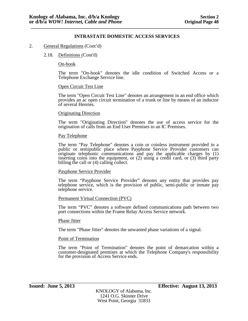## 2. General Regulations (Cont'd)

### 2.18. Definitions (Cont'd)

### On-hook

The term "On-hook" denotes the idle condition of Switched Access or a Telephone Exchange Service line.

### Open Circuit Test Line

The term "Open Circuit Test Line" denotes an arrangement in an end office which provides an ac open circuit termination of a trunk or line by means of an inductor of several Henries.

### Originating Direction

The term "Originating Direction" denotes the use of access service for the origination of calls from an End User Premises to an IC Premises.

### Pay Telephone

The term "Pay Telephone" denotes a coin or coinless instrument provided in a public or semipublic place where Payphone Service Provider customers can originate telephonic communications and pay the applicable charges by (1) inserting coins into the equipment, or (2) using a credit card, or (3) third party billing the call or (4) calling collect.

## Payphone Service Provider

The term "Payphone Service Provider" denotes any entity that provides pay telephone service, which is the provision of public, semi-public or inmate pay telephone service.

#### Permanent Virtual Connection (PVC)

The term "PVC" denotes a software defined communications path between two port connections within the Frame Relay Access Service network.

#### Phase Jitter

The term "Phase Jitter" denotes the unwanted phase variations of a signal.

#### Point of Termination

The term "Point of Termination" denotes the point of demarcation within a customer-designated premises at which the Telephone Company's responsibility for the provision of Access Service ends.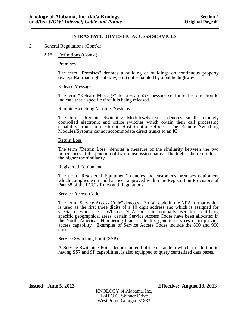### 2. General Regulations (Cont'd)

### 2.18. Definitions (Cont'd)

#### Premises

The term "Premises" denotes a building or buildings on continuous property (except Railroad right-of-way, etc.) not separated by a public highway.

#### Release Message

The term "Release Message" denotes an SS7 message sent in either direction to indicate that a specific circuit is being released.

#### Remote Switching Modules/Systems

The term "Remote Switching Modules/Systems" denotes small, remotely controlled electronic end office switches which obtain their call processing capability from an electronic Host Central Office. The Remote Switching Modules/Systems cannot accommodate direct trunks to an IC.

#### Return Loss

The term "Return Loss" denotes a measure of the similarity between the two impedances at the junction of two transmission paths. The higher the return loss, the higher the similarity.

#### Registered Equipment

The term "Registered Equipment" denotes the customer's premises equipment which complies with and has been approved within the Registration Provisions of Part 68 of the FCC's Rules and Regulations.

#### Service Access Code

The term "Service Access Code" denotes a 3 digit code in the NPA format which is used as the first three digits of a 10 digit address and which is assigned for special network uses. Whereas NPA codes are normally used for identifying specific geographical areas, certain Service Access Codes have been allocated in the North American Numbering Plan to identify generic services or to provide access capability. Examples of Service Access Codes include the 800 and 900 codes.

### Service Switching Point (SSP)

A Service Switching Point denotes an end office or tandem which, in addition to having SS7 and SP capabilities, is also equipped to query centralized data bases.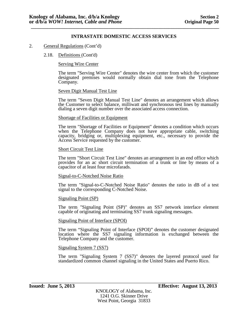### 2. General Regulations (Cont'd)

#### 2.18. Definitions (Cont'd)

Serving Wire Center

The term "Serving Wire Center" denotes the wire center from which the customer designated premises would normally obtain dial tone from the Telephone Company.

#### Seven Digit Manual Test Line

The term "Seven Digit Manual Test Line" denotes an arrangement which allows the Customer to select balance, milliwatt and synchronous test lines by manually dialing a seven digit number over the associated access connection.

#### Shortage of Facilities or Equipment

The term "Shortage of Facilities or Equipment" denotes a condition which occurs when the Telephone Company does not have appropriate cable, switching capacity, bridging or, multiplexing equipment, etc., necessary to provide the Access Service requested by the customer.

#### Short Circuit Test Line

The term "Short Circuit Test Line" denotes an arrangement in an end office which provides for an ac short circuit termination of a trunk or line by means of a capacitor of at least four microfarads.

#### Signal-to-C-Notched Noise Ratio

The term "Signal-to-C-Notched Noise Ratio" denotes the ratio in dB of a test signal to the corresponding C-Notched Noise.

#### Signaling Point (SP)

The term "Signaling Point (SP)" denotes an SS7 network interface element capable of originating and terminating SS7 trunk signaling messages.

### Signaling Point of Interface (SPOI)

The term "Signaling Point of Interface (SPOI)" denotes the customer designated location where the SS7 signaling information is exchanged between the Telephone Company and the customer.

#### Signaling System 7 (SS7)

The term "Signaling System 7 (SS7)" denotes the layered protocol used for standardized common channel signaling in the United States and Puerto Rico.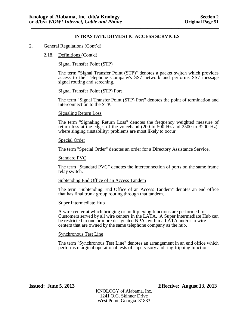## 2. General Regulations (Cont'd)

## 2.18. Definitions (Cont'd)

Signal Transfer Point (STP)

The term "Signal Transfer Point (STP)" denotes a packet switch which provides access to the Telephone Company's SS7 network and performs SS7 message signal routing and screening.

### Signal Transfer Point (STP) Port

The term "Signal Transfer Point (STP) Port" denotes the point of termination and interconnection to the STP.

#### Signaling Return Loss

The term "Signaling Return Loss" denotes the frequency weighted measure of return loss at the edges of the voiceband (200 to 500 Hz and 2500 to 3200 Hz), where singing (instability) problems are most likely to occur.

#### Special Order

The term "Special Order" denotes an order for a Directory Assistance Service.

#### Standard PVC

The term "Standard PVC" denotes the interconnection of ports on the same frame relay switch.

## Subtending End Office of an Access Tandem

The term "Subtending End Office of an Access Tandem" denotes an end office that has final trunk group routing through that tandem.

#### Super Intermediate Hub

A wire center at which bridging or multiplexing functions are performed for Customers served by all wire centers in the LATA. A Super Intermediate Hub can be restricted to one or more designated NPAs within a LATA and/or to wire centers that are owned by the same telephone company as the hub.

#### Synchronous Test Line

The term "Synchronous Test Line" denotes an arrangement in an end office which performs marginal operational tests of supervisory and ring-tripping functions.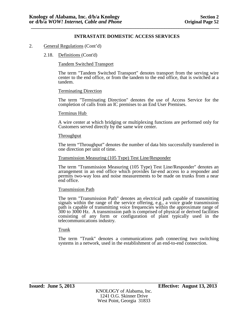## 2. General Regulations (Cont'd)

### 2.18. Definitions (Cont'd)

### Tandem Switched Transport

The term "Tandem Switched Transport" denotes transport from the serving wire center to the end office, or from the tandem to the end office, that is switched at a tandem.

#### Terminating Direction

The term "Terminating Direction" denotes the use of Access Service for the completion of calls from an IC premises to an End User Premises.

#### Terminus Hub

A wire center at which bridging or multiplexing functions are performed only for Customers served directly by the same wire center.

#### **Throughput**

The term "Throughput" denotes the number of data bits successfully transferred in one direction per unit of time.

#### Transmission Measuring (105 Type) Test Line/Responder

The term "Transmission Measuring (105 Type) Test Line/Responder" denotes an arrangement in an end office which provides far-end access to a responder and permits two-way loss and noise measurements to be made on trunks from a near end office.

### Transmission Path

The term "Transmission Path" denotes an electrical path capable of transmitting signals within the range of the service offering, e.g., a voice grade transmission path is capable of transmitting voice frequencies within the approximate range of 300 to 3000 Hz. A transmission path is comprised of physical or derived facilities consisting of any form or configuration of plant typically used in the telecommunications industry.

### Trunk

The term "Trunk" denotes a communications path connecting two switching systems in a network, used in the establishment of an end-to-end connection.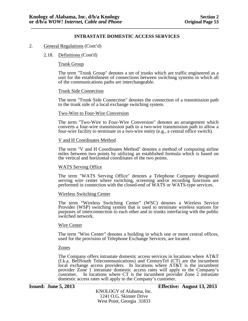### 2. General Regulations (Cont'd)

#### 2.18. Definitions (Cont'd)

#### Trunk Group

The term "Trunk Group" denotes a set of trunks which are traffic engineered as a unit for the establishment of connections between switching systems in which all of the communications paths are interchangeable.

#### Trunk Side Connection

The term "Trunk Side Connection" denotes the connection of a transmission path to the trunk side of a local exchange switching system.

#### Two-Wire to Four-Wire Conversion

The term "Two-Wire to Four-Wire Conversion" denotes an arrangement which converts a four-wire transmission path to a two-wire transmission path to allow a four-wire facility to terminate in a two-wire entity (e.g., a central office switch).

#### V and H Coordinates Method

The term "V and H Coordinates Method" denotes a method of computing airline miles between two points by utilizing an established formula which is based on the vertical and horizontal coordinates of the two points.

### WATS Serving Office

The term "WATS Serving Office" denotes a Telephone Company designated serving wire center where switching, screening and/or recording functions are performed in connection with the closed-end of WATS or WATS-type services.

#### Wireless Switching Center

The term "Wireless Switching Center" (WSC) denotes a Wireless Service Provider (WSP) switching system that is used to terminate wireless stations for purposes of interconnection to each other and to trunks interfacing with the public switched network.

#### Wire Center

The term "Wire Center" denotes a building in which one or more central offices, used for the provision of Telephone Exchange Services, are located.

#### Zones

The Company offers intrastate domestic access services in locations where AT&T (f.k.a. BellSouth Telecommunications) and CenturyTel (CT) are the incumbent local exchange access providers. In locations where AT&T is the incumbent provider Zone 1 intrastate domestic access rates will apply to the Company's customer. In locations where CT is the incumbent provider Zone 2 intrastate domestic access rates will apply to the Company's customer.

**Issued: June 5, 2013 Effective: August 13, 2013**

KNOLOGY of Alabama, Inc. 1241 O.G. Skinner Drive West Point, Georgia 31833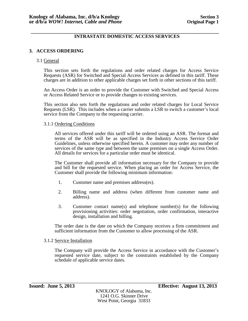### **\_\_\_\_\_\_\_\_\_\_\_\_\_\_\_\_\_\_\_\_\_\_\_\_\_\_\_\_\_\_\_\_\_\_\_\_\_\_\_\_\_\_\_\_\_\_\_\_\_\_\_\_\_\_\_\_\_\_\_\_\_\_\_\_\_\_\_\_\_\_\_\_\_\_\_\_\_\_\_ INTRASTATE DOMESTIC ACCESS SERVICES**

# **3. ACCESS ORDERING**

## 3.1 General

This section sets forth the regulations and order related charges for Access Service Requests (ASR) for Switched and Special Access Services as defined in this tariff. These charges are in addition to other applicable charges set forth in other sections of this tariff.

An Access Order is an order to provide the Customer with Switched and Special Access or Access Related Service or to provide changes to existing services.

This section also sets forth the regulations and order related charges for Local Service Requests (LSR). This includes when a carrier submits a LSR to switch a customer's local service from the Company to the requesting carrier.

### 3.1.1 Ordering Conditions

All services offered under this tariff will be ordered using an ASR. The format and terms of the ASR will be as specified in the Industry Access Service Order Guidelines, unless otherwise specified herein. A customer may order any number of services of the same type and between the same premises on a single Access Order. All details for services for a particular order must be identical.

The Customer shall provide all information necessary for the Company to provide and bill for the requested service. When placing an order for Access Service, the Customer shall provide the following minimum information:

- 1. Customer name and premises address(es).
- 2. Billing name and address (when different from customer name and address).
- 3. Customer contact name(s) and telephone number(s) for the following provisioning activities: order negotiation, order confirmation, interactive design, installation and billing.

The order date is the date on which the Company receives a firm commitment and sufficient information from the Customer to allow processing of the ASR.

### 3.1.2 Service Installation

The Company will provide the Access Service in accordance with the Customer's requested service date, subject to the constraints established by the Company schedule of applicable service dates.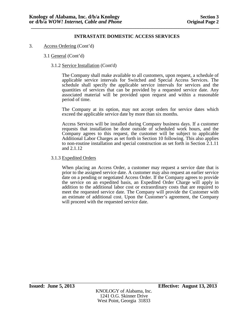- 3. Access Ordering (Cont'd)
	- 3.1 General (Cont'd)
		- 3.1.2 Service Installation (Cont'd)

The Company shall make available to all customers, upon request, a schedule of applicable service intervals for Switched and Special Access Services. The schedule shall specify the applicable service intervals for services and the quantities of services that can be provided by a requested service date. Any associated material will be provided upon request and within a reasonable period of time.

The Company at its option, may not accept orders for service dates which exceed the applicable service date by more than six months.

Access Services will be installed during Company business days. If a customer requests that installation be done outside of scheduled work hours, and the Company agrees to this request, the customer will be subject to applicable Additional Labor Charges as set forth in Section 10 following. This also applies to non-routine installation and special construction as set forth in Section 2.1.11 and 2.1.12

## 3.1.3 Expedited Orders

When placing an Access Order, a customer may request a service date that is prior to the assigned service date. A customer may also request an earlier service date on a pending or negotiated Access Order. If the Company agrees to provide the service on an expedited basis, an Expedited Order Charge will apply in addition to the additional labor cost or extraordinary costs that are required to meet the requested service date. The Company will provide the Customer with an estimate of additional cost. Upon the Customer's agreement, the Company will proceed with the requested service date.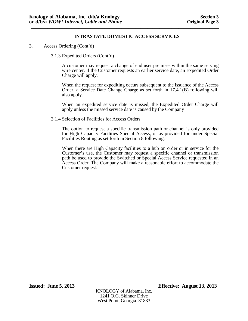- 3. Access Ordering (Cont'd)
	- 3.1.3 Expedited Orders (Cont'd)

A customer may request a change of end user premises within the same serving wire center. If the Customer requests an earlier service date, an Expedited Order Charge will apply.

When the request for expediting occurs subsequent to the issuance of the Access Order, a Service Date Change Charge as set forth in 17.4.1(B) following will also apply.

When an expedited service date is missed, the Expedited Order Charge will apply unless the missed service date is caused by the Company

### 3.1.4 Selection of Facilities for Access Orders

The option to request a specific transmission path or channel is only provided for High Capacity Facilities Special Access, or as provided for under Special Facilities Routing as set forth in Section 8 following.

When there are High Capacity facilities to a hub on order or in service for the Customer's use, the Customer may request a specific channel or transmission path be used to provide the Switched or Special Access Service requested in an Access Order. The Company will make a reasonable effort to accommodate the Customer request.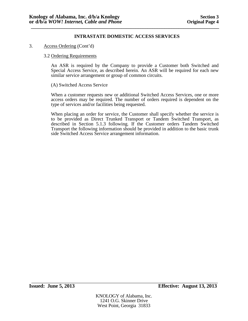### 3. Access Ordering (Cont'd)

### 3.2 Ordering Requirements

An ASR is required by the Company to provide a Customer both Switched and Special Access Service, as described herein. An ASR will be required for each new similar service arrangement or group of common circuits.

## (A) Switched Access Service

When a customer requests new or additional Switched Access Services, one or more access orders may be required. The number of orders required is dependent on the type of services and/or facilities being requested.

When placing an order for service, the Customer shall specify whether the service is to be provided as Direct Trunked Transport or Tandem Switched Transport, as described in Section 5.1.3 following. If the Customer orders Tandem Switched Transport the following information should be provided in addition to the basic trunk side Switched Access Service arrangement information.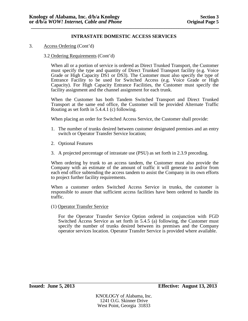3. Access Ordering (Cont'd)

## 3.2 Ordering Requirements (Cont'd)

When all or a portion of service is ordered as Direct Trunked Transport, the Customer must specify the type and quantity of Direct Trunked Transport facility (e.g. Voice Grade or High Capacity DS1 or DS3). The Customer must also specify the type of Entrance Facility to be used for Switched Access (e.g. Voice Grade or High Capacity). For High Capacity Entrance Facilities, the Customer must specify the facility assignment and the channel assignment for each trunk.

When the Customer has both Tandem Switched Transport and Direct Trunked Transport at the same end office, the Customer will be provided Alternate Traffic Routing as set forth in 5.4.4.1 (c) following.

When placing an order for Switched Access Service, the Customer shall provide:

- 1. The number of trunks desired between customer designated premises and an entry switch or Operator Transfer Service location;
- 2. Optional Features
- 3. A projected percentage of intrastate use (PSU) as set forth in 2.3.9 preceding.

When ordering by trunk to an access tandem, the Customer must also provide the Company with an estimate of the amount of traffic it will generate to and/or from each end office subtending the access tandem to assist the Company in its own efforts to project further facility requirements.

When a customer orders Switched Access Service in trunks, the customer is responsible to assure that sufficient access facilities have been ordered to handle its traffic.

(1) Operator Transfer Service

For the Operator Transfer Service Option ordered in conjunction with FGD Switched Access Service as set forth in 5.4.5 (a) following, the Customer must specify the number of trunks desired between its premises and the Company operator services location. Operator Transfer Service is provided where available.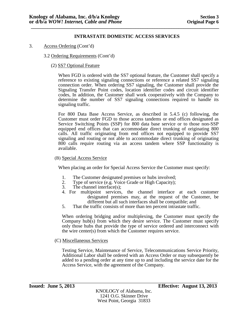- 3. Access Ordering (Cont'd)
	- 3.2 Ordering Requirements (Cont'd)
		- (2) SS7 Optional Feature

When FGD is ordered with the SS7 optional feature, the Customer shall specify a reference to existing signaling connections or reference a related SS7 signaling connection order. When ordering SS7 signaling, the Customer shall provide the Signaling Transfer Point codes, location identifier codes and circuit identifier codes, In addition, the Customer shall work cooperatively with the Company to determine the number of SS7 signaling connections required to handle its signaling traffic.

For 800 Data Base Access Service, as described in 5.4.5 (c) following, the Customer must order FGD to those access tandems or end offices designated as Service Switching Points (SSP) for 800 data base service or to those non-SSP equipped end offices that can accommodate direct trunking of originating 800 calls. All traffic originating from end offices not equipped to provide SS7 signaling and routing or not able to accommodate direct trunking of originating 800 calls require routing via an access tandem where SSP functionality is available.

(B) Special Access Service

When placing an order for Special Access Service the Customer must specify:

- 1. The Customer designated premises or hubs involved;
- 2. Type of service (e.g. Voice Grade or High Capacity);
- 3. The channel interface(s);
- 4. For multipoint services, the channel interface at each customer designated premises may, at the request of the Customer, be different but all such interfaces shall be compatible; and
- 5. That the traffic consists of more than ten percent intrastate traffic.

When ordering bridging and/or multiplexing, the Customer must specify the Company hub(s) from which they desire service. The Customer must specify only those hubs that provide the type of service ordered and interconnect with the wire center(s) from which the Customer requires service.

(C) Miscellaneous Services

Testing Service, Maintenance of Service, Telecommunications Service Priority, Additional Labor shall be ordered with an Access Order or may subsequently be added to a pending order at any time up to and including the service date for the Access Service, with the agreement of the Company.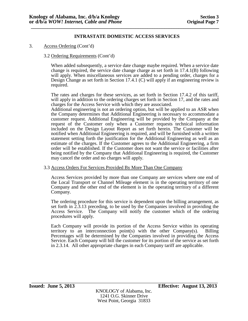3. Access Ordering (Cont'd)

# 3.2 Ordering Requirements (Cont'd)

When added subsequently, a service date change maybe required. When a service date change is required, the service date change charge as set forth in 17.4.1(B) following will apply. When miscellaneous services are added to a pending order, charges for a Design Change as set forth in Section 17.4.1 (C) will apply if an engineering review is required.

The rates and charges for these services, as set forth in Section 17.4.2 of this tariff, will apply in addition to the ordering charges set forth in Section 17, and the rates and charges for the Access Service with which they are associated.

Additional engineering is not an ordering option, but will be applied to an ASR when the Company determines that Additional Engineering is necessary to accommodate a customer request. Additional Engineering will be provided by the Company at the request of the Customer only when a Customer requests technical information included on the Design Layout Report as set forth herein. The Customer will be notified when Additional Engineering is required, and will be furnished with a written statement setting forth the justification for the Additional Engineering as well as an estimate of the charges. If the Customer agrees to the Additional Engineering, a firm order will be established. If the Customer does not want the service or facilities after being notified by the Company that Additional Engineering is required, the Customer may cancel the order and no charges will apply.

### 3.3 Access Orders For Services Provided By More Than One Company

Access Services provided by more than one Company are services where one end of the Local Transport or Channel Mileage element is in the operating territory of one Company and the other end of the element is in the operating territory of a different Company.

The ordering procedure for this service is dependent upon the billing arrangement, as set forth in 2.3.13 preceding, to be used by the Companies involved in providing the Access Service. The Company will notify the customer which of the ordering procedures will apply.

Each Company will provide its portion of the Access Service within its operating territory to an interconnection point(s) with the other Company(s). Billing Percentages will be determined by the Companies involved in providing the Access Service. Each Company will bill the customer for its portion of the service as set forth in 2.3.14. All other appropriate charges in each Company tariff are applicable.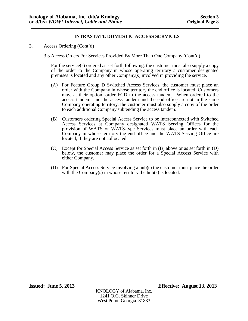- 3. Access Ordering (Cont'd)
	- 3.3 Access Orders For Services Provided By More Than One Company (Cont'd)

For the service(s) ordered as set forth following, the customer must also supply a copy of the order to the Company in whose operating territory a customer designated premises is located and any other Company(s) involved in providing the service.

- (A) For Feature Group D Switched Access Services, the customer must place an order with the Company in whose territory the end office is located. Customers may, at their option, order FGD to the access tandem. When ordered to the access tandem, and the access tandem and the end office are not in the same Company operating territory, the customer must also supply a copy of the order to each additional Company subtending the access tandem.
- (B) Customers ordering Special Access Service to be interconnected with Switched Access Services at Company designated WATS Serving Offices for the provision of WATS or WATS-type Services must place an order with each Company in whose territory the end office and the WATS Serving Office are located, if they are not collocated.
- (C) Except for Special Access Service as set forth in (B) above or as set forth in (D) below, the customer may place the order for a Special Access Service with either Company.
- (D) For Special Access Service involving a hub(s) the customer must place the order with the Company(s) in whose territory the hub(s) is located.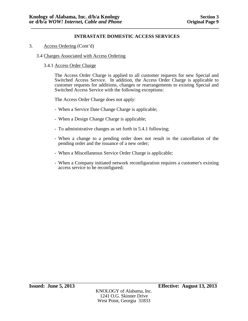## 3. Access Ordering (Cont'd)

## 3.4 Charges Associated with Access Ordering

## 3.4.1 Access Order Charge

The Access Order Charge is applied to all customer requests for new Special and Switched Access Service. In addition, the Access Order Charge is applicable to customer requests for additions, changes or rearrangements to existing Special and Switched Access Service with the following exceptions:

The Access Order Charge does not apply:

- When a Service Date Change Charge is applicable;
- When a Design Change Charge is applicable;
- To administrative changes as set forth in 5.4.1 following;
- When a change to a pending order does not result in the cancellation of the pending order and the issuance of a new order;
- When a Miscellaneous Service Order Charge is applicable;
- When a Company initiated network reconfiguration requires a customer's existing access service to be reconfigured;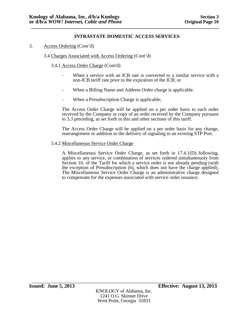## 3. Access Ordering (Cont'd)

## 3.4 Charges Associated with Access Ordering (Cont'd)

## 3.4.1 Access Order Charge (Cont'd)

- When a service with an ICB rate is converted to a similar service with a non-ICB tariff rate prior to the expiration of the ICB; or
- When a Billing Name and Address Order charge is applicable.
- When a Presubscription Charge is applicable;

The Access Order Charge will be applied on a per order basis to each order received by the Company or copy of an order received by the Company pursuant to 3.3 preceding, as set forth in this and other sections of this tariff.

The Access Order Charge will be applied on a per order basis for any change, rearrangement or addition to the delivery of signaling to an existing STP Port.

#### 3.4.2 Miscellaneous Service Order Charge

A Miscellaneous Service Order Charge, as set forth in 17.4.1(D) following, applies to any service, or combination of services ordered simultaneously from Section 10. of the Tariff for which a service order is not already pending (with the exception of Presubscription (6), which does not have the charge applied). The Miscellaneous Service Order Charge is an administrative charge designed to compensate for the expenses associated with service order issuance.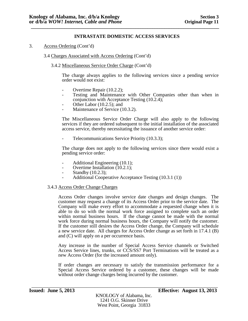3. Access Ordering (Cont'd)

3.4 Charges Associated with Access Ordering (Cont'd)

3.4.2 Miscellaneous Service Order Charge (Cont'd)

The charge always applies to the following services since a pending service order would not exist:

- 
- Overtime Repair (10.2.2);<br>- Testing and Maintenance with Other Companies other than when in conjunction with Acceptance Testing (10.2.4);<br>Other Labor (10.2.5); and<br>Maintenance of Service (10.3.2).
- 
- 

The Miscellaneous Service Order Charge will also apply to the following services if they are ordered subsequent to the initial installation of the associated access service, thereby necessitating the issuance of another service order:

Telecommunications Service Priority (10.3.3);

The charge does not apply to the following services since there would exist a pending service order:

- Additional Engineering (10.1);<br>Overtime Installation (10.2.1);
- 
- Standby (10.2.3);
- Additional Cooperative Acceptance Testing (10.3.1 (1))

### 3.4.3 Access Order Change Charges

Access Order changes involve service date changes and design changes. The customer may request a change of its Access Order prior to the service date. The Company will make every effort to accommodate a requested change when it is able to do so with the normal work force assigned to complete such an order within normal business hours. If the change cannot be made with the normal work force during normal business hours, the Company will notify the customer. If the customer still desires the Access Order change, the Company will schedule a new service date. All charges for Access Order change as set forth in 17.4.1 (B) and (C) will apply on a per occurrence basis.

Any increase in the number of Special Access Service channels or Switched Access Service lines, trunks, or CCS/SS7 Port Terminations will be treated as a new Access Order (for the increased amount only).

If order changes are necessary to satisfy the transmission performance for a Special Access Service ordered by a customer, these changes will be made without order change charges being incurred by the customer.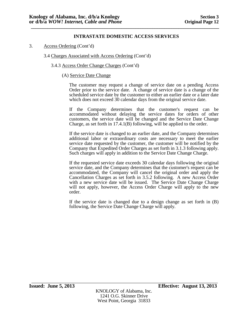3. Access Ordering (Cont'd)

3.4 Charges Associated with Access Ordering (Cont'd)

3.4.3 Access Order Change Charges (Cont'd)

### (A) Service Date Change

The customer may request a change of service date on a pending Access Order prior to the service date. A change of service date is a change of the scheduled service date by the customer to either an earlier date or a later date which does not exceed 30 calendar days from the original service date.

If the Company determines that the customer's request can be accommodated without delaying the service dates for orders of other customers, the service date will be changed and the Service Date Change Charge, as set forth in 17.4.1(B) following, will be applied to the order.

If the service date is changed to an earlier date, and the Company determines additional labor or extraordinary costs are necessary to meet the earlier service date requested by the customer, the customer will be notified by the Company that Expedited Order Charges as set forth in 3.1.3 following apply. Such charges will apply in addition to the Service Date Change Charge.

If the requested service date exceeds 30 calendar days following the original service date, and the Company determines that the customer's request can be accommodated, the Company will cancel the original order and apply the Cancellation Charges as set forth in 3.5.2 following. A new Access Order with a new service date will be issued. The Service Date Change Charge will not apply, however, the Access Order Charge will apply to the new order.

If the service date is changed due to a design change as set forth in (B) following, the Service Date Change Charge will apply.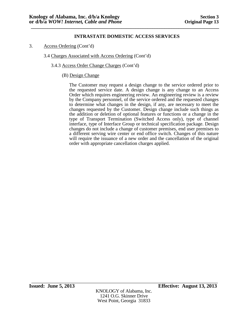3. Access Ordering (Cont'd)

# 3.4 Charges Associated with Access Ordering (Cont'd)

3.4.3 Access Order Change Charges (Cont'd)

## (B) Design Change

The Customer may request a design change to the service ordered prior to the requested service date. A design change is any change to an Access Order which requires engineering review. An engineering review is a review by the Company personnel, of the service ordered and the requested changes to determine what changes in the design, if any, are necessary to meet the changes requested by the Customer. Design change include such things as the addition or deletion of optional features or functions or a change in the type of Transport Termination (Switched Access only), type of channel interface, type of Interface Group or technical specification package. Design changes do not include a change of customer premises, end user premises to a different serving wire center or end office switch. Changes of this nature will require the issuance of a new order and the cancellation of the original order with appropriate cancellation charges applied.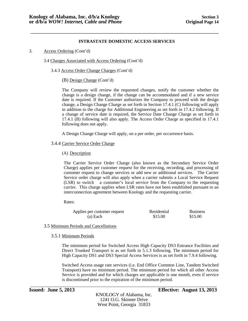**\_\_\_\_\_\_\_\_\_\_\_\_\_\_\_\_\_\_\_\_\_\_\_\_\_\_\_\_\_\_\_\_\_\_\_\_\_\_\_\_\_\_\_\_\_\_\_\_\_\_\_\_\_\_\_\_\_\_\_\_\_\_\_\_\_\_\_\_\_\_\_\_\_\_\_\_\_\_\_\_\_\_\_\_\_\_**

3. Access Ordering (Cont'd)

3.4 Charges Associated with Access Ordering (Cont'd)

3.4.3 Access Order Change Charges (Cont'd)

(B) Design Change (Cont'd)

The Company will review the requested changes, notify the customer whether the change is a design change, if the change can be accommodated and if a new service date is required. If the Customer authorizes the Company to proceed with the design change, a Design Change Charge as set forth in Section 17.4.1 (C) following will apply in addition to the charge for Additional Engineering as set forth in 17.4.2 following. If a change of service date is required, the Service Date Change Charge as set forth in 17.4.1 (B) following will also apply. The Access Order Charge as specified in 17.4.1 following does not apply.

A Design Change Charge will apply, on a per order, per occurrence basis.

#### 3.4.4 Carrier Service Order Charge

(A) Description

The Carrier Service Order Charge (also known as the Secondary Service Order Charge) applies per customer request for the receiving, recording, and processing of customer request to change services or add new or additional services. The Carrier Service order charge will also apply when a carrier submits a Local Service Request (LSR) to switch a customer's local service from the Company to the requesting carrier. This charge applies when LSR rates have not been established pursuant to an interconnection agreement between Knology and the requesting carrier.

Rates:

| Applies per customer request | Residential | <b>Business</b> |
|------------------------------|-------------|-----------------|
| (a) Each                     | \$15.00     | \$15.00         |

### 3.5 Minimum Periods and Cancellations

#### 3.5.1 Minimum Periods

The minimum period for Switched Access High Capacity DS3 Entrance Facilities and Direct Trunked Transport is as set forth in 5.1.3 following. The minimum period for High Capacity DS1 and DS3 Special Access Services is as set forth in 7.9.4 following.

Switched Access usage rate services (i.e. End Office Common Line, Tandem Switched Transport) have no minimum period. The minimum period for which all other Access Service is provided and for which charges are applicable is one month, even if service is discontinued prior to the expiration of the minimum period.

\_\_\_\_\_\_\_\_\_\_\_\_\_\_\_\_\_\_\_\_\_\_\_\_\_\_\_\_\_\_\_\_\_\_\_\_\_\_\_\_\_\_\_\_\_\_\_\_\_\_\_\_\_\_\_\_\_\_\_\_\_\_\_\_\_\_\_\_\_\_\_\_\_\_\_\_\_\_\_\_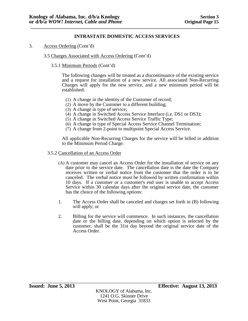- 3. Access Ordering (Cont'd)
	- 3.5 Charges Associated with Access Ordering (Cont'd)

## 3.5.1 Minimum Periods (Cont'd)

The following changes will be treated as a discontinuance of the existing service and a request for installation of a new service. All associated Non-Recurring Charges will apply for the new service, and a new minimum period will be established:

- (1) A change in the identity of the Customer of record;
- (2) A move by the Customer to a different building;
- (3) A change in type of service;
- (4) A change in Switched Access Service Interface (i.e. DS1 or DS3);
- (5) A change in Switched Access Service Traffic Type;
- (6) A change in type of Special Access Service Channel Termination;
- (7) A change from 2-point to multipoint Special Access Service.

All applicable Non-Recurring Charges for the service will be billed in addition to the Minimum Period Charge.

- 3.5.2 Cancellation of an Access Order
	- (A) A customer may cancel an Access Order for the installation of service on any date prior to the service date. The cancellation date is the date the Company receives written or verbal notice from the customer that the order is to be canceled. The verbal notice must be followed by written confirmation within 10 days. If a customer or a customer's end user is unable to accept Access Service within 30 calendar days after the original service date, the customer has the choice of the following options:
	- 1. The Access Order shall be canceled and charges set forth in (B) following will apply; or
	- 2. Billing for the service will commence. In such instances, the cancellation date or the billing date, depending on which option is selected by the customer, shall be the 31st day beyond the original service date of the Access Order.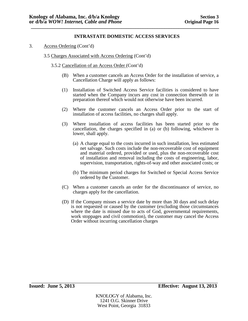- 3. Access Ordering (Cont'd)
	- 3.5 Charges Associated with Access Ordering (Cont'd)
		- 3.5.2 Cancellation of an Access Order (Cont'd)
			- (B) When a customer cancels an Access Order for the installation of service, a Cancellation Charge will apply as follows:
			- (1) Installation of Switched Access Service facilities is considered to have started when the Company incurs any cost in connection therewith or in preparation thereof which would not otherwise have been incurred.
			- (2) Where the customer cancels an Access Order prior to the start of installation of access facilities, no charges shall apply.
			- (3) Where installation of access facilities has been started prior to the cancellation, the charges specified in (a) or (b) following, whichever is lower, shall apply.
				- (a) A charge equal to the costs incurred in such installation, less estimated net salvage. Such costs include the non-recoverable cost of equipment and material ordered, provided or used, plus the non-recoverable cost of installation and removal including the costs of engineering, labor, supervision, transportation, rights-of-way and other associated costs; or
				- (b) The minimum period charges for Switched or Special Access Service ordered by the Customer.
			- (C) When a customer cancels an order for the discontinuance of service, no charges apply for the cancellation.
			- (D) If the Company misses a service date by more than 30 days and such delay is not requested or caused by the customer (excluding those circumstances where the date is missed due to acts of God, governmental requirements, work stoppages and civil commotion), the customer may cancel the Access Order without incurring cancellation charges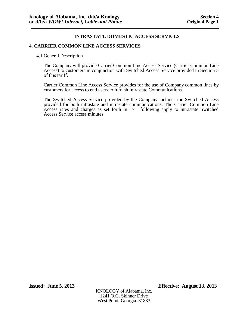## **4. CARRIER COMMON LINE ACCESS SERVICES**

### 4.1 General Description

The Company will provide Carrier Common Line Access Service (Carrier Common Line Access) to customers in conjunction with Switched Access Service provided in Section 5 of this tariff.

Carrier Common Line Access Service provides for the use of Company common lines by customers for access to end users to furnish Intrastate Communications.

The Switched Access Service provided by the Company includes the Switched Access provided for both intrastate and intrastate communications. The Carrier Common Line Access rates and charges as set forth in 17.1 following apply to intrastate Switched Access Service access minutes.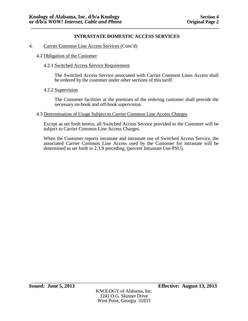## 4. Carrier Common Line Access Services (Cont'd)

## 4.2 Obligation of the Customer

## 4.2.1 Switched Access Service Requirement

The Switched Access Service associated with Carrier Common Lines Access shall be ordered by the customer under other sections of this tariff.

## 4.2.2 Supervision

The Customer facilities at the premises of the ordering customer shall provide the necessary on-hook and off-hook supervision.

### 4.3 Determination of Usage Subject to Carrier Common Line Access Charges

Except as set forth herein, all Switched Access Service provided to the Customer will be subject to Carrier Common Line Access Charges.

When the Customer reports intrastate and intrastate use of Switched Access Service, the associated Carrier Common Line Access used by the Customer for intrastate will be determined as set forth in 2.3.9 preceding, (percent Intrastate Use-PSU).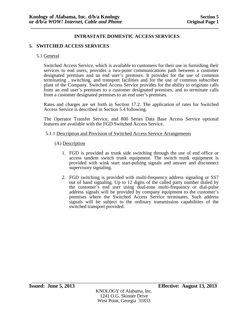# **5. SWITCHED ACCESS SERVICES**

### 5.1 General

Switched Access Service, which is available to customers for their use in furnishing their services to end users, provides a two-point communications path between a customer designated premises and an end user's premises. It provides for the use of common terminating , switching, and transport facilities and for the use of common subscriber plant of the Company. Switched Access Service provides for the ability to originate calls from an end user's premises to a customer designated premises, and to terminate calls from a customer designated premises to an end user's premises.

Rates and charges are set forth in Section 17.2. The application of rates for Switched Access Service is described in Section 5.4 following.

The Operator Transfer Service, and 800 Series Data Base Access Service optional features are available with the FGD Switched Access Service.

#### 5.1.1 Description and Provision of Switched Access Service Arrangements

### (A) Description

- 1. FGD is provided as trunk side switching through the use of end office or access tandem switch trunk equipment. The switch trunk equipment is provided with wink start start-pulsing signals and answer and disconnect supervisory signaling.
- 2. FGD switching is provided with multi-frequency address signaling or SS7 out of band signaling. Up to 12 digits of the called party number dialed by the customer's end user using dual-tone multi-frequency or dial-pulse address signals will be provided by company equipment to the customer's premises where the Switched Access Service terminates. Such address signals will be subject to the ordinary transmission capabilities of the switched transport provided.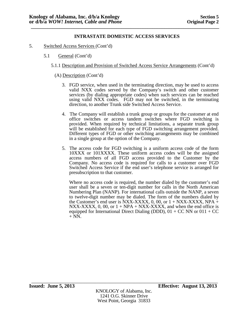- 5. Switched Access Services (Cont'd)
	- 5.1 General (Cont'd)
		- 5.1.1 Description and Provision of Switched Access Service Arrangements (Cont'd)

## (A) Description (Cont'd)

- 3. FGD service, when used in the terminating direction, may be used to access valid NXX codes served by the Company's switch and other customer services (by dialing appropriate codes) when such services can be reached using valid NXX codes. FGD may not be switched, in the terminating direction, to another Trunk side Switched Access Service.
- 4. The Company will establish a trunk group or groups for the customer at end office switches or access tandem switches where FGD switching is provided. When required by technical limitations, a separate trunk group will be established for each type of FGD switching arrangement provided. Different types of FGD or other switching arrangements may be combined in a single group at the option of the Company.
- 5. The access code for FGD switching is a uniform access code of the form 10XXX or 101XXXX. These uniform access codes will be the assigned access numbers of all FGD access provided to the Customer by the Company. No access code is required for calls to a customer over FGD Switched Access Service if the end user's telephone service is arranged for presubscription to that customer.

Where no access code is required, the number dialed by the customer's end user shall be a seven or ten-digit number for calls in the North American Numbering Plan (NANP). For international calls outside the NANP, a seven to twelve-digit number may be dialed. The form of the numbers dialed by the Customer's end user is NXX-XXXX, 0, 00, or  $1 + NXX-XXXX$ , NPA  $+$ NXX-XXXX, 0, 00, or  $1 + NPA + NXX-XXXX$ , and when the end office is equipped for International Direct Dialing (DDD),  $01 + CC$  NN or  $011 + CC$  $+$  NN.

KNOLOGY of Alabama, Inc. 1241 O.G. Skinner Drive West Point, Georgia 31833

\_\_\_\_\_\_\_\_\_\_\_\_\_\_\_\_\_\_\_\_\_\_\_\_\_\_\_\_\_\_\_\_\_\_\_\_\_\_\_\_\_\_\_\_\_\_\_\_\_\_\_\_\_\_\_\_\_\_\_\_\_\_\_\_\_\_\_\_\_\_\_ **Issued: June 5, 2013 Effective: August 13, 2013**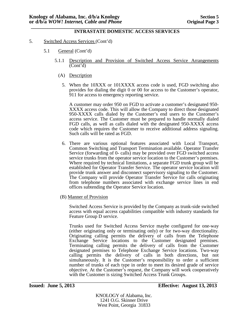#### **\_\_\_\_\_\_\_\_\_\_\_\_\_\_\_\_\_\_\_\_\_\_\_\_\_\_\_\_\_\_\_\_\_\_\_\_\_\_\_\_\_\_\_\_\_\_\_\_\_\_\_\_\_\_\_\_\_\_\_\_\_\_\_\_\_\_\_\_\_\_\_\_\_\_\_\_\_\_\_ INTRASTATE DOMESTIC ACCESS SERVICES**

- 5. Switched Access Services (Cont'd)
	- 5.1 General (Cont'd)
		- 5.1.1 Description and Provision of Switched Access Service Arrangements (Cont'd)
			- (A) Description
				- 5. When the 10XXX or 101XXXX access code is used, FGD switching also provides for dialing the digit 0 or 00 for access to the Customer's operator, 911 for access to emergency reporting service.

A customer may order 950 on FGD to activate a customer's designated 950- XXXX access code. This will allow the Company to direct those designated 950-XXXX calls dialed by the Customer's end users to the Customer's access service. The Customer must be prepared to handle normally dialed FGD calls, as well as calls dialed with the designated 950-XXXX access code which requires the Customer to receive additional address signaling. Such calls will be rated as FGD.

- 6. There are various optional features associated with Local Transport, Common Switching and Transport Termination available. Operator Transfer Service (forwarding of 0- calls) may be provided over FGD switched access service trunks from the operator service location to the Customer's premises. Where required by technical limitations, a separate FGD trunk group will be established for Operator Transfer Service. The operator service location will provide trunk answer and disconnect supervisory signaling to the Customer. The Company will provide Operator Transfer Service for calls originating from telephone numbers associated with exchange service lines in end offices subtending the Operator Service location.
- (B) Manner of Provision

Switched Access Service is provided by the Company as trunk-side switched access with equal access capabilities compatible with industry standards for Feature Group D service.

Trunks used for Switched Access Service maybe configured for one-way (either originating only or terminating only) or for two-way directionality. Originating calling permits the delivery of calls from the Telephone Exchange Service locations to the Customer designated premises. Terminating calling permits the delivery of calls from the Customer designated premises to Telephone Exchange Service locations. Two-way calling permits the delivery of calls in both directions, but not simultaneously. It is the Customer's responsibility to order a sufficient number of trunks of each type in order to meet its desired grade of service objective. At the Customer's request, the Company will work cooperatively with the Customer is sizing Switched Access Trunk Groups.

KNOLOGY of Alabama, Inc. 1241 O.G. Skinner Drive West Point, Georgia 31833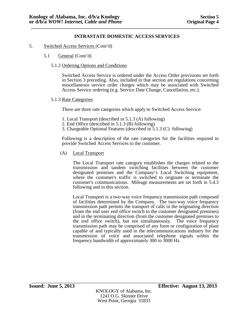- 5. Switched Access Services (Cont'd)
	- 5.1 General (Cont'd)
		- 5.1.2 Ordering Options and Conditions

Switched Access Service is ordered under the Access Order provisions set forth in Section 3 preceding. Also, included in that section are regulations concerning miscellaneous service order charges which may be associated with Switched Access Service ordering (e.g. Service Date Change, Cancellation, etc.).

## 5.1.3 Rate Categories

There are three rate categories which apply to Switched Access Service:

- 1. Local Transport (described in 5.1.3 (A) following)
- 2. End Office (described in 5.1.3 (B) following)
- 3. Chargeable Optional Features (described in 5.1.3 (C) following)

Following is a description of the rate categories for the facilities required to provide Switched Access Services to the customer.

(A) Local Transport

The Local Transport rate category establishes the charges related to the transmission and tandem switching facilities between the customer designated premises and the Company's Local Switching equipment, where the customer's traffic is switched to originate or terminate the customer's communications. Mileage measurements are set forth in 5.4.3 following and in this section.

Local Transport is a two-way voice frequency transmission path composed of facilities determined by the Company. The two-way voice frequency transmission path permits the transport of calls in the originating direction (from the end user end office switch to the customer designated premises) and in the terminating direction (from the customer designated premises to the end office switch), but not simultaneously. The voice frequency transmission path may be comprised of any form or configuration of plant capable of and typically used in the telecommunications industry for the transmission of voice and associated telephone signals within the frequency bandwidth of approximately 300 to 3000 Hz.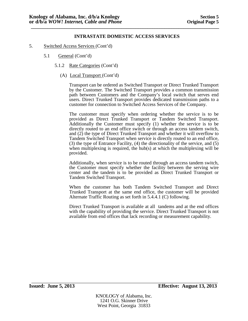- 5. Switched Access Services (Cont'd)
	- 5.1 General (Cont'd)
		- 5.1.2 Rate Categories (Cont'd)
			- (A) Local Transport (Cont'd)

Transport can be ordered as Switched Transport or Direct Trunked Transport by the Customer. The Switched Transport provides a common transmission path between Customers and the Company's local switch that serves end users. Direct Trunked Transport provides dedicated transmission paths to a customer for connection to Switched Access Services of the Company.

The customer must specify when ordering whether the service is to be provided as Direct Trunked Transport or Tandem Switched Transport. Additionally the Customer must specify (1) whether the service is to be directly routed to an end office switch or through an access tandem switch, and (2) the type of Direct Trunked Transport and whether it will overflow to Tandem Switched Transport when service is directly routed to an end office, (3) the type of Entrance Facility, (4) the directionality of the service, and (5) when multiplexing is required, the hub(s) at which the multiplexing will be provided.

Additionally, when service is to be routed through an access tandem switch, the Customer must specify whether the facility between the serving wire center and the tandem is to be provided as Direct Trunked Transport or Tandem Switched Transport.

When the customer has both Tandem Switched Transport and Direct Trunked Transport at the same end office, the customer will be provided Alternate Traffic Routing as set forth in 5.4.4.1 (C) following.

Direct Trunked Transport is available at all tandems and at the end offices with the capability of providing the service. Direct Trunked Transport is not available from end offices that lack recording or measurement capability.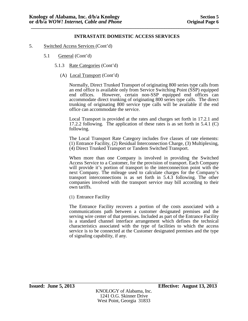- 5. Switched Access Services (Cont'd)
	- 5.1 General (Cont'd)
		- 5.1.3 Rate Categories (Cont'd)
			- (A) Local Transport (Cont'd)

Normally, Direct Trunked Transport of originating 800 series type calls from an end office is available only from Service Switching Point (SSP) equipped end offices. However, certain non-SSP equipped end offices can accommodate direct trunking of originating 800 series type calls. The direct trunking of originating 800 service type calls will be available if the end office can accommodate the service.

Local Transport is provided at the rates and charges set forth in 17.2.1 and 17.2.2 following. The application of these rates is as set forth in 5.4.1 (C) following.

The Local Transport Rate Category includes five classes of rate elements: (1) Entrance Facility, (2) Residual Interconnection Charge, (3) Multiplexing, (4) Direct Trunked Transport or Tandem Switched Transport.

When more than one Company is involved in providing the Switched Access Service to a Customer, for the provision of transport. Each Company will provide it's portion of transport to the interconnection point with the next Company. The mileage used to calculate charges for the Company's transport interconnections is as set forth in 5.4.3 following. The other companies involved with the transport service may bill according to their own tariffs.

(1) Entrance Facility

The Entrance Facility recovers a portion of the costs associated with a communications path between a customer designated premises and the serving wire center of that premises. Included as part of the Entrance Facility is a standard channel interface arrangement which defines the technical characteristics associated with the type of facilities to which the access service is to be connected at the Customer designated premises and the type of signaling capability, if any.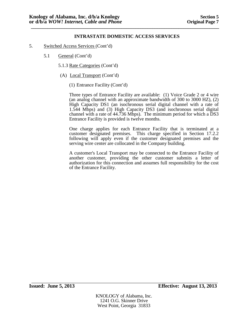- 5. Switched Access Services (Cont'd)
	- 5.1 General (Cont'd)
		- 5.1.3 Rate Categories (Cont'd)
		- (A) Local Transport (Cont'd)
			- (1) Entrance Facility (Cont'd)

Three types of Entrance Facility are available: (1) Voice Grade 2 or 4 wire (an analog channel with an approximate bandwidth of 300 to 3000 HZ), (2) High Capacity DS1 (an isochronous serial digital channel with a rate of 1.544 Mbps) and (3) High Capacity DS3 (and isochronous serial digital channel with a rate of 44.736 Mbps). The minimum period for which a DS3 Entrance Facility is provided is twelve months.

One charge applies for each Entrance Facility that is terminated at a customer designated premises. This charge specified in Section 17.2.2 following will apply even if the customer designated premises and the serving wire center are collocated in the Company building.

A customer's Local Transport may be connected to the Entrance Facility of another customer, providing the other customer submits a letter of authorization for this connection and assumes full responsibility for the cost of the Entrance Facility.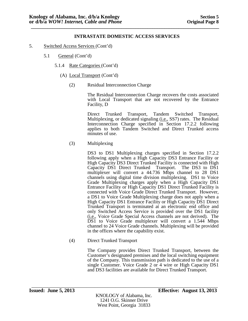- 5. Switched Access Services (Cont'd)
	- 5.1 General (Cont'd)
		- 5.1.4 Rate Categories (Cont'd)
			- (A) Local Transport (Cont'd)
				- (2) Residual Interconnection Charge

The Residual Interconnection Charge recovers the costs associated with Local Transport that are not recovered by the Entrance Facility, D

Direct Trunked Transport, Tandem Switched Transport, Multiplexing, or dedicated signaling (i.e., SS7) rates. The Residual Interconnection Charge specified in Section 17.2.2 following applies to both Tandem Switched and Direct Trunked access minutes of use.

(3) Multiplexing

DS3 to DS1 Multiplexing charges specified in Section 17.2.2 following apply when a High Capacity DS3 Entrance Facility or High Capacity DS3 Direct Trunked Facility is connected with High Capacity DS1 Direct Trunked Transport. The DS3 to DS1 multiplexer will convert a 44.736 Mbps channel to 28 DS1 channels using digital time division multiplexing. DS1 to Voice Grade Multiplexing charges apply when a High Capacity DS1 Entrance Facility or High Capacity DS1 Direct Trunked Facility is connected with Voice Grade Direct Trunked Transport. However, a DS1 to Voice Grade Multiplexing charge does not apply when a High Capacity DS1 Entrance Facility or High Capacity DS1 Direct Trunked Transport is terminated at an electronic end office and only Switched Access Service is provided over the DS1 facility (i.e., Voice Grade Special Access channels are not derived). The DS1 to Voice Grade multiplexer will convert a 1.544 Mbps channel to 24 Voice Grade channels. Multiplexing will be provided in the offices where the capability exist.

(4) Direct Trunked Transport

The Company provides Direct Trunked Transport, between the Customer's designated premises and the local switching equipment of the Company. This transmission path is dedicated to the use of a single Customer. Voice Grade 2 or 4 wire or High Capacity DS1 and DS3 facilities are available for Direct Trunked Transport.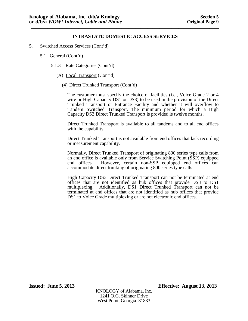- 5. Switched Access Services (Cont'd)
	- 5.1 General (Cont'd)
		- 5.1.3 Rate Categories (Cont'd)
			- (A) Local Transport (Cont'd)
				- (4) Direct Trunked Transport (Cont'd)

The customer must specify the choice of facilities (i.e., Voice Grade 2 or 4 wire or High Capacity DS1 or DS3) to be used in the provision of the Direct Trunked Transport or Entrance Facility and whether it will overflow to Tandem Switched Transport. The minimum period for which a High Capacity DS3 Direct Trunked Transport is provided is twelve months.

Direct Trunked Transport is available to all tandems and to all end offices with the capability.

Direct Trunked Transport is not available from end offices that lack recording or measurement capability.

Normally, Direct Trunked Transport of originating 800 series type calls from an end office is available only from Service Switching Point (SSP) equipped<br>end offices. However, certain non-SSP equipped end offices can However, certain non-SSP equipped end offices can accommodate direct trunking of originating 800 series type calls.

High Capacity DS3 Direct Trunked Transport can not be terminated at end offices that are not identified as hub offices that provide DS3 to DS1 multiplexing. Additionally, DS1 Direct Trunked Transport can not be terminated at end offices that are not identified as hub offices that provide DS1 to Voice Grade multiplexing or are not electronic end offices.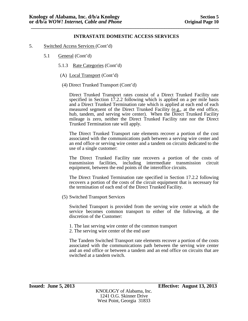- 5. Switched Access Services (Cont'd)
	- 5.1 General (Cont'd)
		- 5.1.3 Rate Categories (Cont'd)
		- (A) Local Transport (Cont'd)
		- (4) Direct Trunked Transport (Cont'd)

Direct Trunked Transport rates consist of a Direct Trunked Facility rate specified in Section 17.2.2 following which is applied on a per mile basis and a Direct Trunked Termination rate which is applied at each end of each measured segment of the Direct Trunked Facility (e.g., at the end office, hub, tandem, and serving wire center). When the Direct Trunked Facility mileage is zero, neither the Direct Trunked Facility rate nor the Direct Trunked Termination rate will apply.

The Direct Trunked Transport rate elements recover a portion of the cost associated with the communications path between a serving wire center and an end office or serving wire center and a tandem on circuits dedicated to the use of a single customer:

The Direct Trunked Facility rate recovers a portion of the costs of transmission facilities, including intermediate transmission circuit equipment, between the end points of the interoffice circuits.

The Direct Trunked Termination rate specified in Section 17.2.2 following recovers a portion of the costs of the circuit equipment that is necessary for the termination of each end of the Direct Trunked Facility.

(5) Switched Transport Services

Switched Transport is provided from the serving wire center at which the service becomes common transport to either of the following, at the discretion of the Customer:

1. The last serving wire center of the common transport

2. The serving wire center of the end user

The Tandem Switched Transport rate elements recover a portion of the costs associated with the communications path between the serving wire center and an end office or between a tandem and an end office on circuits that are switched at a tandem switch.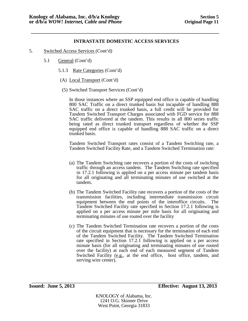**\_\_\_\_\_\_\_\_\_\_\_\_\_\_\_\_\_\_\_\_\_\_\_\_\_\_\_\_\_\_\_\_\_\_\_\_\_\_\_\_\_\_\_\_\_\_\_\_\_\_\_\_\_\_\_\_\_\_\_\_\_\_\_\_\_\_\_\_\_\_\_\_\_\_\_\_\_\_\_**

- 5. Switched Access Services (Cont'd)
	- 5.1 General (Cont'd)
		- 5.1.3 Rate Categories (Cont'd)
		- (A) Local Transport (Cont'd)
		- (5) Switched Transport Services (Cont'd)

In those instances where an SSP equipped end office is capable of handling 800 SAC Traffic on a direct trunked basis but incapable of handling 888 SAC traffic on a direct trunked basis, a full credit will be provided for Tandem Switched Transport Charges associated with FGD service for 888 SAC traffic delivered at the tandem. This results in all 800 series traffic being rated as direct trunked transport regardless of whether the SSP equipped end office is capable of handling 888 SAC traffic on a direct trunked basis.

Tandem Switched Transport rates consist of a Tandem Switching rate, a Tandem Switched Facility Rate, and a Tandem Switched Termination rate:

- (a) The Tandem Switching rate recovers a portion of the costs of switching traffic through an access tandem. The Tandem Switching rate specified in 17.2.1 following is applied on a per access minute per tandem basis for all originating and all terminating minutes of use switched at the tandem.
- (b) The Tandem Switched Facility rate recovers a portion of the costs of the transmission facilities, including intermediate transmission circuit equipment between the end points of the interoffice circuits. The Tandem Switched Facility rate specified in Section 17.2.1 following is applied on a per access minute per mile basis for all originating and terminating minutes of use routed over the facility
- (c) The Tandem Switched Termination rate recovers a portion of the costs of the circuit equipment that is necessary for the termination of each end of the Tandem Switched Facility. The Tandem Switched Termination rate specified in Section 17.2.1 following is applied on a per access minute basis (for all originating and terminating minutes of use routed over the facility) at each end of each measured segment of Tandem Switched Facility (e.g., at the end office, host office, tandem, and serving wire center).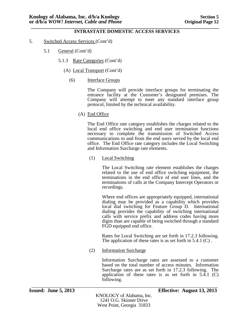#### **\_\_\_\_\_\_\_\_\_\_\_\_\_\_\_\_\_\_\_\_\_\_\_\_\_\_\_\_\_\_\_\_\_\_\_\_\_\_\_\_\_\_\_\_\_\_\_\_\_\_\_\_\_\_\_\_\_\_\_\_\_\_\_\_\_\_\_\_\_\_\_\_\_\_\_\_\_\_\_ INTRASTATE DOMESTIC ACCESS SERVICES**

- 5. Switched Access Services (Cont'd)
	- 5.1 General (Cont'd)
		- 5.1.3 Rate Categories (Cont'd)
			- (A) Local Transport (Cont'd)
				- (6) Interface Groups

The Company will provide interface groups for terminating the entrance facility at the Customer's designated premises. The Company will attempt to meet any standard interface group protocol, limited by the technical availability.

(A) End Office

The End Office rate category establishes the charges related to the local end office switching and end user termination functions necessary to complete the transmission of Switched Access communications to and from the end users served by the local end office. The End Office rate category includes the Local Switching and Information Surcharge rate elements.

(1) Local Switching

The Local Switching rate element establishes the charges related to the use of end office switching equipment, the terminations in the end office of end user lines, and the terminations of calls at the Company Intercept Operators or recordings.

Where end offices are appropriately equipped, international dialing may be provided as a capability which provides local dial switching for Feature Group D. International dialing provides the capability of switching international calls with service prefix and address codes having more digits than are capable of being switched through a standard FGD equipped end office.

Rates for Local Switching are set forth in 17.2.3 following. The application of these rates is as set forth in 5.4.1 (C).

(2) Information Surcharge

Information Surcharge rates are assessed to a customer based on the total number of access minutes. Information Surcharge rates are as set forth in 17.2.3 following. The application of these rates is as set forth in  $5.\overline{4}.\overline{1}$  (C) following.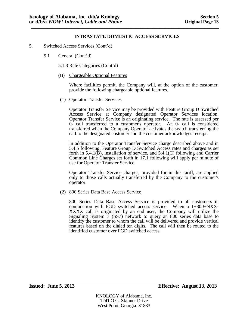- 5. Switched Access Services (Cont'd)
	- 5.1 General (Cont'd)
		- 5.1.3 Rate Categories (Cont'd)
		- (B) Chargeable Optional Features

Where facilities permit, the Company will, at the option of the customer, provide the following chargeable optional features.

(1) Operator Transfer Services

Operator Transfer Service may be provided with Feature Group D Switched Access Service at Company designated Operator Services location. Operator Transfer Service is an originating service. The rate is assessed per 0- call transferred to a customer's operator. An 0- call is considered transferred when the Company Operator activates the switch transferring the call to the designated customer and the customer acknowledges receipt.

In addition to the Operator Transfer Service charge described above and in 5.4.5 following, Feature Group D Switched Access rates and charges as set forth in 5.4.1(B), installation of service, and 5.4.1(C) following and Carrier Common Line Charges set forth in 17.1 following will apply per minute of use for Operator Transfer Service.

Operator Transfer Service charges, provided for in this tariff, are applied only to those calls actually transferred by the Company to the customer's operator.

(2) 800 Series Data Base Access Service

800 Series Data Base Access Service is provided to all customers in  $\overline{XXX}$  call is originated by an end user, the Company will utilize the Signaling System 7 (SS7) network to query an 800 series data base to identify the customer to whom the call will be delivered and provide vertical features based on the dialed ten digits. The call will then be routed to the identified customer over FGD switched access.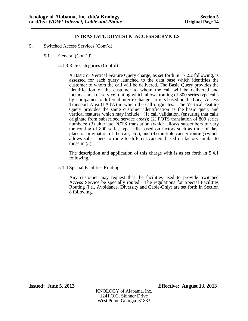- 5. Switched Access Services (Cont'd)
	- 5.1 General (Cont'd)
		- 5.1.3 Rate Categories (Cont'd)

A Basic or Vertical Feature Query charge, as set forth in 17.2.2 following, is assessed for each query launched to the data base which identifies the customer to whom the call will be delivered. The Basic Query provides the identification of the customer to whom the call will be delivered and includes area of service routing which allows routing of 800 series type calls by companies to different inter-exchange carriers based on the Local Access Transport Area (LATA) in which the call originates. The Vertical Feature Query provides the same customer identification as the basic query and vertical features which may include: (1) call validation, (ensuring that calls originate from subscribed service areas); (2) POTS translation of 800 series numbers; (3) alternate POTS translation (which allows subscribers to vary the routing of 800 series type calls based on factors such as time of day, place or origination of the call, etc.); and (4) multiple carrier routing (which allows subscribers to route to different carriers based on factors similar to those in  $(3)$ .

The description and application of this charge with is as set forth in 5.4.1 following.

5.1.4 Special Facilities Routing

Any customer may request that the facilities used to provide Switched Access Service be specially routed. The regulations for Special Facilities Routing (i.e., Avoidance, Diversity and Cable-Only) are set forth in Section 8 following.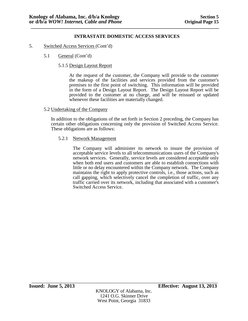- 5. Switched Access Services (Cont'd)
	- 5.1 General (Cont'd)
		- 5.1.5 Design Layout Report

At the request of the customer, the Company will provide to the customer the makeup of the facilities and services provided from the customer's premises to the first point of switching. This information will be provided in the form of a Design Layout Report. The Design Layout Report will be provided to the customer at no charge, and will be reissued or updated whenever these facilities are materially changed.

### 5.2 Undertaking of the Company

In addition to the obligations of the set forth in Section 2 preceding, the Company has certain other obligations concerning only the provision of Switched Access Service. These obligations are as follows:

### 5.2.1 Network Management

The Company will administer its network to insure the provision of acceptable service levels to all telecommunications users of the Company's network services. Generally, service levels are considered acceptable only when both end users and customers are able to establish connections with little or no delay encountered within the Company network. The Company maintains the right to apply protective controls, i.e., those actions, such as call gapping, which selectively cancel the completion of traffic, over any traffic carried over its network, including that associated with a customer's Switched Access Service.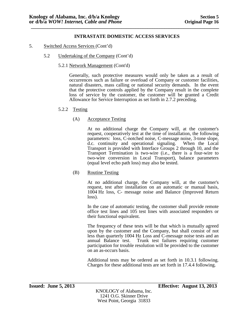- 5. Switched Access Services (Cont'd)
	- 5.2 Undertaking of the Company (Cont'd)
		- 5.2.1 Network Management (Cont'd)

Generally, such protective measures would only be taken as a result of occurrences such as failure or overload of Company or customer facilities, natural disasters, mass calling or national security demands. In the event that the protective controls applied by the Company result in the complete loss of service by the customer, the customer will be granted a Credit Allowance for Service Interruption as set forth in 2.7.2 preceding.

- 5.2.2 Testing
	- (A) Acceptance Testing

At no additional charge the Company will, at the customer's request, cooperatively test at the time of installation, the following parameters: loss, C-notched noise, C-message noise, 3-tone slope, d.c. continuity and operational signaling. When the Local Transport is provided with Interface Groups 2 through 10, and the Transport Termination is two-wire (i.e., there is a four-wire to two-wire conversion in Local Transport), balance parameters (equal level echo path loss) may also be tested.

(B) Routine Testing

At no additional charge, the Company will, at the customer's request, test after installation on an automatic or manual basis, 1004 Hz loss, C- message noise and Balance (Improved Return loss).

In the case of automatic testing, the customer shall provide remote office test lines and 105 test lines with associated responders or their functional equivalent.

The frequency of these tests will be that which is mutually agreed upon by the customer and the Company, but shall consist of not less than quarterly 1004 Hz Loss and C-message noise tests and an annual Balance test. Trunk test failures requiring customer participation for trouble resolution will be provided to the customer on an as-occurs basis.

Additional tests may be ordered as set forth in 10.3.1 following. Charges for these additional tests are set forth in 17.4.4 following.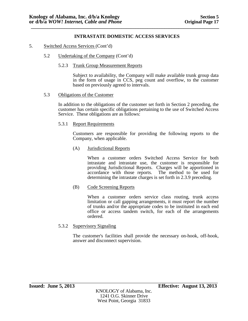- 5. Switched Access Services (Cont'd)
	- 5.2 Undertaking of the Company (Cont'd)
		- 5.2.3 Trunk Group Measurement Reports

Subject to availability, the Company will make available trunk group data in the form of usage in CCS, peg count and overflow, to the customer based on previously agreed to intervals.

5.3 Obligations of the Customer

In addition to the obligations of the customer set forth in Section 2 preceding, the customer has certain specific obligations pertaining to the use of Switched Access Service. These obligations are as follows:

5.3.1 Report Requirements

Customers are responsible for providing the following reports to the Company, when applicable.

(A) Jurisdictional Reports

When a customer orders Switched Access Service for both intrastate and intrastate use, the customer is responsible for providing Jurisdictional Reports. Charges will be apportioned in accordance with those reports. The method to be used for determining the intrastate charges is set forth in 2.3.9 preceding.

(B) Code Screening Reports

When a customer orders service class routing, trunk access limitation or call gapping arrangements, it must report the number of trunks and/or the appropriate codes to be instituted in each end office or access tandem switch, for each of the arrangements ordered.

5.3.2 Supervisory Signaling

The customer's facilities shall provide the necessary on-hook, off-hook, answer and disconnect supervision.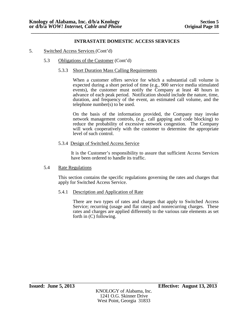**\_\_\_\_\_\_\_\_\_\_\_\_\_\_\_\_\_\_\_\_\_\_\_\_\_\_\_\_\_\_\_\_\_\_\_\_\_\_\_\_\_\_\_\_\_\_\_\_\_\_\_\_\_\_\_\_\_\_\_\_\_\_\_\_\_\_\_\_\_\_\_\_\_\_\_\_\_\_\_**

- 5. Switched Access Services (Cont'd)
	- 5.3 Obligations of the Customer (Cont'd)
		- 5.3.3 Short Duration Mass Calling Requirements

When a customer offers service for which a substantial call volume is expected during a short period of time (e.g., 900 service media stimulated events), the customer must notify the Company at least 48 hours in advance of each peak period. Notification should include the nature, time, duration, and frequency of the event, an estimated call volume, and the telephone number(s) to be used.

On the basis of the information provided, the Company may invoke network management controls, (e.g., call gapping and code blocking) to reduce the probability of excessive network congestion. The Company will work cooperatively with the customer to determine the appropriate level of such control.

5.3.4 Design of Switched Access Service

It is the Customer's responsibility to assure that sufficient Access Services have been ordered to handle its traffic.

5.4 Rate Regulations

This section contains the specific regulations governing the rates and charges that apply for Switched Access Service.

5.4.1 Description and Application of Rate

There are two types of rates and charges that apply to Switched Access Service; recurring (usage and flat rates) and nonrecurring charges. These rates and charges are applied differently to the various rate elements as set forth in (C) following.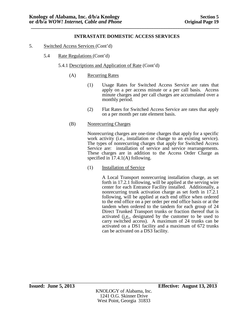- 5. Switched Access Services (Cont'd)
	- 5.4 Rate Regulations (Cont'd)
		- 5.4.1 Descriptions and Application of Rate (Cont'd)
			- (A) Recurring Rates
				- (1) Usage Rates for Switched Access Service are rates that apply on a per access minute or a per call basis. Access minute charges and per call charges are accumulated over a monthly period.
				- (2) Flat Rates for Switched Access Service are rates that apply on a per month per rate element basis.
			- (B) Nonrecurring Charges

Nonrecurring charges are one-time charges that apply for a specific work activity (i.e., installation or change to an existing service). The types of nonrecurring charges that apply for Switched Access Service are: installation of service and service rearrangements. These charges are in addition to the Access Order Charge as specified in 17.4.1(A) following.

(1) Installation of Service

A Local Transport nonrecurring installation charge, as set forth in 17.2.1 following, will be applied at the serving wire center for each Entrance Facility installed. Additionally, a nonrecurring trunk activation charge as set forth in 17.2.1 following, will be applied at each end office when ordered to the end office on a per order per end office basis or at the tandem when ordered to the tandem for each group of 24 Direct Trunked Transport trunks or fraction thereof that is activated (i.e., designated by the customer to be used to carry switched access). A maximum of 24 trunks can be activated on a DS1 facility and a maximum of 672 trunks can be activated on a DS3 facility.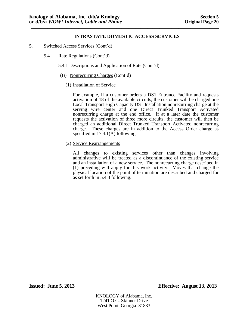- 5. Switched Access Services (Cont'd)
	- 5.4 Rate Regulations (Cont'd)
		- 5.4.1 Descriptions and Application of Rate (Cont'd)
		- (B) Nonrecurring Charges (Cont'd)
			- (1) Installation of Service

For example, if a customer orders a DS1 Entrance Facility and requests activation of 18 of the available circuits, the customer will be charged one Local Transport High Capacity DS1 Installation nonrecurring charge at the serving wire center and one Direct Trunked Transport Activated nonrecurring charge at the end office. If at a later date the customer requests the activation of three more circuits, the customer will then be charged an additional Direct Trunked Transport Activated nonrecurring charge. These charges are in addition to the Access Order charge as specified in 17.4.1(A) following.

(2) Service Rearrangements

All changes to existing services other than changes involving administrative will be treated as a discontinuance of the existing service and an installation of a new service. The nonrecurring charge described in (1) preceding will apply for this work activity. Moves that change the physical location of the point of termination are described and charged for as set forth in 5.4.3 following.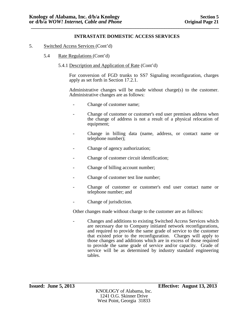- 5. Switched Access Services (Cont'd)
	- 5.4 Rate Regulations (Cont'd)
		- 5.4.1 Description and Application of Rate (Cont'd)

For conversion of FGD trunks to SS7 Signaling reconfiguration, charges apply as set forth in Section 17.2.1.

Administrative changes will be made without charge(s) to the customer. Administrative changes are as follows:

- Change of customer name;
- Change of customer or customer's end user premises address when the change of address is not a result of a physical relocation of equipment;
- Change in billing data (name, address, or contact name or telephone number);
- Change of agency authorization;
- Change of customer circuit identification;
- Change of billing account number;
- Change of customer test line number;
- Change of customer or customer's end user contact name or telephone number; and
- Change of jurisdiction.

Other changes made without charge to the customer are as follows:

- Changes and additions to existing Switched Access Services which are necessary due to Company initiated network reconfigurations, and required to provide the same grade of service to the customer that existed prior to the reconfiguration. Charges will apply to those changes and additions which are in excess of those required to provide the same grade of service and/or capacity. Grade of service will be as determined by industry standard engineering tables.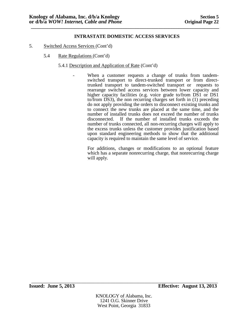- 5. Switched Access Services (Cont'd)
	- 5.4 Rate Regulations (Cont'd)
		- 5.4.1 Description and Application of Rate (Cont'd)
			- When a customer requests a change of trunks from tandem-switched transport to direct-trunked transport or from direct-<br>trunked transport to tandem-switched transport or requests to rearrange switched access services between lower capacity and higher capacity facilities (e.g. voice grade to/from DS1 or DS1 to/from DS3), the non recurring charges set forth in (1) preceding do not apply providing the orders to disconnect existing trunks and to connect the new trunks are placed at the same time, and the number of installed trunks does not exceed the number of trunks disconnected. If the number of installed trunks exceeds the number of trunks connected, all non-recurring charges will apply to the excess trunks unless the customer provides justification based upon standard engineering methods to show that the additional capacity is required to maintain the same level of service.

For additions, changes or modifications to an optional feature which has a separate nonrecurring charge, that nonrecurring charge will apply.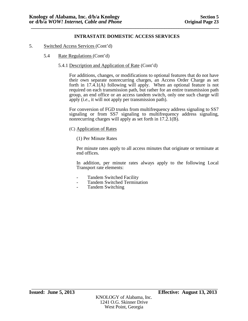- 5. Switched Access Services (Cont'd)
	- 5.4 Rate Regulations (Cont'd)
		- 5.4.1 Description and Application of Rate (Cont'd)

For additions, changes, or modifications to optional features that do not have their own separate nonrecurring charges, an Access Order Charge as set forth in 17.4.1(A) following will apply. When an optional feature is not required on each transmission path, but rather for an entire transmission path group, an end office or an access tandem switch, only one such charge will apply (*i.e*., it will not apply per transmission path).

For conversion of FGD trunks from multifrequency address signaling to SS7 signaling or from SS7 signaling to multifrequency address signaling, nonrecurring charges will apply as set forth in 17.2.1(B).

- (C) Application of Rates
	- (1) Per Minute Rates

Per minute rates apply to all access minutes that originate or terminate at end offices.

In addition, per minute rates always apply to the following Local Transport rate elements:

- 
- Tandem Switched Facility Tandem Switched Termination Tandem Switching
-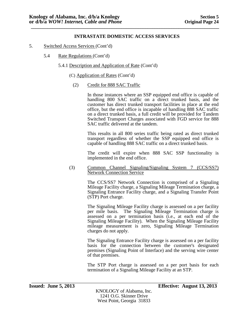- 5. Switched Access Services (Cont'd)
	- 5.4 Rate Regulations (Cont'd)
		- 5.4.1 Description and Application of Rate (Cont'd)
			- (C) Application of Rates (Cont'd)
				- (2) Credit for 888 SAC Traffic

In those instances where an SSP equipped end office is capable of handling 800 SAC traffic on a direct trunked basis, and the customer has direct trunked transport facilities in place at the end office, but the end office is incapable of handling 888 SAC traffic on a direct trunked basis, a full credit will be provided for Tandem Switched Transport Charges associated with FGD service for 888 SAC traffic delivered at the tandem.

This results in all 800 series traffic being rated as direct trunked transport regardless of whether the SSP equipped end office is capable of handling 888 SAC traffic on a direct trunked basis.

The credit will expire when 888 SAC SSP functionality is implemented in the end office.

(3) Common Channel Signaling/Signaling System 7 (CCS/SS7) Network Connection Service

> The CCS/SS7 Network Connection is comprised of a Signaling Mileage Facility charge, a Signaling Mileage Termination charge, a Signaling Entrance Facility charge, and a Signaling Transfer Point (STP) Port charge.

> The Signaling Mileage Facility charge is assessed on a per facility per mile basis. The Signaling Mileage Termination charge is assessed on a per termination basis (i.e., at each end of the Signaling Mileage Facility). When the Signaling Mileage Facility mileage measurement is zero, Signaling Mileage Termination charges do not apply.

> The Signaling Entrance Facility charge is assessed on a per facility basis for the connection between the customer's designated premises (Signaling Point of Interface) and the serving wire center of that premises.

> The STP Port charge is assessed on a per port basis for each termination of a Signaling Mileage Facility at an STP.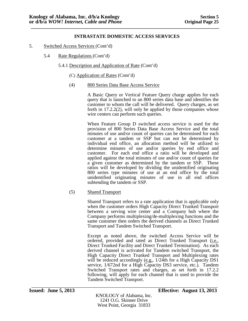- 5. Switched Access Services (Cont'd)
	- 5.4 Rate Regulations (Cont'd)
		- 5.4.1 Description and Application of Rate (Cont'd)
			- (C) Application of Rates (Cont'd)
			- (4) 800 Series Data Base Access Service

A Basic Query or Vertical Feature Query charge applies for each query that is launched to an 800 series data base and identifies the customer to whom the call will be delivered. Query charges, as set forth in 17.2.2(2), will only be applied by those companies whose wire centers can perform such queries.

When Feature Group D switched access service is used for the provision of 800 Series Data Base Access Service and the total minutes of use and/or count of queries can be determined for each customer at a tandem or SSP but can not be determined by individual end office, an allocation method will be utilized to determine minutes of use and/or queries by end office and customer. For each end office a ratio will be developed and applied against the total minutes of use and/or count of queries for a given customer as determined by the tandem or SSP. These ratios will be developed by dividing the unidentified originating 800 series type minutes of use at an end office by the total unidentified originating minutes of use in all end offices subtending the tandem or SSP.

(5) Shared Transport

Shared Transport refers to a rate application that is applicable only when the customer orders High Capacity Direct Trunked Transport between a serving wire center and a Company hub where the Company performs multiplexing/de-multiplexing functions and the same customer then orders the derived channels as Direct Trunked Transport and Tandem Switched Transport.

Except as noted above, the switched Access Service will be ordered, provided and rated as Direct Trunked Transport (i.e., Direct Trunked Facility and Direct Trunked Termination). As each derived channel is activated for Tandem switched Transport, the High Capacity Direct Trunked Transport and Multiplexing rates will be reduced accordingly  $(e.g., 1/24th)$  for a High Capacity DS1 service, 1/672nd for a High Capacity DS3 service, etc.). Tandem Switched Transport rates and charges, as set forth in 17.2.2 following, will apply for each channel that is used to provide the Tandem Switched Transport.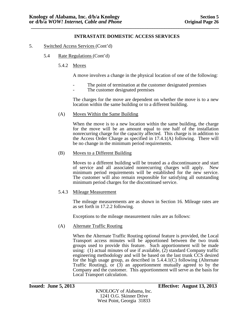- 5. Switched Access Services (Cont'd)
	- 5.4 Rate Regulations (Cont'd)
		- 5.4.2 Moves

A move involves a change in the physical location of one of the following:

- The point of termination at the customer designated premises<br>The customer designated premises
- 

The charges for the move are dependent on whether the move is to a new location within the same building or to a different building.

(A) Moves Within the Same Building

When the move is to a new location within the same building, the charge for the move will be an amount equal to one half of the installation nonrecurring charge for the capacity affected. This charge is in addition to the Access Order Charge as specified in 17.4.1(A) following. There will be no change in the minimum period requirements.

(B) Moves to a Different Building

Moves to a different building will be treated as a discontinuance and start of service and all associated nonrecurring charges will apply. New minimum period requirements will be established for the new service. The customer will also remain responsible for satisfying all outstanding minimum period charges for the discontinued service.

### 5.4.3 Mileage Measurement

The mileage measurements are as shown in Section 16. Mileage rates are as set forth in 17.2.2 following.

Exceptions to the mileage measurement rules are as follows:

# (A) Alternate Traffic Routing

When the Alternate Traffic Routing optional feature is provided, the Local Transport access minutes will be apportioned between the two trunk groups used to provide this feature. Such apportionment will be made using: (1) actual minutes of use if available,  $(2)$  standard Company traffic engineering methodology and will be based on the last trunk CCS desired for the high usage group, as described in 5.4.4.1(C) following (Alternate Traffic Routing), or (3) an apportionment mutually agreed to by the Company and the customer. This apportionment will serve as the basis for Local Transport calculation.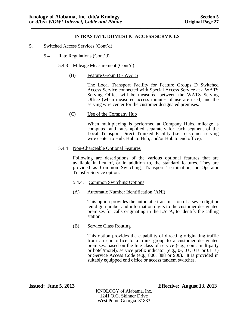- 5. Switched Access Services (Cont'd)
	- 5.4 Rate Regulations (Cont'd)
		- 5.4.3 Mileage Measurement (Cont'd)
			- (B) Feature Group D WATS

The Local Transport Facility for Feature Groups D Switched Access Service connected with Special Access Service at a WATS Serving Office will be measured between the WATS Serving Office (when measured access minutes of use are used) and the serving wire center for the customer designated premises.

(C) Use of the Company Hub

When multiplexing is performed at Company Hubs, mileage is computed and rates applied separately for each segment of the Local Transport Direct Trunked Facility (*i.e.*, customer serving wire center to Hub, Hub to Hub, and/or Hub to end office).

5.4.4 Non-Chargeable Optional Features

Following are descriptions of the various optional features that are available in lieu of, or in addition to, the standard features. They are provided as Common Switching, Transport Termination, or Operator Transfer Service option.

- 5.4.4.1 Common Switching Options
- (A) Automatic Number Identification (ANI)

This option provides the automatic transmission of a seven digit or ten digit number and information digits to the customer designated premises for calls originating in the LATA, to identify the calling station.

(B) Service Class Routing

This option provides the capability of directing originating traffic from an end office to a trunk group to a customer designated premises, based on the line class of service (e.g., coin, multiparty or hotel/motel), service prefix indicator (e.g.,  $0$ -,  $0$ +,  $01+$  or  $011+$ ) or Service Access Code (e.g., 800, 888 or 900). It is provided in suitably equipped end office or access tandem switches.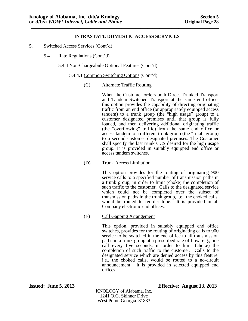- 5. Switched Access Services (Cont'd)
	- 5.4 Rate Regulations (Cont'd)
		- 5.4.4 Non-Chargeabnle Optional Features (Cont'd)
			- 5.4.4.1 Common Switching Options (Cont'd)
				- (C) Alternate Traffic Routing

When the Customer orders both Direct Trunked Transport and Tandem Switched Transport at the same end office, this option provides the capability of directing originating traffic from an end office (or appropriately equipped access tandem) to a trunk group (the "high usage" group) to a customer designated premises until that group is fully loaded, and then delivering additional originating traffic (the "overflowing" traffic) from the same end office or access tandem to a different trunk group (the "final" group) to a second customer designated premises. The Customer shall specify the last trunk CCS desired for the high usage group. It is provided in suitably equipped end office or access tandem switches.

(D) Trunk Access Limitation

This option provides for the routing of originating 900 service calls to a specified number of transmission paths in a trunk group, in order to limit (choke) the completion of such traffic to the customer. Calls to the designated service which could not be completed over the subset of transmission paths in the trunk group, i.e., the choked calls, would be routed to reorder tone. It is provided in all Company electronic end offices.

(E) Call Gapping Arrangement

This option, provided in suitably equipped end office switches, provides for the routing of originating calls to 900 service to be switched in the end office to all transmission paths in a trunk group at a prescribed rate of flow, e.g., one call every five seconds, in order to limit (choke) the completion of such traffic to the customer. Calls to the designated service which are denied access by this feature, i.e., the choked calls, would be routed to a no-circuit announcement. It is provided in selected equipped end offices.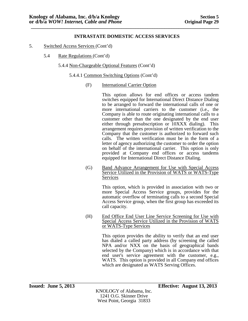- 5. Switched Access Services (Cont'd)
	- 5.4 Rate Regulations (Cont'd)
		- 5.4.4 Non-Chargeable Optional Features (Cont'd)
			- 5.4.4.1 Common Switching Options (Cont'd)
				- (F) International Carrier Option

This option allows for end offices or access tandem switches equipped for International Direct Distance Dialing to be arranged to forward the international calls of one or more international carriers to the customer (i.e., the Company is able to route originating international calls to a customer other than the one designated by the end user either through presubscription or 10XXX dialing). This arrangement requires provision of written verification to the Company that the customer is authorized to forward such calls. The written verification must be in the form of a letter of agency authorizing the customer to order the option on behalf of the international carrier. This option is only provided at Company end offices or access tandems equipped for International Direct Distance Dialing.

(G) Band Advance Arrangement for Use with Special Access Service Utilized in the Provision of WATS or WATS-Type Services

> This option, which is provided in association with two or more Special Access Service groups, provides for the automatic overflow of terminating calls to a second Special Access Service group, when the first group has exceeded its call capacity.

(H) End Office End User Line Service Screening for Use with Special Access Service Utilized in the Provision of WATS or WATS-Type Services

> This option provides the ability to verify that an end user has dialed a called party address (by screening the called NPA and/or NXX on the basis of geographical bands selected by the Company) which is in accordance with that end user's service agreement with the customer, e.g., WATS. This option is provided in all Company end offices which are designated as WATS Serving Offices.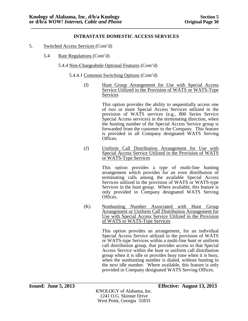- 5. Switched Access Services (Cont'd)
	- 5.4 Rate Regulations (Cont'd)
		- 5.4.4 Non-Chargeabnle Optional Features (Cont'd)
			- 5.4.4.1 Common Switching Options (Cont'd)
				- (I) Hunt Group Arrangement for Use with Special Access Service Utilized in the Provision of WATS or WATS-Type Services

This option provides the ability to sequentially access one of two or more Special Access Services utilized in the provision of WATS services (e.g., 800 Series Service Special Access services) in the terminating direction, when the hunting number of the Special Access Service group is forwarded from the customer to the Company. This feature is provided in all Company designated WATS Serving Offices.

(J) Uniform Call Distribution Arrangement for Use with Special Access Service Utilized in the Provision of WATS or WATS-Type Services

> This option provides a type of multi-line hunting arrangement which provides for an even distribution of terminating calls among the available Special Access Services utilized in the provision of WATS or WATS-type Services in the hunt group. Where available, this feature is only provided in Company designated WATS Serving Offices.

(K) Nonhunting Number Associated with Hunt Group Arrangement or Uniform Call Distribution Arrangement for Use with Special Access Service Utilized in the Provision of WATS or WATS-Type Services

> This option provides an arrangement, for an individual Special Access Service utilized in the provision of WATS or WATS-type Services within a multi-line hunt or uniform call distribution group, that provides access to that Special Access Service within the hunt or uniform call distribution group when it is idle or provides busy tone when it is busy, when the nonhunting number is dialed, without hunting to the next idle number. Where available, this feature is only provided in Company designated WATS Serving Offices.

KNOLOGY of Alabama, Inc. 1241 O.G. Skinner Drive West Point, Georgia 31833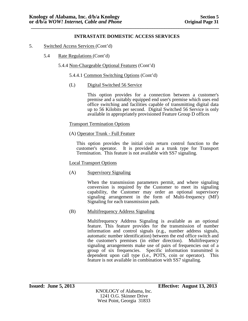- 5. Switched Access Services (Cont'd)
	- 5.4 Rate Regulations (Cont'd)
		- 5.4.4 Non-Chargeable Optional Features (Cont'd)
			- 5.4.4.1 Common Switching Options (Cont'd)
			- (L) Digital Switched 56 Service

This option provides for a connection between a customer's premise and a suitably equipped end user's premise which uses end office switching and facilities capable of transmitting digital data up to 56 Kilobits per second. Digital Switched 56 Service is only available in appropriately provisioned Feature Group D offices

### Transport Termination Options

(A) Operator Trunk - Full Feature

This option provides the initial coin return control function to the customer's operator. It is provided as a trunk type for Transport Termination. This feature is not available with SS7 signaling.

### Local Transport Options

(A) Supervisory Signaling

When the transmission parameters permit, and where signaling conversion is required by the Customer to meet its signaling capability, the Customer may order an optional supervisory signaling arrangement in the form of Multi-frequency (MF) Signaling for each transmission path.

(B) Multifrequency Address Signaling

Multifrequency Address Signaling is available as an optional feature. This feature provides for the transmission of number information and control signals (e.g., number address signals, automatic number identification) between the end office switch and the customer's premises (in either direction). Multifrequency signaling arrangements make use of pairs of frequencies out of a group of six frequencies. Specific information transmitted is dependent upon call type (i.e., POTS, coin or operator). This feature is not available in combination with SS7 signaling.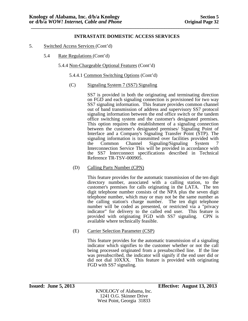- 5. Switched Access Services (Cont'd)
	- 5.4 Rate Regulations (Cont'd)
		- 5.4.4 Non-Chargeable Optional Features (Cont'd)
			- 5.4.4.1 Common Switching Options (Cont'd)
			- (C) Signaling System 7 (SS7) Signaling

SS7 is provided in both the originating and terminating direction on FGD and each signaling connection is provisioned for two way SS7 signaling information. This feature provides common channel out of band transmission of address and supervisory SS7 protocol signaling information between the end office switch or the tandem office switching system and the customer's designated premises. This option requires the establishment of a signaling connection between the customer's designated premises/ Signaling Point of Interface and a Company's Signaling Transfer Point (STP). The signaling information is transmitted over facilities provided with the Common Channel Signaling/Signaling System 7 Interconnection Service This will be provided in accordance with the SS7 Interconnect specifications described in Technical Reference TR-TSV-000905.

(D) Calling Party Number (CPN)

This feature provides for the automatic transmission of the ten digit directory number, associated with a calling station, to the customer's premises for calls originating in the LATA. The ten digit telephone number consists of the NPA plus the seven digit telephone number, which may or may not be the same number as the calling station's charge number. The ten digit telephone number will be coded as presented, or restricted via a "privacy indicator" for delivery to the called end user. This feature is provided with originating FGD with SS7 signaling. CPN is available where technically feasible.

(E) Carrier Selection Parameter (CSP)

This feature provides for the automatic transmission of a signaling indicator which signifies to the customer whether or not the call being processed originated from a presubscribed line. If the line was presubscribed, the indicator will signify if the end user did or did not dial 10XXX. This feature is provided with originating FGD with SS7 signaling.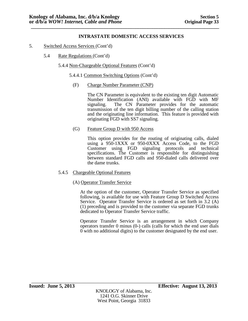- 5. Switched Access Services (Cont'd)
	- 5.4 Rate Regulations (Cont'd)
		- 5.4.4 Non-Chargeable Optional Features (Cont'd)
			- 5.4.4.1 Common Switching Options (Cont'd)
				- (F) Charge Number Parameter (CNP)

The CN Parameter is equivalent to the existing ten digit Automatic Number Identification (ANI) available with FGD with MF signaling. The CN Parameter provides for the automatic The CN Parameter provides for the automatic transmission of the ten digit billing number of the calling station and the originating line information. This feature is provided with originating FGD with SS7 signaling.

(G) Feature Group D with 950 Access

This option provides for the routing of originating calls, dialed using a 950-1XXX or 950-0XXX Access Code, to the FGD Customer using FGD signaling protocols and technical specifications. The Customer is responsible for distinguishing between standard FGD calls and 950-dialed calls delivered over the dame trunks.

# 5.4.5 Chargeable Optional Features

### (A) Operator Transfer Service

At the option of the customer, Operator Transfer Service as specified following, is available for use with Feature Group D Switched Access Service. Operator Transfer Service is ordered as set forth in 3.2 (A) (1) preceding and is provided to the customer via separate FGD trunks dedicated to Operator Transfer Service traffic.

Operator Transfer Service is an arrangement in which Company operators transfer 0 minus (0-) calls (calls for which the end user dials 0 with no additional digits) to the customer designated by the end user.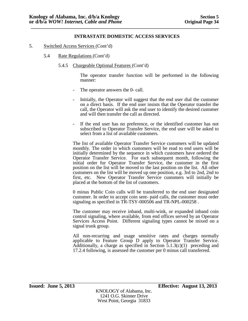- 5. Switched Access Services (Cont'd)
	- 5.4 Rate Regulations (Cont'd)
		- 5.4.5 Chargeable Optional Features (Cont'd)

The operator transfer function will be performed in the following manner:

- The operator answers the 0- call.
- Initially, the Operator will suggest that the end user dial the customer on a direct basis. If the end user insists that the Operator transfer the call, the Operator will ask the end user to identify the desired customer and will then transfer the call as directed.
- If the end user has no preference, or the identified customer has not subscribed to Operator Transfer Service, the end user will be asked to select from a list of available customers.

The list of available Operator Transfer Service customers will be updated monthly. The order in which customers will be read to end users will be initially determined by the sequence in which customers have ordered the Operator Transfer Service. For each subsequent month, following the initial order for Operator Transfer Service, the customer in the first position on the list will be moved to the last position on the list. All other customers on the list will be moved up one position, e.g. 3rd to 2nd, 2nd to first, etc. New Operator Transfer Service customers will initially be placed at the bottom of the list of customers.

0 minus Public Coin calls will be transferred to the end user designated customer. In order to accept coin sent- paid calls, the customer must order signaling as specified in TR-TSY-000506 and TR-NPL-000258.

The customer may receive inband, multi-wink, or expanded inband coin control signaling, where available, from end offices served by an Operator Services Access Point. Different signaling types cannot be mixed on a signal trunk group.

All non-recurring and usage sensitive rates and charges normally applicable to Feature Group D apply to Operator Transfer Service. Additionally, a charge as specified in Section  $\overline{5.1.3(c)(1)}$  preceding and 17.2.4 following, is assessed the customer per 0 minus call transferred.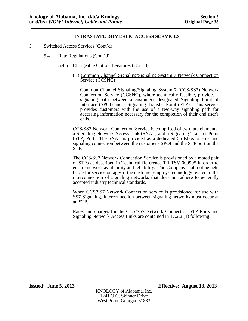- 5. Switched Access Services (Cont'd)
	- 5.4 Rate Regulations (Cont'd)
		- 5.4.5 Chargeable Optional Features (Cont'd)

#### (B) Common Channel Signaling/Signaling System 7 Network Connection Service (CCSNC)

Common Channel Signaling/Signaling System 7 (CCS/SS7) Network Connection Service (CCSNC), where technically feasible, provides a signaling path between a customer's designated Signaling Point of Interface (SPOI) and a Signaling Transfer Point (STP). This service provides customers with the use of a two-way signaling path for accessing information necessary for the completion of their end user's calls.

CCS/SS7 Network Connection Service is comprised of two rate elements; a Signaling Network Access Link (SNAL) and a Signaling Transfer Point (STP) Port. The SNAL is provided as a dedicated 56 Kbps out-of-band signaling connection between the customer's SPOI and the STP port on the STP.

The CCS/SS7 Network Connection Service is provisioned by a mated pair of STPs as described in Technical Reference TR-TSV 000905 in order to ensure network availability and reliability. The Company shall not be held liable for service outages if the customer employs technology related to the interconnection of signaling networks that does not adhere to generally accepted industry technical standards.

When CCS/SS7 Network Connection service is provisioned for use with SS7 Signaling, interconnection between signaling networks must occur at an STP.

Rates and charges for the CCS/SS7 Network Connection STP Ports and Signaling Network Access Links are contained in 17.2.2 (1) following.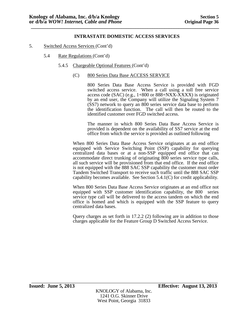- 5. Switched Access Services (Cont'd)
	- 5.4 Rate Regulations (Cont'd)
		- 5.4.5 Chargeable Optional Features (Cont'd)
			- (C) 800 Series Data Base ACCESS SERVICE

800 Series Data Base Access Service is provided with FGD switched access service. When a call using a toll free service access code (SAC) (e.g., 1+800 or 888+NXX-XXXX) is originated by an end user, the Company will utilize the Signaling System 7 (SS7) network to query an 800 series service data base to perform the identification function. The call will then be routed to the identified customer over FGD switched access.

The manner in which 800 Series Data Base Access Service is provided is dependent on the availability of SS7 service at the end office from which the service is provided as outlined following

When 800 Series Data Base Access Service originates at an end office equipped with Service Switching Point (SSP) capability for querying centralized data bases or at a non-SSP equipped end office that can accommodate direct trunking of originating 800 series service type calls, all such service will be provisioned from that end office. If the end office is not equipped with the 888 SAC SSP capability the customer must order Tandem Switched Transport to receive such traffic until the 888 SAC SSP capability becomes available. See Section 5.4.1(C) for credit applicability.

When 800 Series Data Base Access Service originates at an end office not equipped with SSP customer identification capability, the 800 series service type call will be delivered to the access tandem on which the end office is homed and which is equipped with the SSP feature to query centralized data bases.

Query charges as set forth in 17.2.2 (2) following are in addition to those charges applicable for the Feature Group D Switched Access Service.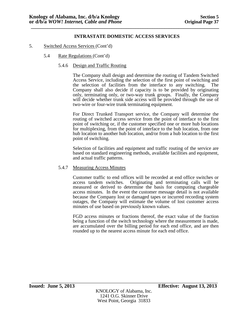- 5. Switched Access Services (Cont'd)
	- 5.4 Rate Regulations (Cont'd)

### 5.4.6 Design and Traffic Routing

The Company shall design and determine the routing of Tandem Switched Access Service, including the selection of the first point of switching and the selection of facilities from the interface to any switching. The Company shall also decide if capacity is to be provided by originating only, terminating only, or two-way trunk groups. Finally, the Company will decide whether trunk side access will be provided through the use of two-wire or four-wire trunk terminating equipment.

For Direct Trunked Transport service, the Company will determine the routing of switched access service from the point of interface to the first point of switching or, if the customer specified one or more hub locations for multiplexing, from the point of interface to the hub location, from one hub location to another hub location, and/or from a hub location to the first point of switching.

Selection of facilities and equipment and traffic routing of the service are based on standard engineering methods, available facilities and equipment, and actual traffic patterns.

### 5.4.7 Measuring Access Minutes

Customer traffic to end offices will be recorded at end office switches or access tandem switches. Originating and terminating calls will be measured or derived to determine the basis for computing chargeable access minutes. In the event the customer message detail is not available because the Company lost or damaged tapes or incurred recording system outages, the Company will estimate the volume of lost customer access minutes of use based on previously known values.

FGD access minutes or fractions thereof, the exact value of the fraction being a function of the switch technology where the measurement is made, are accumulated over the billing period for each end office, and are then rounded up to the nearest access minute for each end office.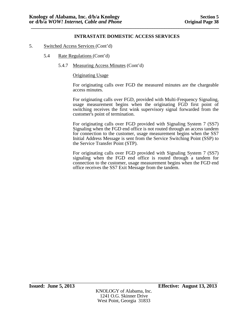- 5. Switched Access Services (Cont'd)
	- 5.4 Rate Regulations (Cont'd)
		- 5.4.7 Measuring Access Minutes (Cont'd)

#### Originating Usage

For originating calls over FGD the measured minutes are the chargeable access minutes.

For originating calls over FGD, provided with Multi-Frequency Signaling, usage measurement begins when the originating FGD first point of switching receives the first wink supervisory signal forwarded from the customer's point of termination.

For originating calls over FGD provided with Signaling System 7 (SS7) Signaling when the FGD end office is not routed through an access tandem for connection to the customer, usage measurement begins when the SS7 Initial Address Message is sent from the Service Switching Point (SSP) to the Service Transfer Point (STP).

For originating calls over FGD provided with Signaling System 7 (SS7) signaling when the FGD end office is routed through a tandem for connection to the customer, usage measurement begins when the FGD end office receives the SS7 Exit Message from the tandem.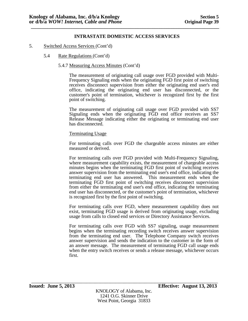- 5. Switched Access Services (Cont'd)
	- 5.4 Rate Regulations (Cont'd)

#### 5.4.7 Measuring Access Minutes (Cont'd)

The measurement of originating call usage over FGD provided with Multi- Frequency Signaling ends when the originating FGD first point of switching receives disconnect supervision from either the originating end user's end office, indicating the originating end user has disconnected, or the customer's point of termination, whichever is recognized first by the first point of switching.

The measurement of originating call usage over FGD provided with SS7 Signaling ends when the originating FGD end office receives an SS7 Release Message indicating either the originating or terminating end user has disconnected.

#### Terminating Usage

For terminating calls over FGD the chargeable access minutes are either measured or derived.

For terminating calls over FGD provided with Multi-Frequency Signaling, where measurement capability exists, the measurement of chargeable access minutes begins when the terminating FGD first point of switching receives answer supervision from the terminating end user's end office, indicating the terminating end user has answered. This measurement ends when the terminating FGD first point of switching receives disconnect supervision from either the terminating end user's end office, indicating the terminating end user has disconnected, or the customer's point of termination, whichever is recognized first by the first point of switching.

For terminating calls over FGD, where measurement capability does not exist, terminating FGD usage is derived from originating usage, excluding usage from calls to closed end services or Directory Assistance Services.

For terminating calls over FGD with SS7 signaling, usage measurement begins when the terminating recording switch receives answer supervision from the terminating end user. The Telephone Company switch receives answer supervision and sends the indication to the customer in the form of an answer message. The measurement of terminating FGD call usage ends when the entry switch receives or sends a release message, whichever occurs first.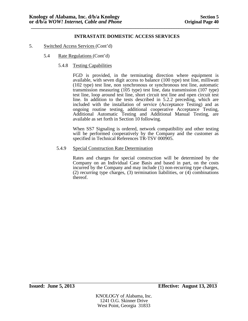- 5. Switched Access Services (Cont'd)
	- 5.4 Rate Regulations (Cont'd)
		- 5.4.8 Testing Capabilities

FGD is provided, in the terminating direction where equipment is available, with seven digit access to balance (100 type) test line, milliwatt (102 type) test line, non synchronous or synchronous test line, automatic transmission measuring (105 type) test line, data transmission (107 type) test line, loop around test line, short circuit test line and open circuit test line. In addition to the tests described in 5.2.2 preceding, which are included with the installation of service (Acceptance Testing) and as ongoing routine testing, additional cooperative Acceptance Testing, Additional Automatic Testing and Additional Manual Testing, are available as set forth in Section 10 following.

When SS7 Signaling is ordered, network compatibility and other testing will be performed cooperatively by the Company and the customer as specified in Technical References TR-TSV 000905.

5.4.9 Special Construction Rate Determination

Rates and charges for special construction will be determined by the Company on an Individual Case Basis and based in part, on the costs incurred by the Company and may include (1) non-recurring type charges, (2) recurring type charges, (3) termination liabilities, or (4) combinations thereof.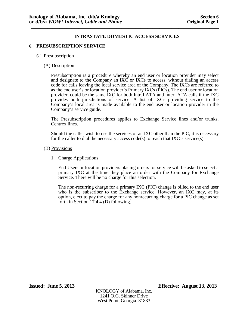### **6. PRESUBSCRIPTION SERVICE**

### 6.1 Presubscription

### (A) Description

Presubscription is a procedure whereby an end user or location provider may select and designate to the Company an IXC or IXCs to access, without dialing an access code for calls leaving the local service area of the Company. The IXCs are referred to as the end user's or location provider's Primary IXCs (PICs). The end user or location provider, could be the same IXC for both IntraLATA and InterLATA calls if the IXC provides both jurisdictions of service. A list of IXCs providing service to the Company's local area is made available to the end user or location provider in the Company's service guide.

The Presubscription procedures applies to Exchange Service lines and/or trunks, Centrex lines.

Should the caller wish to use the services of an IXC other than the PIC, it is necessary for the caller to dial the necessary access code(s) to reach that  $\rm{IKC}$ 's service(s).

#### (B) Provisions

1. Charge Applications

End Users or location providers placing orders for service will be asked to select a primary IXC at the time they place an order with the Company for Exchange Service. There will be no charge for this selection.

The non-recurring charge for a primary IXC (PIC) change is billed to the end user who is the subscriber to the Exchange service. However, an IXC may, at its option, elect to pay the charge for any nonrecurring charge for a PIC change as set forth in Section 17.4.4 (D) following.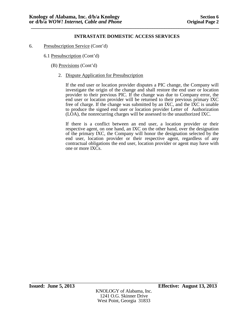- 6. Presubscription Service (Cont'd)
	- 6.1 Presubscription (Cont'd)
		- (B) Provisions (Cont'd)
			- 2. Dispute Application for Presubscription

If the end user or location provider disputes a PIC change, the Company will investigate the origin of the change and shall restore the end user or location provider to their previous PIC. If the change was due to Company error, the end user or location provider will be returned to their previous primary IXC free of charge. If the change was submitted by an IXC, and the IXC is unable to produce the signed end user or location provider Letter of Authorization (LOA), the nonrecurring charges will be assessed to the unauthorized IXC.

If there is a conflict between an end user, a location provider or their respective agent, on one hand, an IXC on the other hand, over the designation of the primary IXC, the Company will honor the designation selected by the end user, location provider or their respective agent, regardless of any contractual obligations the end user, location provider or agent may have with one or more IXCs.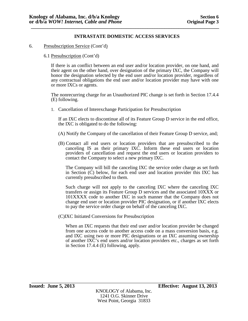### 6. Presubscription Service (Cont'd)

### 6.1 Presubscription (Cont'd)

If there is an conflict between an end user and/or location provider, on one hand, and their agent on the other hand, over designation of the primary IXC, the Company will honor the designation selected by the end user and/or location provider, regardless of any contractual obligations the end user and/or location provider may have with one or more IXCs or agents.

The nonrecurring charge for an Unauthorized PIC change is set forth in Section 17.4.4 (E) following.

1. Cancellation of Interexchange Participation for Presubscription

If an IXC elects to discontinue all of its Feature Group D service in the end office, the IXC is obligated to do the following:

- (A) Notify the Company of the cancellation of their Feature Group D service, and;
- (B) Contact all end users or location providers that are presubscribed to the canceling IS as their primary IXC. Inform these end users or location providers of cancellation and request the end users or location providers to contact the Company to select a new primary IXC.

The Company will bill the canceling IXC the service order charge as set forth in Section (C) below, for each end user and location provider this IXC has currently presubscribed to them.

Such charge will not apply to the canceling IXC where the canceling IXC transfers or assign its Feature Group D services and the associated 10XXX or 101XXXX code to another IXC in such manner that the Company does not change end user or location provider PIC designation, or if another IXC elects to pay the service order charge on behalf of the canceling IXC.

(C)IXC Initiated Conversions for Presubscription

When an IXC requests that their end user and/or location provider be changed from one access code to another access code on a mass conversion basis, e.g. and IXC using two or more PIC designations or an IXC assuming ownership of another IXC's end users and/or location providers etc., charges as set forth in Section 17.4.4 (E) following, apply.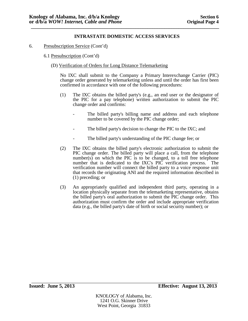- 6. Presubscription Service (Cont'd)
	- 6.1 Presubscription (Cont'd)
		- (D) Verification of Orders for Long Distance Telemarketing

No IXC shall submit to the Company a Primary Interexchange Carrier (PIC) change order generated by telemarketing unless and until the order has first been confirmed in accordance with one of the following procedures:

- (1) The IXC obtains the billed party's (e.g., an end user or the designator of the PIC for a pay telephone) written authorization to submit the PIC change order and confirms:
	- The billed party's billing name and address and each telephone number to be covered by the PIC change order;
	- The billed party's decision to change the PIC to the IXC; and
	- The billed party's understanding of the PIC change fee; or
- (2) The IXC obtains the billed party's electronic authorization to submit the PIC change order. The billed party will place a call, from the telephone number(s) on which the PIC is to be changed, to a toll free telephone number that is dedicated to the IXC's PIC verification process. The verification number will connect the billed party to a voice response unit that records the originating ANI and the required information described in (1) preceding; or
- (3) An appropriately qualified and independent third party, operating in a location physically separate from the telemarketing representative, obtains the billed party's oral authorization to submit the PIC change order. This authorization must confirm the order and include appropriate verification data (e.g., the billed party's date of birth or social security number); or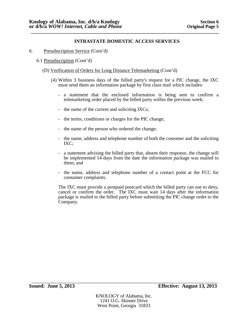- 6. Presubscription Service (Cont'd)
	- 6.1 Presubscription (Cont'd)
		- (D) Verification of Orders for Long Distance Telemarketing (Cont'd)
			- (4) Within 3 business days of the billed party's request for a PIC change, the IXC must send them an information package by first class mail which includes:
				- a statement that the enclosed information is being sent to confirm a telemarketing order placed by the billed party within the previous week;
				- the name of the current and soliciting IXCs;
				- the terms, conditions or charges for the PIC change;
				- the name of the person who ordered the change;
				- the name, address and telephone number of both the customer and the soliciting IXC;
				- a statement advising the billed party that, absent their response, the change will be implemented 14 days from the date the information package was mailed to them; and
				- the name, address and telephone number of a contact point at the FCC for consumer complaints.

The IXC must provide a postpaid postcard which the billed party can use to deny, cancel or confirm the order. The IXC must wait 14 days after the information package is mailed to the billed party before submitting the PIC change order to the Company.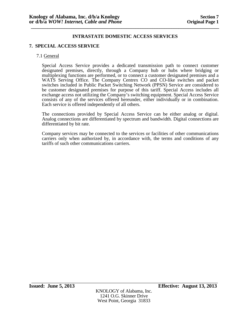## **7. SPECIAL ACCESS SERVICE**

#### 7.1 General

Special Access Service provides a dedicated transmission path to connect customer designated premises, directly, through a Company hub or hubs where bridging or multiplexing functions are performed, or to connect a customer designated premises and a WATS Serving Office. The Company Centrex CO and CO-like switches and packet switches included in Public Packet Switching Network (PPSN) Service are considered to be customer designated premises for purpose of this tariff. Special Access includes all exchange access not utilizing the Company's switching equipment. Special Access Service consists of any of the services offered hereunder, either individually or in combination. Each service is offered independently of all others.

The connections provided by Special Access Service can be either analog or digital. Analog connections are differentiated by spectrum and bandwidth. Digital connections are differentiated by bit rate.

Company services may be connected to the services or facilities of other communications carriers only when authorized by, in accordance with, the terms and conditions of any tariffs of such other communications carriers.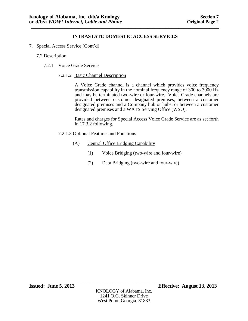7. Special Access Service (Cont'd)

## 7.2 Description

7.2.1 Voice Grade Service

### 7.2.1.2 Basic Channel Description

A Voice Grade channel is a channel which provides voice frequency transmission capability in the nominal frequency range of 300 to 3000 Hz and may be terminated two-wire or four-wire. Voice Grade channels are provided between customer designated premises, between a customer designated premises and a Company hub or hubs, or between a customer designated premises and a WATS Serving Office (WSO).

Rates and charges for Special Access Voice Grade Service are as set forth in 17.3.2 following.

## 7.2.1.3 Optional Features and Functions

- (A) Central Office Bridging Capability
	- (1) Voice Bridging (two-wire and four-wire)
	- (2) Data Bridging (two-wire and four-wire)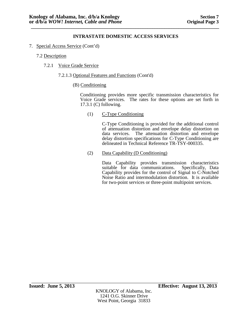- 7. Special Access Service (Cont'd)
	- 7.2 Description
		- 7.2.1 Voice Grade Service
			- 7.2.1.3 Optional Features and Functions (Cont'd)
				- (B) Conditioning

Conditioning provides more specific transmission characteristics for Voice Grade services. The rates for these options are set forth in 17.3.1 (C) following.

(1) C-Type Conditioning

C-Type Conditioning is provided for the additional control of attenuation distortion and envelope delay distortion on data services. The attenuation distortion and envelope delay distortion specifications for C-Type Conditioning are delineated in Technical Reference TR-TSY-000335.

(2) Data Capability (D Conditioning)

Data Capability provides transmission characteristics suitable for data communications. Specifically, Data Capability provides for the control of Signal to C-Notched Noise Ratio and intermodulation distortion. It is available for two-point services or three-point multipoint services.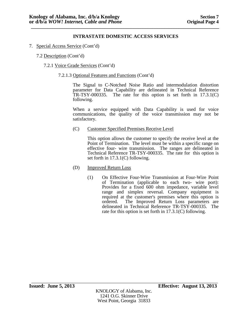- 7. Special Access Service (Cont'd)
	- 7.2 Description (Cont'd)
		- 7.2.1 Voice Grade Services (Cont'd)
			- 7.2.1.3 Optional Features and Functions (Cont'd)

The Signal to C-Notched Noise Ratio and intermodulation distortion parameter for Data Capability are delineated in Technical Reference TR-TSY-000335. The rate for this option is set forth in  $17.3.1(C)$ following.

When a service equipped with Data Capability is used for voice communications, the quality of the voice transmission may not be satisfactory.

(C) Customer Specified Premises Receive Level

This option allows the customer to specify the receive level at the Point of Termination. The level must be within a specific range on effective four- wire transmission. The ranges are delineated in Technical Reference TR-TSY-000335. The rate for this option is set forth in 17.3.1(C) following.

- (D) Improved Return Loss
	- (1) On Effective Four-Wire Transmission at Four-Wire Point of Termination (applicable to each two- wire port): Provides for a fixed 600 ohm impedance, variable level range and simplex reversal. Company equipment is required at the customer's premises where this option is ordered. The Improved Return Loss parameters are The Improved Return Loss parameters are delineated in Technical Reference TR-TSY-000335. The rate for this option is set forth in 17.3.1(C) following.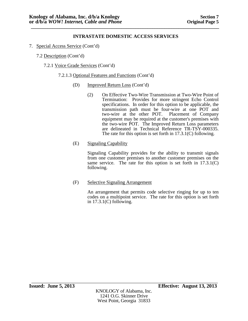- 7. Special Access Service (Cont'd)
	- 7.2 Description (Cont'd)
		- 7.2.1 Voice Grade Services (Cont'd)
			- 7.2.1.3 Optional Features and Functions (Cont'd)
				- (D) Improved Return Loss (Cont'd)
					- (2) On Effective Two-Wire Transmission at Two-Wire Point of Termination: Provides for more stringent Echo Control specifications. In order for this option to be applicable, the transmission path must be four-wire at one POT and two-wire at the other POT. Placement of Company equipment may be required at the customer's premises with the two-wire POT. The Improved Return Loss parameters are delineated in Technical Reference TR-TSY-000335. The rate for this option is set forth in 17.3.1(C) following.
				- (E) Signaling Capability

Signaling Capability provides for the ability to transmit signals from one customer premises to another customer premises on the same service. The rate for this option is set forth in 17.3.1(C) following.

# (F) Selective Signaling Arrangement

An arrangement that permits code selective ringing for up to ten codes on a multipoint service. The rate for this option is set forth in  $17.3.1(C)$  following.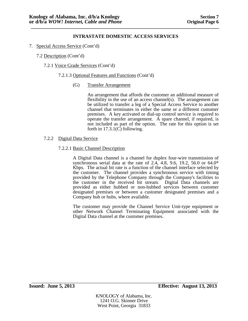- 7. Special Access Service (Cont'd)
	- 7.2 Description (Cont'd)
		- 7.2.1 Voice Grade Services (Cont'd)
			- 7.2.1.3 Optional Features and Functions (Cont'd)
				- (G) Transfer Arrangement

An arrangement that affords the customer an additional measure of flexibility in the use of an access channel(s). The arrangement can be utilized to transfer a leg of a Special Access Service to another channel that terminates in either the same or a different customer premises. A key activated or dial-up control service is required to operate the transfer arrangement.  $\overline{A}$  spare channel, if required, is not included as part of the option. The rate for this option is set forth in  $17.3.1(\overline{C})$  following.

- 7.2.2 Digital Data Service
	- 7.2.2.1 Basic Channel Description

A Digital Data channel is a channel for duplex four-wire transmission of synchronous serial data at the rate of  $2.4, 4.8, 9.6, 19.2, 56.0$  or  $64.0*$ Kbps. The actual bit rate is a function of the channel interface selected by the customer. The channel provides a synchronous service with timing provided by the Telephone Company through the Company's facilities to the customer in the received bit stream. Digital Data channels are provided as either hubbed or non-hubbed services between customer designated premises or between a customer designated premises and a Company hub or hubs, where available.

The customer may provide the Channel Service Unit-type equipment or other Network Channel Terminating Equipment associated with the Digital Data channel at the customer premises.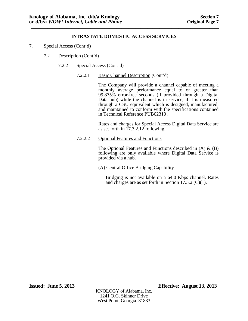- 7. Special Access (Cont'd)
	- 7.2 Description (Cont'd)
		- 7.2.2 Special Access (Cont'd)
			- 7.2.2.1 Basic Channel Description (Cont'd)

The Company will provide a channel capable of meeting a monthly average performance equal to or greater than 99.875% error-free seconds (if provided through a Digital Data hub) while the channel is in service, if it is measured through a CSU equivalent which is designed, manufactured, and maintained to conform with the specifications contained in Technical Reference PUB62310 .

Rates and charges for Special Access Digital Data Service are as set forth in 17.3.2.12 following.

7.2.2.2 Optional Features and Functions

The Optional Features and Functions described in  $(A) \& (B)$ following are only available where Digital Data Service is provided via a hub.

(A) Central Office Bridging Capability

Bridging is not available on a 64.0 Kbps channel. Rates and charges are as set forth in Section 17.3.2 (C)(1).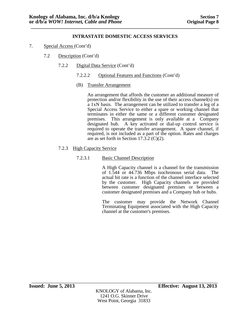- 7. Special Access (Cont'd)
	- 7.2 Description (Cont'd)
		- 7.2.2 Digital Data Service (Cont'd)
			- 7.2.2.2 Optional Features and Functions (Cont'd)
			- (B) Transfer Arrangement

An arrangement that affords the customer an additional measure of protection and/or flexibility in the use of their access channel(s) on a 1xN basis. The arrangement can be utilized to transfer a leg of a Special Access Service to either a spare or working channel that terminates in either the same or a different customer designated premises. This arrangement is only available at a Company designated hub. A key activated or dial-up control service is required to operate the transfer arrangement. A spare channel, if required, is not included as a part of the option. Rates and charges are as set forth in Section 17.3.2 (C)(2).

- 7.2.3 High Capacity Service
	- 7.2.3.1 Basic Channel Description

A High Capacity channel is a channel for the transmission of 1.544 or 44.736 Mbps isochronous serial data. The actual bit rate is a function of the channel interface selected by the customer. High Capacity channels are provided between customer designated premises or between a customer designated premises and a Company hub or hubs.

The customer may provide the Network Channel Terminating Equipment associated with the High Capacity channel at the customer's premises.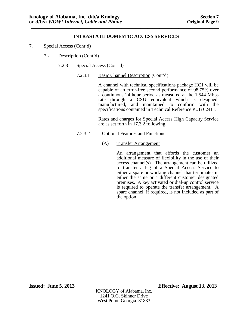- 7. Special Access (Cont'd)
	- 7.2 Description (Cont'd)
		- 7.2.3 Special Access (Cont'd)
			- 7.2.3.1 Basic Channel Description (Cont'd)

A channel with technical specifications package HC1 will be capable of an error-free second performance of 98.75% over a continuous 24 hour period as measured at the 1.544 Mbps rate through a CSU equivalent which is designed, manufactured, and maintained to conform with the specifications contained in Technical Reference PUB 62411.

Rates and charges for Special Access High Capacity Service are as set forth in 17.3.2 following.

- 7.2.3.2 Optional Features and Functions
	- (A) Transfer Arrangement

An arrangement that affords the customer an additional measure of flexibility in the use of their access channel(s). The arrangement can be utilized to transfer a leg of a Special Access Service to either a spare or working channel that terminates in either the same or a different customer designated premises. A key activated or dial-up control service is required to operate the transfer arrangement. A spare channel, if required, is not included as part of the option.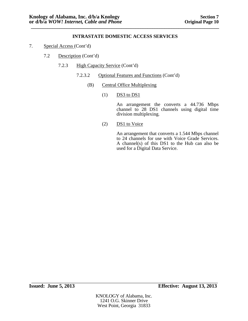- 7. Special Access (Cont'd)
	- 7.2 Description (Cont'd)
		- 7.2.3 High Capacity Service (Cont'd)
			- 7.2.3.2 Optional Features and Functions (Cont'd)
				- (B) Central Office Multiplexing
					- $(1)$  DS3 to DS1

An arrangement the converts a 44.736 Mbps channel to 28 DS1 channels using digital time division multiplexing.

(2) DS1 to Voice

An arrangement that converts a 1.544 Mbps channel to 24 channels for use with Voice Grade Services. A channel(s) of this DS1 to the Hub can also be used for a Digital Data Service.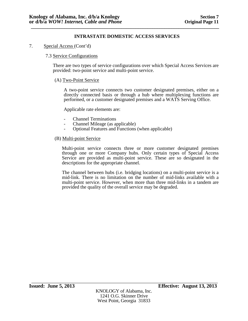7. Special Access (Cont'd)

## 7.3 Service Configurations

There are two types of service configurations over which Special Access Services are provided: two-point service and multi-point service.

#### (A) Two-Point Service

A two-point service connects two customer designated premises, either on a directly connected basis or through a hub where multiplexing functions are performed, or a customer designated premises and a WATS Serving Office.

Applicable rate elements are:

- 
- 
- Channel Terminations<br>
 Channel Mileage (as applicable)<br>
 Optional Features and Functions (when applicable)

#### (B) Multi-point Service

Multi-point service connects three or more customer designated premises through one or more Company hubs. Only certain types of Special Access Service are provided as multi-point service. These are so designated in the descriptions for the appropriate channel.

The channel between hubs (i.e. bridging locations) on a multi-point service is a mid-link. There is no limitation on the number of mid-links available with a multi-point service. However, when more than three mid-links in a tandem are provided the quality of the overall service may be degraded.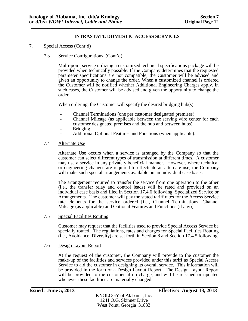- 7. Special Access (Cont'd)
	- 7.3 Service Configurations (Cont'd)

Multi-point service utilizing a customized technical specifications package will be provided when technically possible. If the Company determines that the requested parameter specifications are not compatible, the Customer will be advised and given an opportunity to change the order. When a customized channel is ordered the Customer will be notified whether Additional Engineering Charges apply. In such cases, the Customer will be advised and given the opportunity to change the order.

When ordering, the Customer will specify the desired bridging hub(s).

- 
- Channel Terminations (one per customer designated premises)<br>- Channel Mileage (as applicable between the serving wire center for each<br>customer designated premises and the hub and between hubs)
- 
- Bridging<br>- Additional Optional Features and Functions (when applicable).

#### 7.4 Alternate Use

Alternate Use occurs when a service is arranged by the Company so that the customer can select different types of transmission at different times. A customer may use a service in any privately beneficial manner. However, where technical or engineering changes are required to effectuate an alternate use, the Company will make such special arrangements available on an individual case basis.

The arrangement required to transfer the service from one operation to the other (i.e., the transfer relay and control leads) will be rated and provided on an individual case basis and filed in Section 17.4.6 following, Specialized Service or Arrangements. The customer will pay the stated tariff rates for the Access Service rate elements for the service ordered [i.e., Channel Terminations, Channel Mileage (as applicable) and Optional Features and Functions (if any)].

7.5 Special Facilities Routing

Customer may request that the facilities used to provide Special Access Service be specially routed. The regulations, rates and charges for Special Facilities Routing (i.e., Avoidance, Diversity) are set forth in Section 8 and Section 17.4.5 following.

#### 7.6 Design Layout Report

At the request of the customer, the Company will provide to the customer the make-up of the facilities and services provided under this tariff as Special Access Service to aid the customer in designing its overall service. This information will be provided in the form of a Design Layout Report. The Design Layout Report will be provided to the customer at no charge, and will be reissued or updated whenever these facilities are materially changed.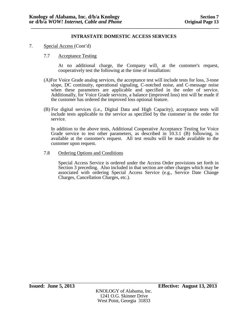- 7. Special Access (Cont'd)
	- 7.7 Acceptance Testing

At no additional charge, the Company will, at the customer's request, cooperatively test the following at the time of installation:

- (A)For Voice Grade analog services, the acceptance test will include tests for loss, 3-tone slope, DC continuity, operational signaling, C-notched noise, and C-message noise when these parameters are applicable and specified in the order of service. Additionally, for Voice Grade services, a balance (improved loss) test will be made if the customer has ordered the improved loss optional feature.
- (B) For digital services (i.e., Digital Data and High Capacity), acceptance tests will include tests applicable to the service as specified by the customer in the order for service.

In addition to the above tests, Additional Cooperative Acceptance Testing for Voice Grade service to test other parameters, as described in  $10.3.1$  (B) following, is available at the customer's request. All test results will be made available to the customer upon request.

7.8 Ordering Options and Conditions

Special Access Service is ordered under the Access Order provisions set forth in Section 3 preceding. Also included in that section are other charges which may be associated with ordering Special Access Service (e.g., Service Date Change Charges, Cancellation Charges, etc.).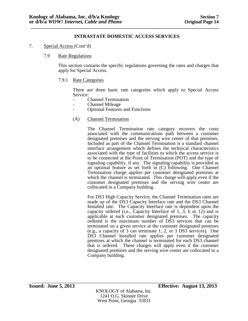- 7. Special Access (Cont'd)
	- 7.9 Rate Regulations

This section contains the specific regulations governing the rates and charges that apply for Special Access.

7.9.1 Rate Categories

There are three basic rate categories which apply to Special Access Service:

- 
- 
- Channel Termination<br>- Channel Mileage<br>- Optional Features and Functions
- (A) Channel Termination

The Channel Termination rate category recovers the costs associated with the communications path between a customer designated premises and the serving wire center of that premises. Included as part of the Channel Termination is a standard channel interface arrangement which defines the technical characteristics associated with the type of facilities to which the access service is to be connected at the Point of Termination (POT) and the type of signaling capability, if any. The signaling capability is provided as an optional feature as set forth in (C) following. One Channel Termination charge applies per customer designated premises at which the channel is terminated. This charge will apply even if the customer designated premises and the serving wire center are collocated in a Company building.

For DS3 High Capacity Service, the Channel Termination rates are made up of the DS3 Capacity Interface rate and the DS3 Channel Installed rate. The Capacity Interface rate is dependent upon the capacity ordered (i.e., Capacity Interface of 1, 3, 6 or 12) and is applicable at each customer designated premises. The capacity ordered is the maximum number of DS3 services that can be terminated on a given service at the customer designated premises (e.g., a capacity of 3 can terminate 1, 2, or 3 DS3 services). One DS3 Channel Installed rate applies per customer designated premises at which the channel is terminated for each DS3 channel that is ordered. These charges will apply even if the customer designated premises and the serving wire center are collocated in a Company building.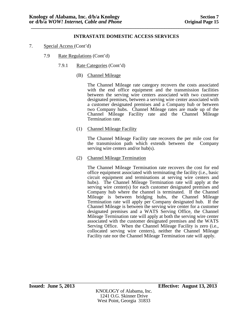- 7. Special Access (Cont'd)
	- 7.9 Rate Regulations (Cont'd)
		- 7.9.1 Rate Categories (Cont'd)
			- (B) Channel Mileage

The Channel Mileage rate category recovers the costs associated with the end office equipment and the transmission facilities between the serving wire centers associated with two customer designated premises, between a serving wire center associated with a customer designated premises and a Company hub or between two Company hubs. Channel Mileage rates are made up of the Channel Mileage Facility rate and the Channel Mileage Termination rate.

(1) Channel Mileage Facility

The Channel Mileage Facility rate recovers the per mile cost for the transmission path which extends between the Company serving wire centers and/or hub(s).

(2) Channel Mileage Termination

The Channel Mileage Termination rate recovers the cost for end office equipment associated with terminating the facility (i.e., basic circuit equipment and terminations at serving wire centers and hubs). The Channel Mileage Termination rate will apply at the serving wire center(s) for each customer designated premises and Company hub where the channel is terminated. If the Channel Mileage is between bridging hubs, the Channel Mileage Termination rate will apply per Company designated hub. If the Channel Mileage is between the serving wire center for a customer designated premises and a WATS Serving Office, the Channel Mileage Termination rate will apply at both the serving wire center associated with the customer designated premises and the WATS Serving Office. When the Channel Mileage Facility is zero (i.e., collocated serving wire centers), neither the Channel Mileage Facility rate nor the Channel Mileage Termination rate will apply.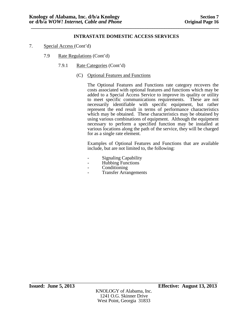- 7. Special Access (Cont'd)
	- 7.9 Rate Regulations (Cont'd)
		- 7.9.1 Rate Categories (Cont'd)
			- (C) Optional Features and Functions

The Optional Features and Functions rate category recovers the costs associated with optional features and functions which may be added to a Special Access Service to improve its quality or utility to meet specific communications requirements. These are not necessarily identifiable with specific equipment, but rather represent the end result in terms of performance characteristics which may be obtained. These characteristics may be obtained by using various combinations of equipment. Although the equipment necessary to perform a specified function may be installed at various locations along the path of the service, they will be charged for as a single rate element.

Examples of Optional Features and Functions that are available include, but are not limited to, the following:

- Signaling Capability Hubbing Functions Conditioning
- 
- 
- **Transfer Arrangements**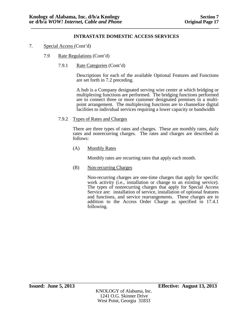- 7. Special Access (Cont'd)
	- 7.9 Rate Regulations (Cont'd)
		- 7.9.1 Rate Categories (Cont'd)

Descriptions for each of the available Optional Features and Functions are set forth in 7.2 preceding.

A hub is a Company designated serving wire center at which bridging or multiplexing functions are performed. The bridging functions performed are to connect three or more customer designated premises in a multipoint arrangement. The multiplexing functions are to channelize digital facilities to individual services requiring a lower capacity or bandwidth

7.9.2 Types of Rates and Charges

There are three types of rates and charges. These are monthly rates, daily rates and nonrecurring charges. The rates and charges are described as follows:

(A) Monthly Rates

Monthly rates are recurring rates that apply each month.

(B) Non-recurring Charges

Non-recurring charges are one-time charges that apply for specific work activity (i.e., installation or change to an existing service). The types of nonrecurring charges that apply for Special Access Service are: installation of service, installation of optional features and functions, and service rearrangements. These charges are in addition to the Access Order Charge as specified in 17.4.1 following.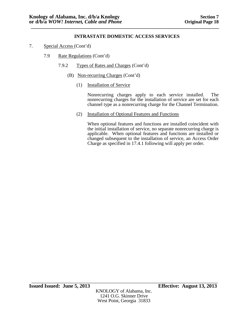- 7. Special Access (Cont'd)
	- 7.9 Rate Regulations (Cont'd)
		- 7.9.2 Types of Rates and Charges (Cont'd)
			- (B) Non-recurring Charges (Cont'd)
				- (1) Installation of Service

Nonrecurring charges apply to each service installed. The nonrecurring charges for the installation of service are set for each channel type as a nonrecurring charge for the Channel Termination.

(2) Installation of Optional Features and Functions

When optional features and functions are installed coincident with the initial installation of service, no separate nonrecurring charge is applicable. When optional features and functions are installed or changed subsequent to the installation of service, an Access Order Charge as specified in 17.4.1 following will apply per order.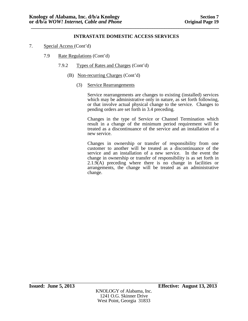- 7. Special Access (Cont'd)
	- 7.9 Rate Regulations (Cont'd)
		- 7.9.2 Types of Rates and Charges (Cont'd)
			- (B) Non-recurring Charges (Cont'd)
				- (3) Service Rearrangements

Service rearrangements are changes to existing (installed) services which may be administrative only in nature, as set forth following, or that involve actual physical change to the service. Changes to pending orders are set forth in 3.4 preceding.

Changes in the type of Service or Channel Termination which result in a change of the minimum period requirement will be treated as a discontinuance of the service and an installation of a new service.

Changes in ownership or transfer of responsibility from one customer to another will be treated as a discontinuance of the service and an installation of a new service. In the event the change in ownership or transfer of responsibility is as set forth in  $2.1.9(A)$  preceding where there is no change in facilities or arrangements, the change will be treated as an administrative change.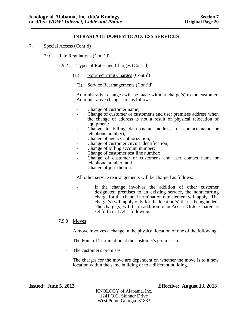- 7. Special Access (Cont'd)
	- 7.9 Rate Regulations (Cont'd)
		- 7.9.2 Types of Rates and Charges (Cont'd)
			- (B) Non-recurring Charges (Cont'd)
				- (3) Service Rearrangements (Cont'd)

Administrative changes will be made without charge(s) to the customer. Administrative changes are as follows:

- 
- Change of customer name;<br>- Change of customer or customer's end user premises address when the change of address is not a result of physical relocation of
- Change in billing data (name, address, or contact name or telephone number);
- 
- 
- 
- 
- Change of agency authorization;<br>
 Change of customer circuit identification;<br>
 Change of billing account number;<br>
 Change of customer test line number;<br>
 Change of customer or customer's end user contact name or<br>
tel
- Change of jurisdiction.

All other service rearrangements will be charged as follows:

If the change involves the addition of other customer designated premises to an existing service, the nonrecurring charge for the channel termination rate element will apply. The charge(s) will apply only for the location(s) that is being added. The charge(s) will be in addition to an Access Order Charge as set forth in 17.4.1 following.

## 7.9.3 Moves

A move involves a change in the physical location of one of the following:

- The Point of Termination at the customer's premises; or
- The customer's premises

The charges for the move are dependent on whether the move is to a new location within the same building or to a different building.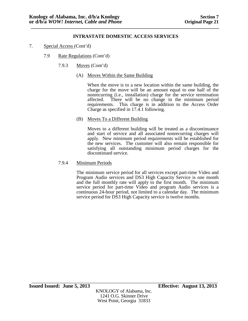- 7. Special Access (Cont'd)
	- 7.9 Rate Regulations (Cont'd)
		- 7.9.3 Moves (Cont'd)
			- (A) Moves Within the Same Building

When the move is to a new location within the same building, the charge for the move will be an amount equal to one half of the nonrecurring (i.e., installation) charge for the service termination affected. There will be no change in the minimum period requirements. This charge is in addition to the Access Order Charge as specified in 17.4.1 following.

(B) Moves To a Different Building

Moves to a different building will be treated as a discontinuance and start of service and all associated nonrecurring charges will apply. New minimum period requirements will be established for the new services. The customer will also remain responsible for satisfying all outstanding minimum period charges for the discontinued service.

7.9.4 Minimum Periods

The minimum service period for all services except part-time Video and Program Audio services and DS3 High Capacity Service is one month and the full monthly rate will apply to the first month. The minimum service period for part-time Video and program Audio services is a continuous 24-hour period, not limited to a calendar day. The minimum service period for DS3 High Capacity service is twelve months.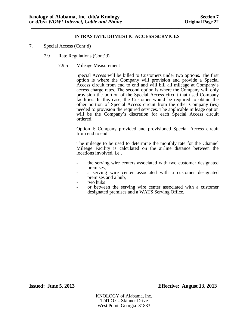- 7. Special Access (Cont'd)
	- 7.9 Rate Regulations (Cont'd)
		- 7.9.5 Mileage Measurement

Special Access will be billed to Customers under two options. The first option is where the Company will provision and provide a Special Access circuit from end to end and will bill all mileage at Company's access charge rates. The second option is where the Company will only provision the portion of the Special Access circuit that used Company facilities. In this case, the Customer would be required to obtain the other portion of Special Access circuit from the other Company (ies) needed to provision the required services. The applicable mileage option will be the Company's discretion for each Special Access circuit ordered.

Option I: Company provided and provisioned Special Access circuit from end to end:

The mileage to be used to determine the monthly rate for the Channel Mileage Facility is calculated on the airline distance between the locations involved, i.e.,

- the serving wire centers associated with two customer designated
- premises,<br>a serving wire center associated with a customer designated<br>premises and a hub.
- 
- two hubs<br>or between the serving wire center associated with a customer designated premises and a WATS Serving Office.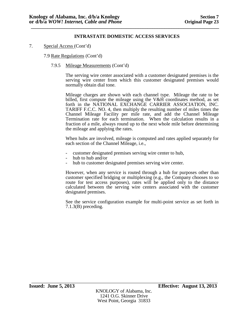7. Special Access (Cont'd)

7.9 Rate Regulations (Cont'd)

7.9.5 Mileage Measurements (Cont'd)

The serving wire center associated with a customer designated premises is the serving wire center from which this customer designated premises would normally obtain dial tone.

Mileage charges are shown with each channel type. Mileage the rate to be billed, first compute the mileage using the V&H coordinates method, as set forth in the NATIONAL EXCHANGE CARRIER ASSOCIATION, INC. TARIFF F.C.C. NO. 4, then multiply the resulting number of miles times the Channel Mileage Facility per mile rate, and add the Channel Mileage Termination rate for each termination. When the calculation results in a fraction of a mile, always round up to the next whole mile before determining the mileage and applying the rates.

When hubs are involved, mileage is computed and rates applied separately for each section of the Channel Mileage, i.e.,

- customer designated premises serving wire center to hub, hub to hub and/or hub to customer designated premises serving wire center.
- 
- 

However, when any service is routed through a hub for purposes other than customer specified bridging or multiplexing (e.g., the Company chooses to so route for test access purposes), rates will be applied only to the distance calculated between the serving wire centers associated with the customer designated premises.

See the service configuration example for multi-point service as set forth in 7.1.3(B) preceding.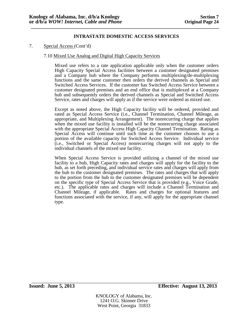#### 7. Special Access (Cont'd)

#### 7.10 Mixed Use Analog and Digital High Capacity Services

Mixed use refers to a rate application applicable only when the customer orders High Capacity Special Access facilities between a customer designated premises and a Company hub where the Company performs multiplexing/de-multiplexing functions and the same customer then orders the derived channels as Special and Switched Access Services. If the customer has Switched Access Service between a customer designated premises and an end office that is multiplexed at a Company hub and subsequently orders the derived channels as Special and Switched Access Service, rates and charges will apply as if the service were ordered as mixed use.

Except as noted above, the High Capacity facility will be ordered, provided and rated as Special Access Service (i.e., Channel Termination, Channel Mileage, as appropriate, and Multiplexing Arrangement). The nonrecurring charge that applies when the mixed use facility is installed will be the nonrecurring charge associated with the appropriate Special Access High Capacity Channel Termination. Rating as Special Access will continue until such time as the customer chooses to use a portion of the available capacity for Switched Access Service. Individual service (i.e., Switched or Special Access) nonrecurring charges will not apply to the individual channels of the mixed use facility.

When Special Access Service is provided utilizing a channel of the mixed use facility to a hub, High Capacity rates and charges will apply for the facility to the hub, as set forth preceding, and individual service rates and charges will apply from the hub to the customer designated premises. The rates and charges that will apply to the portion from the hub to the customer designated premises will be dependent on the specific type of Special Access Service that is provided (e.g., Voice Grade, etc.). The applicable rates and charges will include a Channel Termination and Channel Mileage, if applicable. Rates and charges for optional features and functions associated with the service, if any, will apply for the appropriate channel type.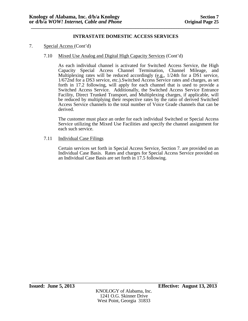- 7. Special Access (Cont'd)
	- 7.10 Mixed Use Analog and Digital High Capacity Services (Cont'd)

As each individual channel is activated for Switched Access Service, the High Capacity Special Access Channel Termination, Channel Mileage, and Multiplexing rates will be reduced accordingly  $(e.g., 1/24th)$  for a DS1 service, 1/672nd for a DS3 service, etc.).Switched Access Service rates and charges, as set forth in 17.2 following, will apply for each channel that is used to provide a Switched Access Service. Additionally, the Switched Access Service Entrance Facility, Direct Trunked Transport, and Multiplexing charges, if applicable, will be reduced by multiplying their respective rates by the ratio of derived Switched Access Service channels to the total number of Voice Grade channels that can be derived.

The customer must place an order for each individual Switched or Special Access Service utilizing the Mixed Use Facilities and specify the channel assignment for each such service.

#### 7.11 Individual Case Filings

Certain services set forth in Special Access Service, Section 7. are provided on an Individual Case Basis. Rates and charges for Special Access Service provided on an Individual Case Basis are set forth in 17.5 following.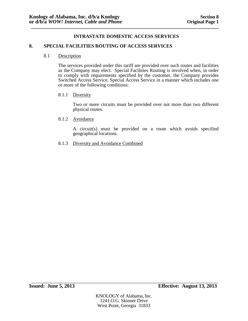#### **8. SPECIAL FACILITIES ROUTING OF ACCESS SERVICES**

#### 8.1 Description

The services provided under this tariff are provided over such routes and facilities as the Company may elect. Special Facilities Routing is involved when, in order to comply with requirements specified by the customer, the Company provides Switched Access Service, Special Access Service in a manner which includes one or more of the following conditions:

#### 8.1.1 Diversity

Two or more circuits must be provided over not more than two different physical routes.

#### 8.1.2 Avoidance

A circuit(s) must be provided on a route which avoids specified geographical locations.

8.1.3 Diversity and Avoidance Combined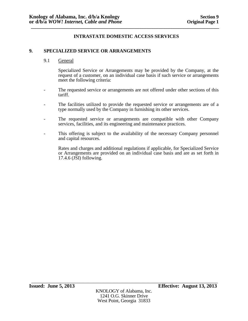#### **9. SPECIALIZED SERVICE OR ARRANGEMENTS**

9.1 General

Specialized Service or Arrangements may be provided by the Company, at the request of a customer, on an individual case basis if such service or arrangements meet the following criteria:

- The requested service or arrangements are not offered under other sections of this tariff.
- The facilities utilized to provide the requested service or arrangements are of a type normally used by the Company in furnishing its other services.
- The requested service or arrangements are compatible with other Company services, facilities, and its engineering and maintenance practices.
- This offering is subject to the availability of the necessary Company personnel and capital resources.

Rates and charges and additional regulations if applicable, for Specialized Service or Arrangements are provided on an individual case basis and are as set forth in 17.4.6 (JSI) following.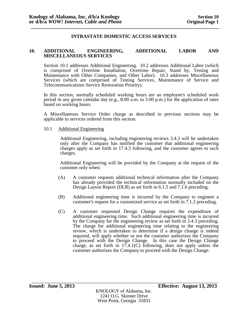#### **10. ADDITIONAL ENGINEERING, ADDITIONAL LABOR AND MISCELLANEOUS SERVICES**

Section 10.1 addresses Additional Engineering. 10.2 addresses Additional Labor (which is comprised of Overtime Installation, Overtime Repair, Stand by, Testing and Maintenance with Other Companies, and Other Labor). 10.3 addresses Miscellaneous Services (which are comprised of Testing Services, Maintenance of Service and Telecommunications Service Restoration Priority).

In this section, normally scheduled working hours are an employee's scheduled work period in any given calendar day (e.g., 8:00 a.m. to 5:00 p.m.) for the application of rates based on working hours.

A Miscellaneous Service Order charge as described in previous sections may be applicable to services ordered from this section.

#### 10.1 Additional Engineering

Additional Engineering, including engineering reviews 3.4.3 will be undertaken only after the Company has notified the customer that additional engineering charges apply as set forth in 17.4.3 following, and the customer agrees to such charges.

Additional Engineering will be provided by the Company at the request of the customer only when:

- (A) A customer requests additional technical information after the Company has already provided the technical information normally included on the Design Layout Report (DLR) as set forth in 6.1.5 and 7.1.6 preceding.
- (B) Additional engineering time is incurred by the Company to engineer a customer's request for a customized service as set forth in 7.1.2 preceding.
- (C) A customer requested Design Change requires the expenditure of additional engineering time. Such additional engineering time is incurred by the Company for the engineering review as set forth in 3.4.3 preceding. The charge for additional engineering time relating to the engineering review, which is undertaken to determine if a design change is indeed required, will apply whether or not the customer authorizes the Company to proceed with the Design Change. In this case the Design Change charge, as set forth in 17.4.1(C) following, does not apply unless the customer authorizes the Company to proceed with the Design Change.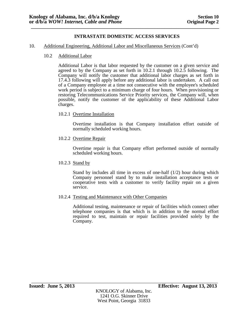#### 10. Additional Engineering, Additional Labor and Miscellaneous Services (Cont'd)

#### 10.2 Additional Labor

Additional Labor is that labor requested by the customer on a given service and agreed to by the Company as set forth in 10.2.1 through 10.2.5 following. The Company will notify the customer that additional labor charges as set forth in 17.4.3 following will apply before any additional labor is undertaken. A call out of a Company employee at a time not consecutive with the employee's scheduled work period is subject to a minimum charge of four hours. When provisioning or restoring Telecommunications Service Priority services, the Company will, when possible, notify the customer of the applicability of these Additional Labor charges.

#### 10.2.1 Overtime Installation

Overtime installation is that Company installation effort outside of normally scheduled working hours.

10.2.2 Overtime Repair

Overtime repair is that Company effort performed outside of normally scheduled working hours.

10.2.3 Stand by

Stand by includes all time in excess of one-half (1/2) hour during which Company personnel stand by to make installation acceptance tests or cooperative tests with a customer to verify facility repair on a given service.

10.2.4 Testing and Maintenance with Other Companies

Additional testing, maintenance or repair of facilities which connect other telephone companies is that which is in addition to the normal effort required to test, maintain or repair facilities provided solely by the Company.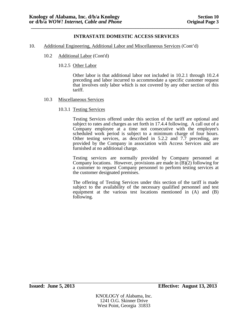- 10. Additional Engineering, Additional Labor and Miscellaneous Services (Cont'd)
	- 10.2 Additional Labor (Cont'd)
		- 10.2.5 Other Labor

Other labor is that additional labor not included in 10.2.1 through 10.2.4 preceding and labor incurred to accommodate a specific customer request that involves only labor which is not covered by any other section of this tariff.

- 10.3 Miscellaneous Services
	- 10.3.1 Testing Services

Testing Services offered under this section of the tariff are optional and subject to rates and charges as set forth in 17.4.4 following. A call out of a Company employee at a time not consecutive with the employee's scheduled work period is subject to a minimum charge of four hours. Other testing services, as described in 5.2.2 and 7.7 preceding, are provided by the Company in association with Access Services and are furnished at no additional charge.

Testing services are normally provided by Company personnel at Company locations. However, provisions are made in  $(B)(2)$  following for a customer to request Company personnel to perform testing services at the customer designated premises.

The offering of Testing Services under this section of the tariff is made subject to the availability of the necessary qualified personnel and test equipment at the various test locations mentioned in (A) and (B) following.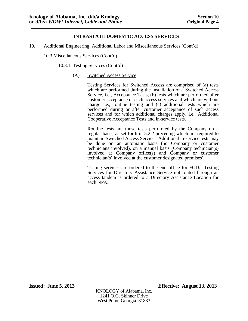10. Additional Engineering, Additional Labor and Miscellaneous Services (Cont'd)

10.3 Miscellaneous Services (Cont'd)

- 10.3.1 Testing Services (Cont'd)
	- (A) Switched Access Service

Testing Services for Switched Access are comprised of (a) tests which are performed during the installation of a Switched Access Service, i.e., Acceptance Tests, (b) tests which are performed after customer acceptance of such access services and which are without charge i.e., routine testing and (c) additional tests which are performed during or after customer acceptance of such access services and for which additional charges apply, i.e., Additional Cooperative Acceptance Tests and in-service tests.

Routine tests are those tests performed by the Company on a regular basis, as set forth in 5.2.2 preceding which are required to maintain Switched Access Service. Additional in-service tests may be done on an automatic basis (no Company or customer technicians involved), on a manual basis (Company technician(s) involved at Company office(s) and Company or customer technician(s) involved at the customer designated premises).

Testing services are ordered to the end office for FGD. Testing Services for Directory Assistance Service not routed through an access tandem is ordered to a Directory Assistance Location for each NPA.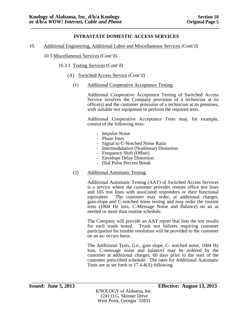10. Additional Engineering, Additional Labor and Miscellaneous Services (Cont'd)

10.3 Miscellaneous Services (Cont'd)

- 10.3.1 Testing Services (Cont'd)
	- (A) Switched Access Service (Cont'd)
		- (1) Additional Cooperative Acceptance Testing

Additional Cooperative Acceptance Testing of Switched Access Service involves the Company provision of a technician at its office(s) and the customer provision of a technician at its premises, with suitable test equipment to perform the required tests.

Additional Cooperative Acceptance Tests may, for example, consist of the following tests:

- 
- 
- 
- Impulse Noise<br>- Phase Jitter<br>- Signal to C-Notched Noise Ratio<br>- Intermodulation (Nonlinear) Distortion<br>- Frequency Shift (Offset)<br>- Envelope Delay Distortion<br>- Dial Pulse Percent Break
- 
- 
- 
- (2) Additional Automatic Testing

Additional Automatic Testing (AAT) of Switched Access Services is a service where the customer provides remote office test lines and 105 test lines with associated responders or their functional equivalent. The customer may order, at additional charges, gain-slope and C-notched noise testing and may order the routine tests (1004 Hz loss, C-Message Noise and Balance) on an as needed or more than routine schedule.

The Company will provide an AAT report that lists the test results for each trunk tested. Trunk test failures requiring customer participation for trouble resolution will be provided to the customer on an as- occurs basis.

The Additional Tests, (i.e., gain slope, C- notched noise, 1004 Hz loss, C-message noise and balance) may be ordered by the customer at additional charges, 60 days prior to the start of the customer prescribed schedule. The rates for Additional Automatic Tests are as set forth in 17.4.4(A) following.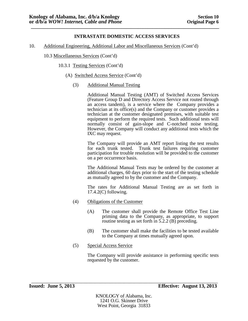10. Additional Engineering, Additional Labor and Miscellaneous Services (Cont'd)

10.3 Miscellaneous Services (Cont'd)

- 10.3.1 Testing Services (Cont'd)
	- (A) Switched Access Service (Cont'd)
		- (3) Additional Manual Testing

Additional Manual Testing (AMT) of Switched Access Services (Feature Group D and Directory Access Service not routed through an access tandem), is a service where the Company provides a technician at its office(s) and the Company or customer provides a technician at the customer designated premises, with suitable test equipment to perform the required tests. Such additional tests will normally consist of gain-slope and C-notched noise testing. However, the Company will conduct any additional tests which the IXC may request.

The Company will provide an AMT report listing the test results for each trunk tested. Trunk test failures requiring customer participation for trouble resolution will be provided to the customer on a per occurrence basis.

The Additional Manual Tests may be ordered by the customer at additional charges, 60 days prior to the start of the testing schedule as mutually agreed to by the customer and the Company.

The rates for Additional Manual Testing are as set forth in 17.4.2(C) following.

- (4) Obligations of the Customer
	- (A) The customer shall provide the Remote Office Test Line priming data to the Company, as appropriate, to support routine testing as set forth in 5.2.2 (B) preceding.
	- (B) The customer shall make the facilities to be tested available to the Company at times mutually agreed upon.
- (5) Special Access Service

The Company will provide assistance in performing specific tests requested by the customer.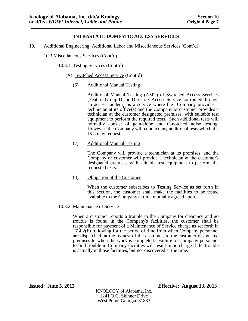10. Additional Engineering, Additional Labor and Miscellaneous Services (Cont'd)

10.3 Miscellaneous Services (Cont'd)

- 10.3.1 Testing Services (Cont'd)
	- (A) Switched Access Service (Cont'd)
		- (6) Additional Manual Testing

Additional Manual Testing (AMT) of Switched Access Services (Feature Group D and Directory Access Service not routed through an access tandem), is a service where the Company provides a technician at its office(s) and the Company or customer provides a technician at the customer designated premises, with suitable test equipment to perform the required tests. Such additional tests will normally consist of gain-slope and C-notched noise testing. However, the Company will conduct any additional tests which the IXC may request.

(7) Additional Manual Testing

The Company will provide a technician at its premises, and the Company or customer will provide a technician at the customer's designated premises with suitable test equipment to perform the requested tests.

(8) Obligation of the Customer

When the customer subscribes to Testing Service as set forth in this section, the customer shall make the facilities to be tested available to the Company at time mutually agreed upon.

10.3.2 Maintenance of Service

When a customer reports a trouble to the Company for clearance and no trouble is found in the Company's facilities, the customer shall be responsible for payment of a Maintenance of Service charge as set forth in 17.4.2(F) following for the period of time from when Company personnel are dispatched, at the request of the customer, to the customer designated premises to when the work is completed. Failure of Company personnel to find trouble in Company facilities will result in no charge if the trouble is actually in those facilities, but not discovered at the time.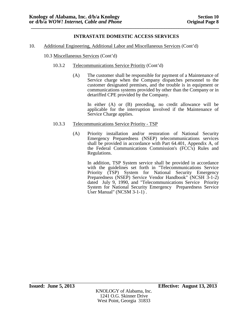## 10. Additional Engineering, Additional Labor and Miscellaneous Services (Cont'd)

#### 10.3 Miscellaneous Services (Cont'd)

- 10.3.2 Telecommunications Service Priority (Cont'd)
	- (A) The customer shall be responsible for payment of a Maintenance of Service charge when the Company dispatches personnel to the customer designated premises, and the trouble is in equipment or communications systems provided by other than the Company or in detariffed CPE provided by the Company.

In either (A) or (B) preceding, no credit allowance will be applicable for the interruption involved if the Maintenance of Service Charge applies.

#### 10.3.3 Telecommunications Service Priority - TSP

(A) Priority installation and/or restoration of National Security Emergency Preparedness (NSEP) telecommunications services shall be provided in accordance with Part 64.401, Appendix A, of the Federal Communications Commission's (FCC's) Rules and Regulations.

> In addition, TSP System service shall be provided in accordance with the guidelines set forth in "Telecommunications Service Priority (TSP) System for National Security Emergency Preparedness (NSEP) Service Vendor Handbook" (NCSH 3-1-2) dated July 9, 1990, and "Telecommunications Service Priority System for National Security Emergency Preparedness Service User Manual" (NCSM 3-1-1).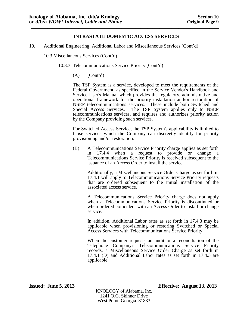#### 10. Additional Engineering, Additional Labor and Miscellaneous Services (Cont'd)

10.3 Miscellaneous Services (Cont'd)

- 10.3.3 Telecommunications Service Priority (Cont'd)
	- $(A)$   $(Cont<sup>'</sup>d)$

The TSP System is a service, developed to meet the requirements of the Federal Government, as specified in the Service Vendor's Handbook and Service User's Manual which provides the regulatory, administrative and operational framework for the priority installation and/or restoration of NSEP telecommunications services. These include both Switched and Special Access Services. The TSP System applies only to NSEP The TSP System applies only to NSEP telecommunications services, and requires and authorizes priority action by the Company providing such services.

For Switched Access Service, the TSP System's applicability is limited to those services which the Company can discreetly identify for priority provisioning and/or restoration.

(B) A Telecommunications Service Priority charge applies as set forth in 17.4.4 when a request to provide or change a Telecommunications Service Priority is received subsequent to the issuance of an Access Order to install the service.

> Additionally, a Miscellaneous Service Order Charge as set forth in 17.4.1 will apply to Telecommunications Service Priority requests that are ordered subsequent to the initial installation of the associated access service.

> A Telecommunications Service Priority charge does not apply when a Telecommunications Service Priority is discontinued or when ordered coincident with an Access Order to install or change service.

> In addition, Additional Labor rates as set forth in 17.4.3 may be applicable when provisioning or restoring Switched or Special Access Services with Telecommunications Service Priority.

> When the customer requests an audit or a reconciliation of the Telephone Company's Telecommunications Service Priority records, a Miscellaneous Service Order Charge as set forth in 17.4.1 (D) and Additional Labor rates as set forth in 17.4.3 are applicable.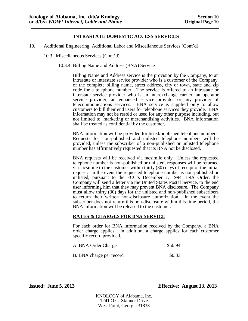- 10. Additional Engineering, Additional Labor and Miscellaneous Services (Cont'd)
	- 10.3 Miscellaneous Services (Cont'd)
		- 10.3.4 Billing Name and Address (BNA) Service

Billing Name and Address service is the provision by the Company, to an intrastate or interstate service provider who is a customer of the Company, of the complete billing name, street address, city or town, state and zip code for a telephone number. The service is offered to an intrastate or interstate service provider who is an interexchange carrier, an operator service provider, an enhanced service provider or any provider of telecommunications services. BNA service is supplied only to allow customers to bill their end users for telephone services they provide. BNA information may not be resold or used for any other purpose including, but not limited to, marketing or merchandising activities. BNA information shall be treated as confidential by the customer.

BNA information will be provided for listed/published telephone numbers. Requests for non-published and unlisted telephone numbers will be provided, unless the subscriber of a non-published or unlisted telephone number has affirmatively requested that its BNA not be disclosed.

BNA requests will be received via facsimile only. Unless the requested telephone number is non-published or unlisted, responses will be returned via facsimile to the customer within thirty (30) days of receipt of the initial request. In the event the requested telephone number is non-published or unlisted, pursuant to the FCC's December 7, 1994 BNA Order, the Company will send a letter via the United States Postal Service, to the end user informing him that they may prevent BNA disclosure. The Company must allow thirty (30) days for the unlisted and non-published subscribers to return their written non-disclosure authorization. In the event the subscriber does not return this non-disclosure within this time period, the BNA information will be released to the customer.

#### **RATES & CHARGES FOR BNA SERVICE**

For each order for BNA information received by the Company, a BNA order charge applies. In addition, a charge applies for each customer specific record provided.

| A. BNA Order Charge      | \$50.94 |
|--------------------------|---------|
| B. BNA charge per record | \$0.33  |

KNOLOGY of Alabama, Inc. 1241 O.G. Skinner Drive West Point, Georgia 31833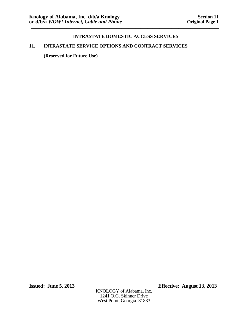# **11. INTRASTATE SERVICE OPTIONS AND CONTRACT SERVICES**

**(Reserved for Future Use)**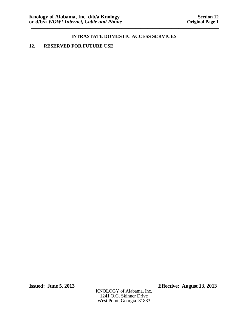# **12. RESERVED FOR FUTURE USE**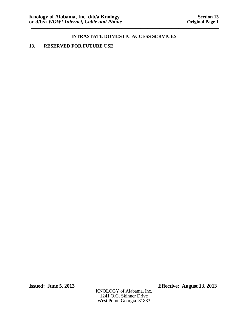# **13. RESERVED FOR FUTURE USE**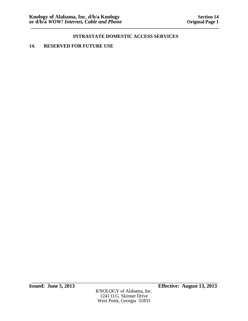# **14. RESERVED FOR FUTURE USE**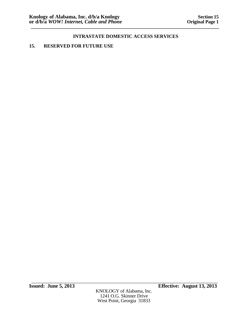# **15. RESERVED FOR FUTURE USE**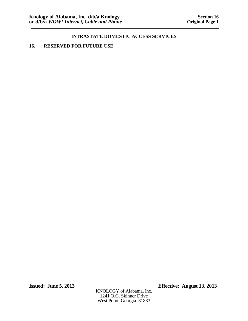## **16. RESERVED FOR FUTURE USE**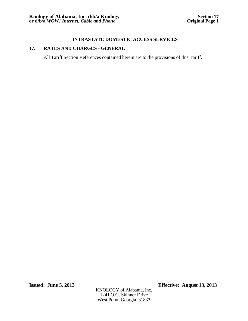# **17. RATES AND CHARGES - GENERAL**

All Tariff Section References contained herein are to the provisions of this Tariff.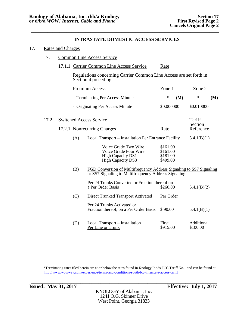#### 17. Rates and Charges

### 17.1 Common Line Access Service

17.1.1 Carrier Common Line Access Service Rate

Regulations concerning Carrier Common Line Access are set forth in Section 4 preceding.

|      |                                | Premium Access                                                                                                              | Zone 1                                       | $Z$ one $2$            |
|------|--------------------------------|-----------------------------------------------------------------------------------------------------------------------------|----------------------------------------------|------------------------|
|      |                                | - Terminating Per Access Minute                                                                                             | ∗<br>(M)                                     | ∗<br>(M)               |
|      |                                | - Originating Per Access Minute                                                                                             | \$0.000000                                   | \$0.010000             |
| 17.2 | <b>Switched Access Service</b> |                                                                                                                             |                                              | Tariff<br>Section      |
|      |                                | 17.2.1 Nonrecurring Charges                                                                                                 | Rate                                         | Reference              |
|      | (A)                            | <b>Local Transport – Installation Per Entrance Facility</b>                                                                 |                                              | 5.4.1(B)(1)            |
|      |                                | Voice Grade Two Wire<br>Voice Grade Four Wire<br><b>High Capacity DS1</b><br><b>High Capacity DS3</b>                       | \$161.00<br>\$161.00<br>\$181.00<br>\$499.00 |                        |
|      | (B)                            | FGD Conversion of Multifrequency Address Signaling to SS7 Signaling<br>or SS7 Signaling to Multifrequency Address Signaling |                                              |                        |
|      |                                | Per 24 Trunks Converted or Fraction thereof on<br>a Per Order Basis                                                         | \$260.00                                     | 5.4.1(B)(2)            |
|      | (C)                            | <b>Direct Trunked Transport Activated</b>                                                                                   | Per Order                                    |                        |
|      |                                | Per 24 Trunks Activated or<br>Fraction thereof, on a Per Order Basis                                                        | \$90.00                                      | 5.4.1(B)(1)            |
|      | (D)                            | <b>Local Transport - Installation</b><br>Per Line or Trunk                                                                  | First<br>\$915.00                            | Additional<br>\$100.00 |

\*Terminating rates filed herein are at or below the rates found in Knology Inc.'s FCC Tariff No. 1and can be found at: <http://www.wowway.com/experience/terms-and-conditions/south/fcc-interstate-access-tariff>

KNOLOGY of Alabama, Inc. 1241 O.G. Skinner Drive West Point, Georgia 31833

\_\_\_\_\_\_\_\_\_\_\_\_\_\_\_\_\_\_\_\_\_\_\_\_\_\_\_\_\_\_\_\_\_\_\_\_\_\_\_\_\_\_\_\_\_\_\_\_\_\_\_\_\_\_\_\_\_\_\_\_\_\_\_\_\_\_\_\_\_\_\_\_\_\_\_\_\_\_\_\_\_\_\_ **Issued: May 31, 2017 Effective: July 1, 2017**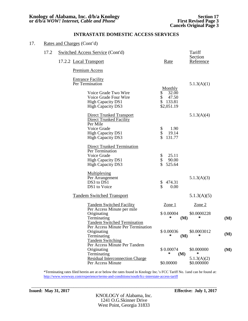| 17. |      | Rates and Charges (Cont'd) |                                                                                                                             |                                                                     |     |                           |     |
|-----|------|----------------------------|-----------------------------------------------------------------------------------------------------------------------------|---------------------------------------------------------------------|-----|---------------------------|-----|
|     | 17.2 |                            | Switched Access Service (Cont'd)                                                                                            |                                                                     |     | Tariff<br>Section         |     |
|     |      |                            | 17.2.2 Local Transport                                                                                                      | Rate                                                                |     | Reference                 |     |
|     |      |                            | <b>Premium Access</b>                                                                                                       |                                                                     |     |                           |     |
|     |      |                            | <b>Entrance Facility</b><br>Per Termination                                                                                 |                                                                     |     | 5.1.3(A)(1)               |     |
|     |      |                            | Voice Grade Two Wire<br>Voice Grade Four Wire<br><b>High Capacity DS1</b><br><b>High Capacity DS3</b>                       | Monthly<br>\$<br>32.00<br>\$<br>47.50<br>\$<br>133.81<br>\$2,051.19 |     |                           |     |
|     |      |                            | <b>Direct Trunked Transport</b><br><b>Direct Trunked Facility</b><br>Per Mile                                               |                                                                     |     | 5.1.3(A)(4)               |     |
|     |      |                            | Voice Grade<br><b>High Capacity DS1</b><br><b>High Capacity DS3</b>                                                         | \$<br>\$<br>1.90<br>19.14<br>\$<br>131.77                           |     |                           |     |
|     |      |                            | <b>Direct Trunked Termination</b><br>Per Termination<br>Voice Grade<br><b>High Capacity DS1</b><br><b>High Capacity DS3</b> | \$<br>\$<br>25.11<br>90.00<br>\$<br>525.64                          |     |                           |     |
|     |      |                            | <b>Multiplexing</b><br>Per Arrangement<br>$DS3$ to $D\overline{S}1$<br>DS1 to Voice                                         | \$<br>474.31<br>\$<br>0.00                                          |     | 5.1.3(A)(3)               |     |
|     |      |                            | <b>Tandem Switched Transport</b>                                                                                            |                                                                     |     | 5.1.3(A)(5)               |     |
|     |      |                            | <b>Tandem Switched Facility</b><br>Per Access Minute per mile                                                               | Zone 1                                                              |     | $\mathsf{Zone}\,2$        |     |
|     |      |                            | Originating<br>Terminating<br><b>Tandem Switched Termination</b>                                                            | \$0.00004<br>∗                                                      | (M) | \$0.0000228<br>∗          | (M) |
|     |      |                            | Per Access Minute Per Termination<br>Originating<br>Terminating<br><b>Tandem Switching</b><br>Per Access Minute Per Tandem  | \$0.00036<br>∗                                                      | (M) | \$0.0003012<br>∗          | (M) |
|     |      |                            | Originating<br>Terminating                                                                                                  | \$0.00074<br>$\ast$                                                 | (M) | \$0.000000<br>∗           | (M) |
|     |      |                            | <b>Residual Interconnection Charge</b><br>Per Access Minute                                                                 | \$0.00000                                                           |     | 5.1.3(A)(2)<br>\$0.000000 |     |
|     |      |                            |                                                                                                                             |                                                                     |     |                           |     |

\*Terminating rates filed herein are at or below the rates found in Knology Inc.'s FCC Tariff No. 1and can be found at: <http://www.wowway.com/experience/terms-and-conditions/south/fcc-interstate-access-tariff>

\_\_\_\_\_\_\_\_\_\_\_\_\_\_\_\_\_\_\_\_\_\_\_\_\_\_\_\_\_\_\_\_\_\_\_\_\_\_\_\_\_\_\_\_\_\_\_\_\_\_\_\_\_\_\_\_\_\_\_\_\_\_\_\_\_\_\_\_\_\_\_\_\_\_\_\_\_\_\_\_\_\_\_

**Issued: May 31, 2017 Effective: July 1, 2017**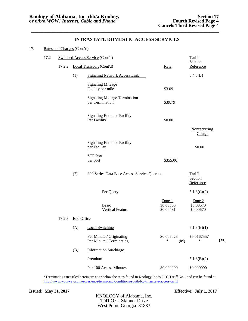| 17. |      | Rates and Charges (Cont'd) |            |                                                         |                                    |                                    |     |
|-----|------|----------------------------|------------|---------------------------------------------------------|------------------------------------|------------------------------------|-----|
|     | 17.2 |                            |            | <b>Switched Access Service (Cont'd)</b>                 |                                    | Tariff                             |     |
|     |      | 17.2.2                     |            | Local Transport (Cont'd)                                | Rate                               | Section<br>Reference               |     |
|     |      |                            | (1)        | <b>Signaling Network Access Link</b>                    |                                    | 5.4.5(B)                           |     |
|     |      |                            |            | <b>Signaling Mileage</b><br>Facility per mile           | \$3.09                             |                                    |     |
|     |      |                            |            | <b>Signaling Mileage Termination</b><br>per Termination | \$39.79                            |                                    |     |
|     |      |                            |            | <b>Signaling Entrance Facility</b><br>Per Facility      | \$0.00                             |                                    |     |
|     |      |                            |            |                                                         |                                    | Nonrecurring<br>Charge             |     |
|     |      |                            |            | <b>Signaling Entrance Facility</b><br>per Facility      |                                    | \$0.00                             |     |
|     |      |                            |            | <b>STP Port</b><br>per port                             | \$355.00                           |                                    |     |
|     |      |                            | (2)        | 800 Series Data Base Access Service Queries             |                                    | Tariff<br>Section<br>Reference     |     |
|     |      |                            |            | Per Query                                               |                                    | 5.1.3(C)(2)                        |     |
|     |      |                            |            | <b>Basic</b><br><b>Vertical Feature</b>                 | Zone $1$<br>\$0.00365<br>\$0.00431 | Zone $2$<br>\$0.00670<br>\$0.00670 |     |
|     |      | 17.2.3                     | End Office |                                                         |                                    |                                    |     |
|     |      |                            |            | (A) Local Switching                                     |                                    | 5.1.3(B)(1)                        |     |
|     |      |                            |            | Per Minute / Originating<br>Per Minute / Terminating    | \$0.005023<br>∗<br>(M)             | \$0.0167557<br>$\ast$              | (M) |
|     |      |                            | (B)        | <b>Information Surcharge</b>                            |                                    |                                    |     |
|     |      |                            |            | Premium                                                 |                                    | 5.1.3(B)(2)                        |     |
|     |      |                            |            | Per 100 Access Minutes                                  | \$0.000000                         | \$0.000000                         |     |

\*Terminating rates filed herein are at or below the rates found in Knology Inc.'s FCC Tariff No. 1and can be found at: <http://www.wowway.com/experience/terms-and-conditions/south/fcc-interstate-access-tariff>

**Issued:** May 31, 2017 **Effective:** July 1, 2017

KNOLOGY of Alabama, Inc. 1241 O.G. Skinner Drive West Point, Georgia 31833

\_\_\_\_\_\_\_\_\_\_\_\_\_\_\_\_\_\_\_\_\_\_\_\_\_\_\_\_\_\_\_\_\_\_\_\_\_\_\_\_\_\_\_\_\_\_\_\_\_\_\_\_\_\_\_\_\_\_\_\_\_\_\_\_\_\_\_\_\_\_\_\_\_\_\_\_\_\_\_\_\_\_\_\_\_\_\_\_\_\_\_\_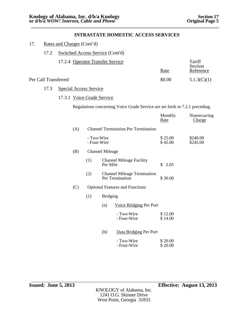| 17. |                      | Rates and Charges (Cont'd)       |                           |                        |                                                                              |                    |                        |
|-----|----------------------|----------------------------------|---------------------------|------------------------|------------------------------------------------------------------------------|--------------------|------------------------|
|     | 17.2                 | Switched Access Service (Cont'd) |                           |                        |                                                                              |                    |                        |
|     |                      | 17.2.4 Operator Transfer Service |                           |                        |                                                                              |                    | Tariff<br>Section      |
|     |                      |                                  |                           |                        |                                                                              | Rate               | Reference              |
|     | Per Call Transferred |                                  |                           |                        |                                                                              | \$0.00             | 5.1.3(C)(1)            |
|     | 17.3                 | <b>Special Access Service</b>    |                           |                        |                                                                              |                    |                        |
|     |                      | 17.3.1 Voice Grade Service       |                           |                        |                                                                              |                    |                        |
|     |                      |                                  |                           |                        | Regulations concerning Voice Grade Service are set forth in 7.2.1 preceding. |                    |                        |
|     |                      |                                  |                           |                        |                                                                              | Monthly<br>Rate    | Nonrecurring<br>Charge |
|     |                      | (A)                              |                           |                        | <b>Channel Termination Per Termination</b>                                   |                    |                        |
|     |                      |                                  | - Two-Wire<br>- Four-Wire |                        |                                                                              | \$25.00<br>\$45.00 | \$240.00<br>\$245.00   |
|     |                      | (B)                              |                           | <b>Channel Mileage</b> |                                                                              |                    |                        |
|     |                      |                                  | (1)                       | Per Mile               | <b>Channel Mileage Facility</b>                                              | \$2.05             |                        |
|     |                      |                                  | (2)                       |                        | <b>Channel Mileage Termination</b><br>Per Termination                        | \$30.00            |                        |
|     |                      | (C)                              |                           |                        | <b>Optional Features and Functions</b>                                       |                    |                        |
|     |                      |                                  | (1)                       | <b>Bridging</b>        |                                                                              |                    |                        |
|     |                      |                                  |                           | (a)                    | Voice Bridging Per Port                                                      |                    |                        |
|     |                      |                                  |                           |                        | - Two-Wire<br>- Four-Wire                                                    | \$12.00<br>\$14.00 |                        |
|     |                      |                                  |                           | (b)                    | Data Bridging Per Port                                                       |                    |                        |
|     |                      |                                  |                           |                        | - Two-Wire<br>- Four-Wire                                                    | \$20.00<br>\$20.00 |                        |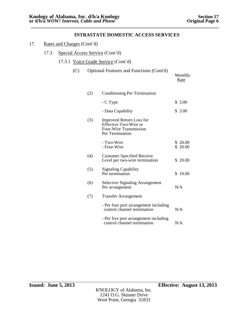|  | 17. | Rates and Charges (Cont'd) |  |
|--|-----|----------------------------|--|
|--|-----|----------------------------|--|

- 17.3 Special Access Service (Cont'd)
	- 17.3.1 Voice Grade Service (Cont'd)

| (C) |     | Optional Features and Functions (Cont'd)                                                              | Monthly<br>Rate    |
|-----|-----|-------------------------------------------------------------------------------------------------------|--------------------|
|     | (2) | Conditioning Per Termination                                                                          |                    |
|     |     | - C Type                                                                                              | \$3.00             |
|     |     | - Data Capability                                                                                     | \$3.00             |
|     | (3) | <b>Improved Return Loss for</b><br>Effective Two-Wire or<br>Four-Wire Transmission<br>Per Termination |                    |
|     |     | - Two-Wire<br>- Four-Wire                                                                             | \$20.00<br>\$20.00 |
|     | (4) | <b>Customer Specified Receive</b><br>Level per two-wire termination                                   | \$20.00            |
|     | (5) | <b>Signaling Capability</b><br>Per termination                                                        | \$10.00            |
|     | (6) | <b>Selective Signaling Arrangement</b><br>Per arrangement                                             | N/A                |
|     | (7) | <b>Transfer Arrangement</b>                                                                           |                    |
|     |     | - Per four port arrangement including<br>control channel termination                                  | N/A                |
|     |     | - Per five port arrangement including<br>control channel termination                                  | N/A                |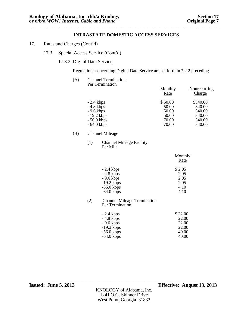### 17. Rates and Charges (Cont'd)

### 17.3 Special Access Service (Cont'd)

#### 17.3.2 Digital Data Service

Regulations concerning Digital Data Service are set forth in 7.2.2 preceding.

| (A) | <b>Channel Termination</b><br>Per Termination |                 |                        |
|-----|-----------------------------------------------|-----------------|------------------------|
|     |                                               | Monthly<br>Rate | Nonrecurring<br>Charge |
|     | $-2.4$ kbps                                   | \$50.00         | \$340.00               |
|     | $-4.8$ kbps                                   | 50.00           | 340.00                 |
|     | $-9.6$ kbps                                   | 50.00           | 340.00                 |
|     | $-19.2$ kbps                                  | 50.00           | 340.00                 |
|     | $-56.0$ kbps                                  | 70.00           | 340.00                 |
|     | $-64.0$ kbps                                  | 70.00           | 340.00                 |
|     |                                               |                 |                        |

#### (B) Channel Mileage

(1) Channel Mileage Facility Per Mile

|              | Monthly<br>Rate |
|--------------|-----------------|
| $-2.4$ kbps  | \$2.05          |
| $-4.8$ kbps  | 2.05            |
| $-9.6$ kbps  | 2.05            |
| $-19.2$ kbps | 2.05            |
| $-56.0$ kbps | 4.10            |
| $-64.0$ kbps | 4.10            |

#### (2) Channel Mileage Termination Per Termination

| $-2.4$ kbps  | \$22.00 |
|--------------|---------|
| $-4.8$ kbps  | 22.00   |
| $-9.6$ kbps  | 22.00   |
| $-19.2$ kbps | 22.00   |
| $-56.0$ kbps | 40.00   |
| $-64.0$ kbps | 40.00   |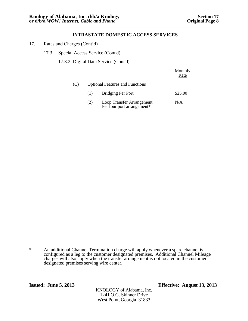- 17. Rates and Charges (Cont'd)
	- 17.3 Special Access Service (Cont'd)
		- 17.3.2 Digital Data Service (Cont'd)

|     |     |                                                         | Monthly<br>Rate |
|-----|-----|---------------------------------------------------------|-----------------|
| (C) |     | <b>Optional Features and Functions</b>                  |                 |
|     | (1) | <b>Bridging Per Port</b>                                | \$25.00         |
|     | (2) | Loop Transfer Arrangement<br>Per four port arrangement* | N/A             |

KNOLOGY of Alabama, Inc. 1241 O.G. Skinner Drive West Point, Georgia 31833

<sup>\*</sup> An additional Channel Termination charge will apply whenever a spare channel is configured as a leg to the customer designated premises. Additional Channel Mileage charges will also apply when the transfer arrangement is not located in the customer designated premises serving wire center.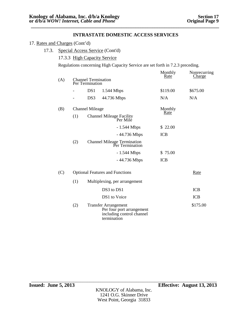#### 17. Rates and Charges (Cont'd)

## 17.3. Special Access Service (Cont'd)

#### 17.3.3 High Capacity Service

Regulations concerning High Capacity Service are set forth in 7.2.3 preceding.

|     |                   |                                                                                                      | Monthly<br>Rate | Nonrecurring<br><b>Charge</b> |
|-----|-------------------|------------------------------------------------------------------------------------------------------|-----------------|-------------------------------|
| (A) |                   | <b>Channel Termination</b><br>Per Termination                                                        |                 |                               |
|     | $\qquad \qquad -$ | DS1<br>1.544 Mbps                                                                                    | \$119.00        | \$675.00                      |
|     |                   | DS3<br>44.736 Mbps                                                                                   | N/A             | N/A                           |
| (B) |                   | <b>Channel Mileage</b>                                                                               | Monthly         |                               |
|     | (1)               | Channel Mileage Facility<br>Per Mile                                                                 | Rate            |                               |
|     |                   | $-1.544$ Mbps                                                                                        | \$22.00         |                               |
|     |                   | - 44.736 Mbps                                                                                        | <b>ICB</b>      |                               |
|     | (2)               | <b>Channel Mileage Termination</b><br>Per Termination                                                |                 |                               |
|     |                   | $-1.544$ Mbps                                                                                        | \$ 75.00        |                               |
|     |                   | - 44.736 Mbps                                                                                        | <b>ICB</b>      |                               |
| (C) |                   | <b>Optional Features and Functions</b>                                                               |                 | Rate                          |
|     | (1)               | Multiplexing, per arrangement                                                                        |                 |                               |
|     |                   | DS3 to DS1                                                                                           |                 | <b>ICB</b>                    |
|     |                   | DS1 to Voice                                                                                         |                 | <b>ICB</b>                    |
|     | (2)               | <b>Transfer Arrangement</b><br>Per four port arrangement<br>including control channel<br>termination |                 | \$175.00                      |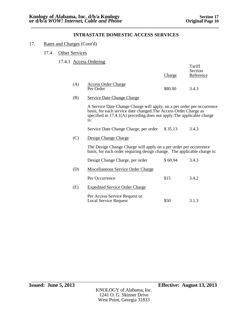### 17. Rates and Charges (Cont'd)

17.4 Other Services

## 17.4.1 Access Ordering

|     |                                                                                                                                                                                                                             | <u>Charge</u> | Tariff<br>Section<br>Reference |
|-----|-----------------------------------------------------------------------------------------------------------------------------------------------------------------------------------------------------------------------------|---------------|--------------------------------|
| (A) | <b>Access Order Charge</b><br>Per Order                                                                                                                                                                                     | \$80.00       | 3.4.3                          |
| (B) | <b>Service Date Change Charge</b>                                                                                                                                                                                           |               |                                |
|     | A Service Date Change Charge will apply, on a per order per occurrence<br>basis, for each service date changed. The Access Order Charge as<br>specified in 17.4.1(A) preceding does not apply. The applicable charge<br>is: |               |                                |
|     | Service Date Change Charge, per order                                                                                                                                                                                       | \$35.13       | 3.4.3                          |
| (C) | Design Change Charge                                                                                                                                                                                                        |               |                                |
|     | The Design Change Charge will apply on a per order per occurrence<br>basis, for each order requiring design change. The applicable charge is:                                                                               |               |                                |
|     | Design Change Charge, per order                                                                                                                                                                                             | \$60.94       | 3.4.3                          |
| (D) | Miscellaneous Service Order Charge                                                                                                                                                                                          |               |                                |
|     | Per Occurrence                                                                                                                                                                                                              | \$15          | 3.4.2                          |
| (E) | <b>Expedited Service Order Charge</b>                                                                                                                                                                                       |               |                                |
|     | Per Access Service Request or<br><b>Local Service Request</b>                                                                                                                                                               | \$50          | 3.1.3                          |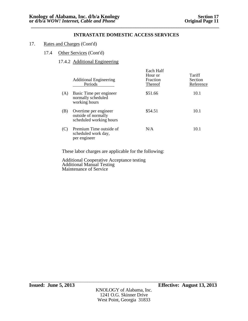- 17. Rates and Charges (Cont'd)
	- 17.4 Other Services (Cont'd)

# 17.4.2 Additional Engineering

|     | <b>Additional Engineering</b><br>Periods                                | Each Half<br>Hour or<br>Fraction<br>Thereof | Tariff<br>Section<br>Reference |
|-----|-------------------------------------------------------------------------|---------------------------------------------|--------------------------------|
| (A) | Basic Time per engineer<br>normally scheduled<br>working hours          | \$51.66                                     | 10.1                           |
| (B) | Overtime per engineer<br>outside of normally<br>scheduled working hours | \$54.51                                     | 10.1                           |
| (C) | Premium Time outside of<br>scheduled work day,<br>per engineer          | N/A                                         | 10.1                           |

These labor charges are applicable for the following:

Additional Cooperative Acceptance testing Additional Manual Testing Maintenance of Service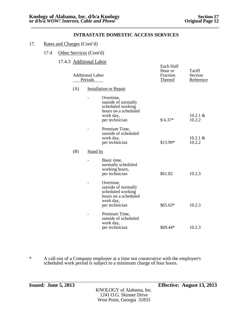- 17. Rates and Charges (Cont'd)
	- 17.4 Other Services (Cont'd)
		- 17.4.3 Additional Labor

| <b>Additional Labor</b><br>Periods |                 | Each Half<br>Hour or<br>Fraction<br><b>Thereof</b>                                                           | Tariff<br>Section<br>Reference |                       |
|------------------------------------|-----------------|--------------------------------------------------------------------------------------------------------------|--------------------------------|-----------------------|
| (A)                                |                 | <b>Installation or Repair</b>                                                                                |                                |                       |
|                                    |                 | Overtime,<br>outside of normally<br>scheduled working<br>hours on a scheduled<br>work day,<br>per technician | $$6.37*$                       | $10.2.1 \&$<br>10.2.2 |
|                                    |                 | Premium Time,<br>outside of scheduled<br>work day,<br>per technician                                         | \$13.99*                       | $10.2.1 \&$<br>10.2.2 |
| (B)                                | <b>Stand by</b> |                                                                                                              |                                |                       |
|                                    |                 | Basic time,<br>normally scheduled<br>working hours,<br>per technician                                        | \$61.82                        | 10.2.3                |
|                                    |                 | Overtime,<br>outside of normally<br>scheduled working<br>hours on a scheduled<br>work day,<br>per technician | $$65.63*$                      | 10.2.3                |
|                                    |                 | Premium Time,<br>outside of scheduled<br>work day,<br>per technician                                         | \$69.44*                       | 10.2.3                |

\* A call-out of a Company employee at a time not consecutive with the employee's scheduled work period is subject to a minimum charge of four hours.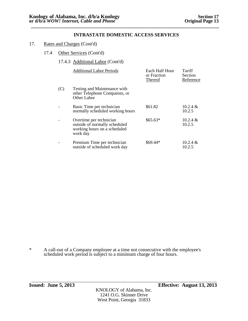- 17. Rates and Charges (Cont'd)
	- 17.4 Other Services (Cont'd)
		- 17.4.3 Additional Labor (Cont'd)

|     | <b>Additional Labor Periods</b>                                                                      | Each Half Hour<br>or Fraction<br>Thereof | Tariff<br>Section<br>Reference |
|-----|------------------------------------------------------------------------------------------------------|------------------------------------------|--------------------------------|
| (C) | Testing and Maintenance with<br>other Telephone Companies, or<br>Other Labor                         |                                          |                                |
|     | Basic Time per technician<br>normally scheduled working hours                                        | \$61.82                                  | $10.2.4 \&$<br>10.2.5          |
|     | Overtime per technician<br>outside of normally scheduled<br>working hours on a scheduled<br>work day | $$65.63*$                                | $10.2.4 \&$<br>10.2.5          |
|     | Premium Time per technician<br>outside of scheduled work day                                         | \$69.44*                                 | $10.2.4 \&$<br>10.2.5          |

\* A call-out of a Company employee at a time not consecutive with the employee's scheduled work period is subject to a minimum charge of four hours.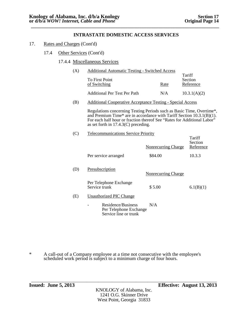- 17. Rates and Charges (Cont'd)
	- 17.4 Other Services (Cont'd)

#### 17.4.4 Miscellaneous Services

| (A) | <b>Additional Automatic Testing - Switched Access</b> |      |                                |
|-----|-------------------------------------------------------|------|--------------------------------|
|     | To First Point<br>of Switching                        | Rate | Tariff<br>Section<br>Reference |
|     | <b>Additional Per Test Per Path</b>                   | N/A  | 10.3.1(A)(2)                   |

(B) Additional Cooperative Acceptance Testing - Special Access

Regulations concerning Testing Periods such as Basic Time, Overtime\*, and Premium Time\* are in accordance with Tariff Section 10.3.1(B)(1). For each half hour or fraction thereof See "Rates for Additional Labor" as set forth in 17.4.3(C) preceding.

(C) Telecommunications Service Priority

|     |                                                                       | Nonrecurring Charge        | Tariff<br>Section<br>Reference |
|-----|-----------------------------------------------------------------------|----------------------------|--------------------------------|
|     | Per service arranged                                                  | \$84.00                    | 10.3.3                         |
| (D) | Presubscription                                                       | <b>Nonrecurring Charge</b> |                                |
|     | Per Telephone Exchange<br>Service trunk                               | \$5.00                     | 6.1(B)(1)                      |
| (E) | Unauthorized PIC Change                                               |                            |                                |
|     | Residence/Business<br>Per Telephone Exchange<br>Service line or trunk | N/A                        |                                |

\* A call-out of a Company employee at a time not consecutive with the employee's scheduled work period is subject to a minimum charge of four hours.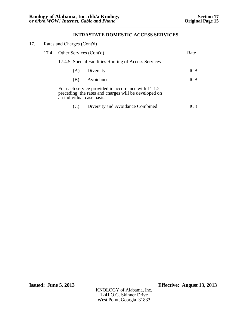| 17. | Rates and Charges (Cont'd)                           |                           |                                                                                                              |            |
|-----|------------------------------------------------------|---------------------------|--------------------------------------------------------------------------------------------------------------|------------|
|     | 17.4                                                 | Other Services (Cont'd)   |                                                                                                              | Rate       |
|     | 17.4.5 Special Facilities Routing of Access Services |                           |                                                                                                              |            |
|     |                                                      | (A)                       | Diversity                                                                                                    | <b>ICB</b> |
|     |                                                      | (B)                       | Avoidance                                                                                                    | <b>ICB</b> |
|     |                                                      | an individual case basis. | For each service provided in accordance with 11.1.2<br>preceding, the rates and charges will be developed on |            |
|     |                                                      |                           | Diversity and Avoidance Combined                                                                             | IC R       |